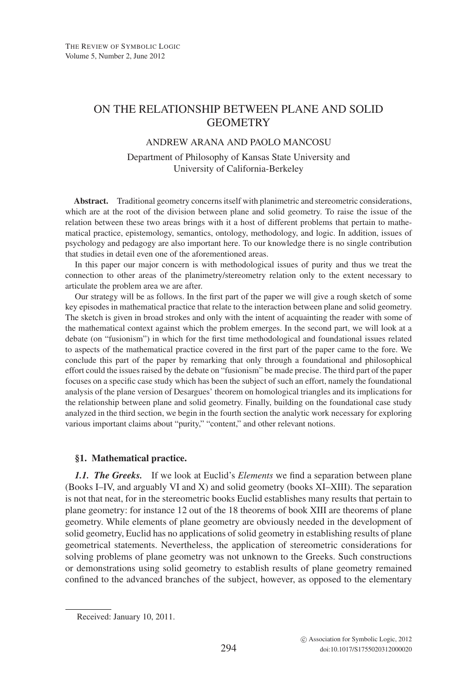# ON THE RELATIONSHIP BETWEEN PLANE AND SOLID **GEOMETRY**

## ANDREW ARANA AND PAOLO MANCOSU

## Department of Philosophy of Kansas State University and University of California-Berkeley

**Abstract.** Traditional geometry concerns itself with planimetric and stereometric considerations, which are at the root of the division between plane and solid geometry. To raise the issue of the relation between these two areas brings with it a host of different problems that pertain to mathematical practice, epistemology, semantics, ontology, methodology, and logic. In addition, issues of psychology and pedagogy are also important here. To our knowledge there is no single contribution that studies in detail even one of the aforementioned areas.

In this paper our major concern is with methodological issues of purity and thus we treat the connection to other areas of the planimetry/stereometry relation only to the extent necessary to articulate the problem area we are after.

Our strategy will be as follows. In the first part of the paper we will give a rough sketch of some key episodes in mathematical practice that relate to the interaction between plane and solid geometry. The sketch is given in broad strokes and only with the intent of acquainting the reader with some of the mathematical context against which the problem emerges. In the second part, we will look at a debate (on "fusionism") in which for the first time methodological and foundational issues related to aspects of the mathematical practice covered in the first part of the paper came to the fore. We conclude this part of the paper by remarking that only through a foundational and philosophical effort could the issues raised by the debate on "fusionism" be made precise. The third part of the paper focuses on a specific case study which has been the subject of such an effort, namely the foundational analysis of the plane version of Desargues' theorem on homological triangles and its implications for the relationship between plane and solid geometry. Finally, building on the foundational case study analyzed in the third section, we begin in the fourth section the analytic work necessary for exploring various important claims about "purity," "content," and other relevant notions.

## **§1. Mathematical practice.**

*1.1. The Greeks.* If we look at Euclid's *Elements* we find a separation between plane (Books I–IV, and arguably VI and X) and solid geometry (books XI–XIII). The separation is not that neat, for in the stereometric books Euclid establishes many results that pertain to plane geometry: for instance 12 out of the 18 theorems of book XIII are theorems of plane geometry. While elements of plane geometry are obviously needed in the development of solid geometry, Euclid has no applications of solid geometry in establishing results of plane geometrical statements. Nevertheless, the application of stereometric considerations for solving problems of plane geometry was not unknown to the Greeks. Such constructions or demonstrations using solid geometry to establish results of plane geometry remained confined to the advanced branches of the subject, however, as opposed to the elementary

Received: January 10, 2011.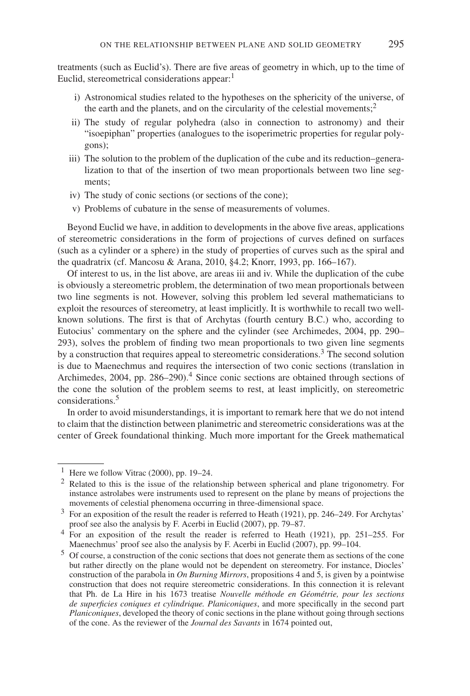treatments (such as Euclid's). There are five areas of geometry in which, up to the time of Euclid, stereometrical considerations appear:<sup>1</sup>

- i) Astronomical studies related to the hypotheses on the sphericity of the universe, of the earth and the planets, and on the circularity of the celestial movements;<sup>2</sup>
- ii) The study of regular polyhedra (also in connection to astronomy) and their "isoepiphan" properties (analogues to the isoperimetric properties for regular polygons);
- iii) The solution to the problem of the duplication of the cube and its reduction–generalization to that of the insertion of two mean proportionals between two line segments;
- iv) The study of conic sections (or sections of the cone);
- v) Problems of cubature in the sense of measurements of volumes.

Beyond Euclid we have, in addition to developments in the above five areas, applications of stereometric considerations in the form of projections of curves defined on surfaces (such as a cylinder or a sphere) in the study of properties of curves such as the spiral and the quadratrix (cf. Mancosu & Arana, 2010, §4.2; Knorr, 1993, pp. 166–167).

Of interest to us, in the list above, are areas iii and iv. While the duplication of the cube is obviously a stereometric problem, the determination of two mean proportionals between two line segments is not. However, solving this problem led several mathematicians to exploit the resources of stereometry, at least implicitly. It is worthwhile to recall two wellknown solutions. The first is that of Archytas (fourth century B.C.) who, according to Eutocius' commentary on the sphere and the cylinder (see Archimedes, 2004, pp. 290– 293), solves the problem of finding two mean proportionals to two given line segments by a construction that requires appeal to stereometric considerations.<sup>3</sup> The second solution is due to Maenechmus and requires the intersection of two conic sections (translation in Archimedes,  $2004$ , pp.  $286-290$ ).<sup>4</sup> Since conic sections are obtained through sections of the cone the solution of the problem seems to rest, at least implicitly, on stereometric considerations.<sup>5</sup>

In order to avoid misunderstandings, it is important to remark here that we do not intend to claim that the distinction between planimetric and stereometric considerations was at the center of Greek foundational thinking. Much more important for the Greek mathematical

<sup>&</sup>lt;sup>1</sup> Here we follow Vitrac (2000), pp. 19–24.

<sup>&</sup>lt;sup>2</sup> Related to this is the issue of the relationship between spherical and plane trigonometry. For instance astrolabes were instruments used to represent on the plane by means of projections the movements of celestial phenomena occurring in three-dimensional space.

<sup>3</sup> For an exposition of the result the reader is referred to Heath (1921), pp. 246–249. For Archytas' proof see also the analysis by F. Acerbi in Euclid (2007), pp. 79–87.

<sup>4</sup> For an exposition of the result the reader is referred to Heath (1921), pp. 251–255. For Maenechmus' proof see also the analysis by F. Acerbi in Euclid (2007), pp. 99–104.

<sup>5</sup> Of course, a construction of the conic sections that does not generate them as sections of the cone but rather directly on the plane would not be dependent on stereometry. For instance, Diocles' construction of the parabola in *On Burning Mirrors*, propositions 4 and 5, is given by a pointwise construction that does not require stereometric considerations. In this connection it is relevant that Ph. de La Hire in his 1673 treatise *Nouvelle methode en G ´ eom ´ etrie, pour les sections ´ de superficies coniques et cylindrique. Planiconiques*, and more specifically in the second part *Planiconiques*, developed the theory of conic sections in the plane without going through sections of the cone. As the reviewer of the *Journal des Savants* in 1674 pointed out,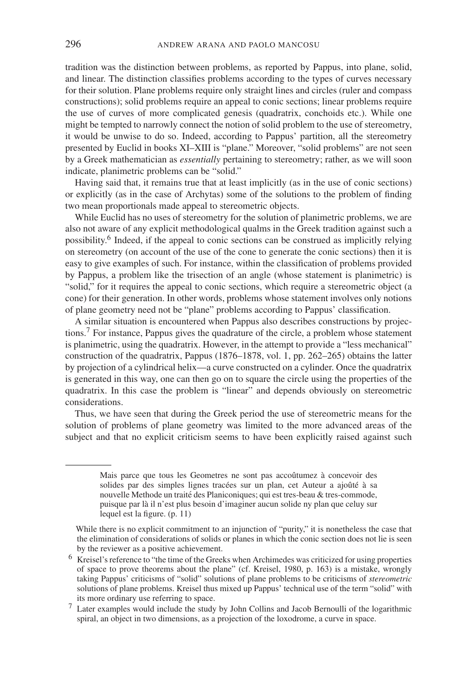tradition was the distinction between problems, as reported by Pappus, into plane, solid, and linear. The distinction classifies problems according to the types of curves necessary for their solution. Plane problems require only straight lines and circles (ruler and compass constructions); solid problems require an appeal to conic sections; linear problems require the use of curves of more complicated genesis (quadratrix, conchoids etc.). While one might be tempted to narrowly connect the notion of solid problem to the use of stereometry, it would be unwise to do so. Indeed, according to Pappus' partition, all the stereometry presented by Euclid in books XI–XIII is "plane." Moreover, "solid problems" are not seen by a Greek mathematician as *essentially* pertaining to stereometry; rather, as we will soon indicate, planimetric problems can be "solid."

Having said that, it remains true that at least implicitly (as in the use of conic sections) or explicitly (as in the case of Archytas) some of the solutions to the problem of finding two mean proportionals made appeal to stereometric objects.

While Euclid has no uses of stereometry for the solution of planimetric problems, we are also not aware of any explicit methodological qualms in the Greek tradition against such a possibility.6 Indeed, if the appeal to conic sections can be construed as implicitly relying on stereometry (on account of the use of the cone to generate the conic sections) then it is easy to give examples of such. For instance, within the classification of problems provided by Pappus, a problem like the trisection of an angle (whose statement is planimetric) is "solid," for it requires the appeal to conic sections, which require a stereometric object (a cone) for their generation. In other words, problems whose statement involves only notions of plane geometry need not be "plane" problems according to Pappus' classification.

A similar situation is encountered when Pappus also describes constructions by projections.7 For instance, Pappus gives the quadrature of the circle, a problem whose statement is planimetric, using the quadratrix. However, in the attempt to provide a "less mechanical" construction of the quadratrix, Pappus (1876–1878, vol. 1, pp. 262–265) obtains the latter by projection of a cylindrical helix—a curve constructed on a cylinder. Once the quadratrix is generated in this way, one can then go on to square the circle using the properties of the quadratrix. In this case the problem is "linear" and depends obviously on stereometric considerations.

Thus, we have seen that during the Greek period the use of stereometric means for the solution of problems of plane geometry was limited to the more advanced areas of the subject and that no explicit criticism seems to have been explicitly raised against such

Mais parce que tous les Geometres ne sont pas accoûtumez à concevoir des solides par des simples lignes tracées sur un plan, cet Auteur a ajoûté à sa nouvelle Methode un traite des Planiconiques; qui est tres-beau & tres-commode, ´ puisque par la il n'est plus besoin d'imaginer aucun solide ny plan que celuy sur ` lequel est la figure. (p. 11)

While there is no explicit commitment to an injunction of "purity," it is nonetheless the case that the elimination of considerations of solids or planes in which the conic section does not lie is seen by the reviewer as a positive achievement.

<sup>6</sup> Kreisel's reference to "the time of the Greeks when Archimedes was criticized for using properties of space to prove theorems about the plane" (cf. Kreisel, 1980, p. 163) is a mistake, wrongly taking Pappus' criticisms of "solid" solutions of plane problems to be criticisms of *stereometric* solutions of plane problems. Kreisel thus mixed up Pappus' technical use of the term "solid" with its more ordinary use referring to space.

<sup>7</sup> Later examples would include the study by John Collins and Jacob Bernoulli of the logarithmic spiral, an object in two dimensions, as a projection of the loxodrome, a curve in space.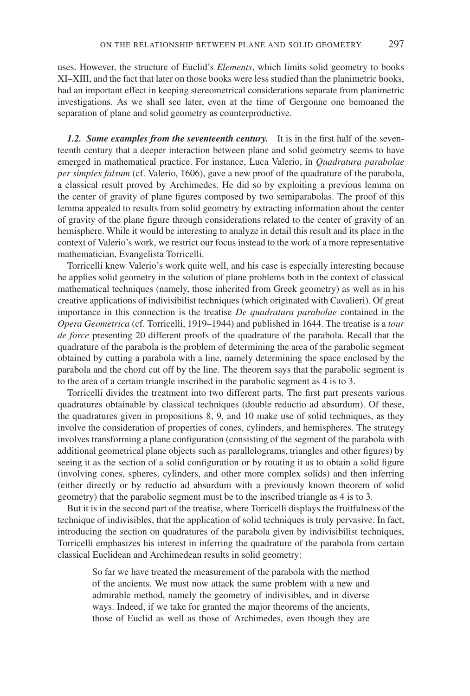uses. However, the structure of Euclid's *Elements*, which limits solid geometry to books XI–XIII, and the fact that later on those books were less studied than the planimetric books, had an important effect in keeping stereometrical considerations separate from planimetric investigations. As we shall see later, even at the time of Gergonne one bemoaned the separation of plane and solid geometry as counterproductive.

*1.2. Some examples from the seventeenth century.* It is in the first half of the seventeenth century that a deeper interaction between plane and solid geometry seems to have emerged in mathematical practice. For instance, Luca Valerio, in *Quadratura parabolae per simplex falsum* (cf. Valerio, 1606), gave a new proof of the quadrature of the parabola, a classical result proved by Archimedes. He did so by exploiting a previous lemma on the center of gravity of plane figures composed by two semiparabolas. The proof of this lemma appealed to results from solid geometry by extracting information about the center of gravity of the plane figure through considerations related to the center of gravity of an hemisphere. While it would be interesting to analyze in detail this result and its place in the context of Valerio's work, we restrict our focus instead to the work of a more representative mathematician, Evangelista Torricelli.

Torricelli knew Valerio's work quite well, and his case is especially interesting because he applies solid geometry in the solution of plane problems both in the context of classical mathematical techniques (namely, those inherited from Greek geometry) as well as in his creative applications of indivisibilist techniques (which originated with Cavalieri). Of great importance in this connection is the treatise *De quadratura parabolae* contained in the *Opera Geometrica* (cf. Torricelli, 1919–1944) and published in 1644. The treatise is a *tour de force* presenting 20 different proofs of the quadrature of the parabola. Recall that the quadrature of the parabola is the problem of determining the area of the parabolic segment obtained by cutting a parabola with a line, namely determining the space enclosed by the parabola and the chord cut off by the line. The theorem says that the parabolic segment is to the area of a certain triangle inscribed in the parabolic segment as 4 is to 3.

Torricelli divides the treatment into two different parts. The first part presents various quadratures obtainable by classical techniques (double reductio ad absurdum). Of these, the quadratures given in propositions 8, 9, and 10 make use of solid techniques, as they involve the consideration of properties of cones, cylinders, and hemispheres. The strategy involves transforming a plane configuration (consisting of the segment of the parabola with additional geometrical plane objects such as parallelograms, triangles and other figures) by seeing it as the section of a solid configuration or by rotating it as to obtain a solid figure (involving cones, spheres, cylinders, and other more complex solids) and then inferring (either directly or by reductio ad absurdum with a previously known theorem of solid geometry) that the parabolic segment must be to the inscribed triangle as 4 is to 3.

But it is in the second part of the treatise, where Torricelli displays the fruitfulness of the technique of indivisibles, that the application of solid techniques is truly pervasive. In fact, introducing the section on quadratures of the parabola given by indivisibilist techniques, Torricelli emphasizes his interest in inferring the quadrature of the parabola from certain classical Euclidean and Archimedean results in solid geometry:

So far we have treated the measurement of the parabola with the method of the ancients. We must now attack the same problem with a new and admirable method, namely the geometry of indivisibles, and in diverse ways. Indeed, if we take for granted the major theorems of the ancients, those of Euclid as well as those of Archimedes, even though they are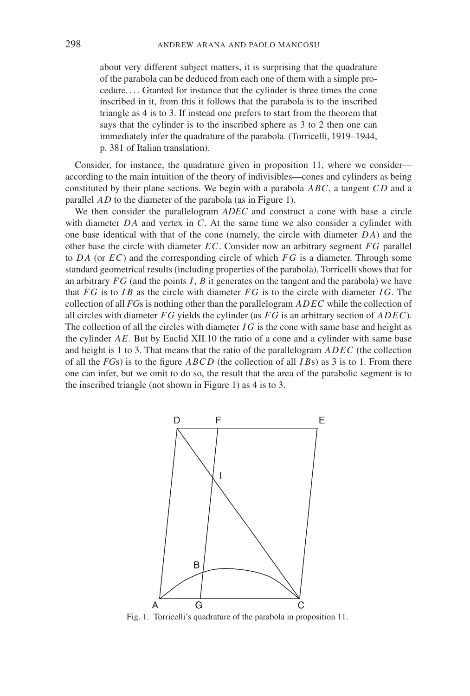about very different subject matters, it is surprising that the quadrature of the parabola can be deduced from each one of them with a simple procedure.... Granted for instance that the cylinder is three times the cone inscribed in it, from this it follows that the parabola is to the inscribed triangle as 4 is to 3. If instead one prefers to start from the theorem that says that the cylinder is to the inscribed sphere as 3 to 2 then one can immediately infer the quadrature of the parabola. (Torricelli, 1919–1944, p. 381 of Italian translation).

Consider, for instance, the quadrature given in proposition 11, where we consider according to the main intuition of the theory of indivisibles—cones and cylinders as being constituted by their plane sections. We begin with a parabola *ABC*, a tangent *C D* and a parallel *AD* to the diameter of the parabola (as in Figure 1).

We then consider the parallelogram *ADEC* and construct a cone with base a circle with diameter *D A* and vertex in *C*. At the same time we also consider a cylinder with one base identical with that of the cone (namely, the circle with diameter *D A*) and the other base the circle with diameter *EC*. Consider now an arbitrary segment *FG* parallel to *D A* (or *EC*) and the corresponding circle of which *FG* is a diameter. Through some standard geometrical results (including properties of the parabola), Torricelli shows that for an arbitrary *FG* (and the points *I*, *B* it generates on the tangent and the parabola) we have that  $FG$  is to  $IB$  as the circle with diameter  $FG$  is to the circle with diameter  $IG$ . The collection of all *FG*s is nothing other than the parallelogram *ADEC* while the collection of all circles with diameter *FG* yields the cylinder (as *FG* is an arbitrary section of *ADEC*). The collection of all the circles with diameter *I G* is the cone with same base and height as the cylinder *AE*. But by Euclid XII.10 the ratio of a cone and a cylinder with same base and height is 1 to 3. That means that the ratio of the parallelogram *ADEC* (the collection of all the *FG*s) is to the figure *ABCD* (the collection of all *I B*s) as 3 is to 1. From there one can infer, but we omit to do so, the result that the area of the parabolic segment is to the inscribed triangle (not shown in Figure 1) as 4 is to 3.



Fig. 1. Torricelli's quadrature of the parabola in proposition 11.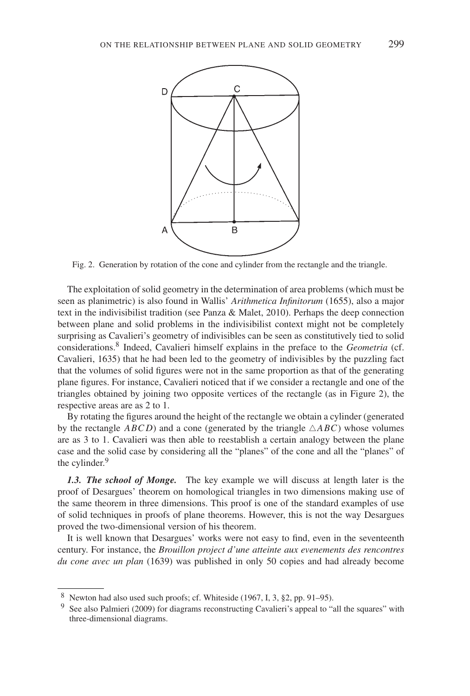

Fig. 2. Generation by rotation of the cone and cylinder from the rectangle and the triangle.

The exploitation of solid geometry in the determination of area problems (which must be seen as planimetric) is also found in Wallis' *Arithmetica Infinitorum* (1655), also a major text in the indivisibilist tradition (see Panza & Malet, 2010). Perhaps the deep connection between plane and solid problems in the indivisibilist context might not be completely surprising as Cavalieri's geometry of indivisibles can be seen as constitutively tied to solid considerations.<sup>8</sup> Indeed, Cavalieri himself explains in the preface to the *Geometria* (cf. Cavalieri, 1635) that he had been led to the geometry of indivisibles by the puzzling fact that the volumes of solid figures were not in the same proportion as that of the generating plane figures. For instance, Cavalieri noticed that if we consider a rectangle and one of the triangles obtained by joining two opposite vertices of the rectangle (as in Figure 2), the respective areas are as 2 to 1.

By rotating the figures around the height of the rectangle we obtain a cylinder (generated by the rectangle  $ABCD$ ) and a cone (generated by the triangle  $\triangle ABC$ ) whose volumes are as 3 to 1. Cavalieri was then able to reestablish a certain analogy between the plane case and the solid case by considering all the "planes" of the cone and all the "planes" of the cylinder.<sup>9</sup>

*1.3. The school of Monge.* The key example we will discuss at length later is the proof of Desargues' theorem on homological triangles in two dimensions making use of the same theorem in three dimensions. This proof is one of the standard examples of use of solid techniques in proofs of plane theorems. However, this is not the way Desargues proved the two-dimensional version of his theorem.

It is well known that Desargues' works were not easy to find, even in the seventeenth century. For instance, the *Brouillon project d'une atteinte aux evenements des rencontres du cone avec un plan* (1639) was published in only 50 copies and had already become

<sup>&</sup>lt;sup>8</sup> Newton had also used such proofs; cf. Whiteside (1967, I, 3, §2, pp. 91–95).<br><sup>9</sup> See also Palmieri (2009) for diagrams reconstructing Cavalieri's anneal to "

See also Palmieri (2009) for diagrams reconstructing Cavalieri's appeal to "all the squares" with three-dimensional diagrams.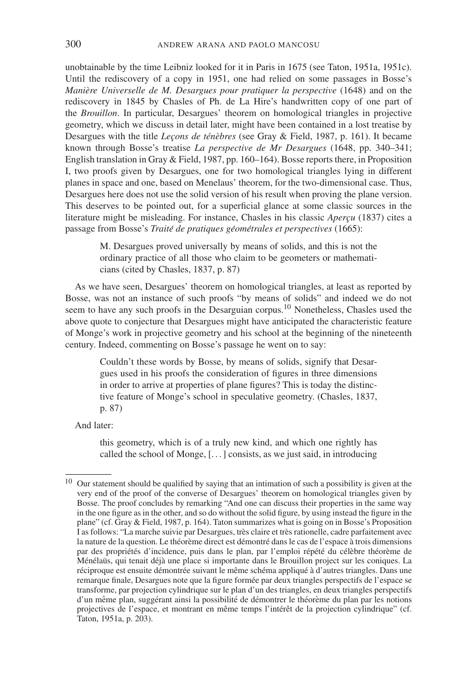unobtainable by the time Leibniz looked for it in Paris in 1675 (see Taton, 1951a, 1951c). Until the rediscovery of a copy in 1951, one had relied on some passages in Bosse's *Maniere Universelle de M. Desargues pour pratiquer la perspective `* (1648) and on the rediscovery in 1845 by Chasles of Ph. de La Hire's handwritten copy of one part of the *Brouillon*. In particular, Desargues' theorem on homological triangles in projective geometry, which we discuss in detail later, might have been contained in a lost treatise by Desargues with the title *Leçons de ténèbres* (see Gray & Field, 1987, p. 161). It became known through Bosse's treatise *La perspective de Mr Desargues* (1648, pp. 340–341; English translation in Gray & Field, 1987, pp. 160–164). Bosse reports there, in Proposition I, two proofs given by Desargues, one for two homological triangles lying in different planes in space and one, based on Menelaus' theorem, for the two-dimensional case. Thus, Desargues here does not use the solid version of his result when proving the plane version. This deserves to be pointed out, for a superficial glance at some classic sources in the literature might be misleading. For instance, Chasles in his classic *Apercu* (1837) cites a passage from Bosse's *Traité de pratiques géométrales et perspectives* (1665):

> M. Desargues proved universally by means of solids, and this is not the ordinary practice of all those who claim to be geometers or mathematicians (cited by Chasles, 1837, p. 87)

As we have seen, Desargues' theorem on homological triangles, at least as reported by Bosse, was not an instance of such proofs "by means of solids" and indeed we do not seem to have any such proofs in the Desarguian corpus.<sup>10</sup> Nonetheless, Chasles used the above quote to conjecture that Desargues might have anticipated the characteristic feature of Monge's work in projective geometry and his school at the beginning of the nineteenth century. Indeed, commenting on Bosse's passage he went on to say:

Couldn't these words by Bosse, by means of solids, signify that Desargues used in his proofs the consideration of figures in three dimensions in order to arrive at properties of plane figures? This is today the distinctive feature of Monge's school in speculative geometry. (Chasles, 1837, p. 87)

And later:

this geometry, which is of a truly new kind, and which one rightly has called the school of Monge, [...] consists, as we just said, in introducing

 $10$  Our statement should be qualified by saying that an intimation of such a possibility is given at the very end of the proof of the converse of Desargues' theorem on homological triangles given by Bosse. The proof concludes by remarking "And one can discuss their properties in the same way in the one figure as in the other, and so do without the solid figure, by using instead the figure in the plane" (cf. Gray & Field, 1987, p. 164). Taton summarizes what is going on in Bosse's Proposition I as follows: "La marche suivie par Desargues, très claire et très rationelle, cadre parfaitement avec la nature de la question. Le théorème direct est démontré dans le cas de l'espace à trois dimensions par des propriétés d'incidence, puis dans le plan, par l'emploi répété du célèbre théorème de Ménélaüs, qui tenait déjà une place si importante dans le Brouillon project sur les coniques. La réciproque est ensuite démontrée suivant le même schéma appliqué à d'autres triangles. Dans une remarque finale, Desargues note que la figure formee par deux triangles perspectifs de l'espace se ´ transforme, par projection cylindrique sur le plan d'un des triangles, en deux triangles perspectifs d'un même plan, suggérant ainsi la possibilité de démontrer le théorème du plan par les notions projectives de l'espace, et montrant en même temps l'intérêt de la projection cylindrique" (cf. Taton, 1951a, p. 203).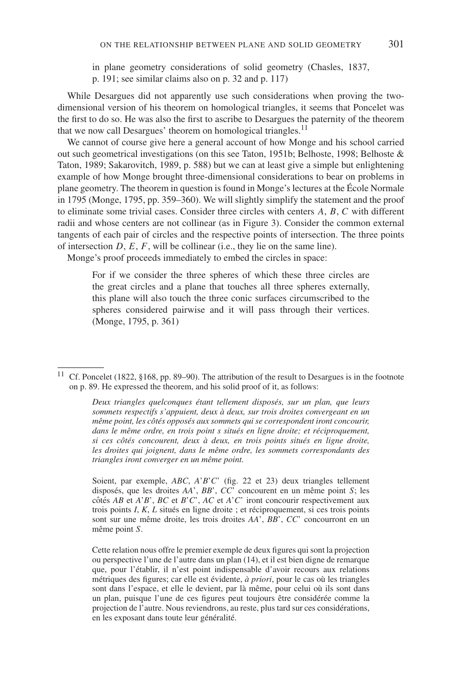in plane geometry considerations of solid geometry (Chasles, 1837, p. 191; see similar claims also on p. 32 and p. 117)

While Desargues did not apparently use such considerations when proving the twodimensional version of his theorem on homological triangles, it seems that Poncelet was the first to do so. He was also the first to ascribe to Desargues the paternity of the theorem that we now call Desargues' theorem on homological triangles. $^{11}$ 

We cannot of course give here a general account of how Monge and his school carried out such geometrical investigations (on this see Taton, 1951b; Belhoste, 1998; Belhoste & Taton, 1989; Sakarovitch, 1989, p. 588) but we can at least give a simple but enlightening example of how Monge brought three-dimensional considerations to bear on problems in plane geometry. The theorem in question is found in Monge's lectures at the Ecole Normale ´ in 1795 (Monge, 1795, pp. 359–360). We will slightly simplify the statement and the proof to eliminate some trivial cases. Consider three circles with centers *A*, *B*, *C* with different radii and whose centers are not collinear (as in Figure 3). Consider the common external tangents of each pair of circles and the respective points of intersection. The three points of intersection *D*, *E*, *F*, will be collinear (i.e., they lie on the same line).

Monge's proof proceeds immediately to embed the circles in space:

For if we consider the three spheres of which these three circles are the great circles and a plane that touches all three spheres externally, this plane will also touch the three conic surfaces circumscribed to the spheres considered pairwise and it will pass through their vertices. (Monge, 1795, p. 361)

*Deux triangles quelconques étant tellement disposés, sur un plan, que leurs sommets respectifs s'appuient, deux a deux, sur trois droites convergeant en un ` meme point, les c ˆ otˆ es oppos ´ es aux sommets qui se correspondent iront concourir, ´ dans le même ordre, en trois point s situés en ligne droite; et réciproquement, si ces côtés concourent, deux à deux, en trois points situés en ligne droite,* les droites qui joignent, dans le même ordre, les sommets correspondants des *triangles iront converger en un meme point. ˆ*

Soient, par exemple, *ABC*, *A*'*B*'*C*' (fig. 22 et 23) deux triangles tellement disposés, que les droites  $AA'$ ,  $BB'$ ,  $CC'$  concourent en un même point *S*; les côtés *AB* et *A*'*B*', *BC* et *B*'*C*', *AC* et *A*'*C*' iront concourir respectivement aux trois points *I*, *K*, *L* situés en ligne droite; et réciproquement, si ces trois points sont sur une même droite, les trois droites  $AA'$ ,  $BB'$ ,  $CC'$  concourront en un même point *S*.

Cette relation nous offre le premier exemple de deux figures qui sont la projection ou perspective l'une de l'autre dans un plan (14), et il est bien digne de remarque que, pour l'établir, il n'est point indispensable d'avoir recours aux relations métriques des figures; car elle est évidente, à *priori*, pour le cas où les triangles sont dans l'espace, et elle le devient, par là même, pour celui où ils sont dans un plan, puisque l'une de ces figures peut toujours être considérée comme la projection de l'autre. Nous reviendrons, au reste, plus tard sur ces considerations, ´ en les exposant dans toute leur généralité.

<sup>&</sup>lt;sup>11</sup> Cf. Poncelet (1822, §168, pp. 89–90). The attribution of the result to Desargues is in the footnote on p. 89. He expressed the theorem, and his solid proof of it, as follows: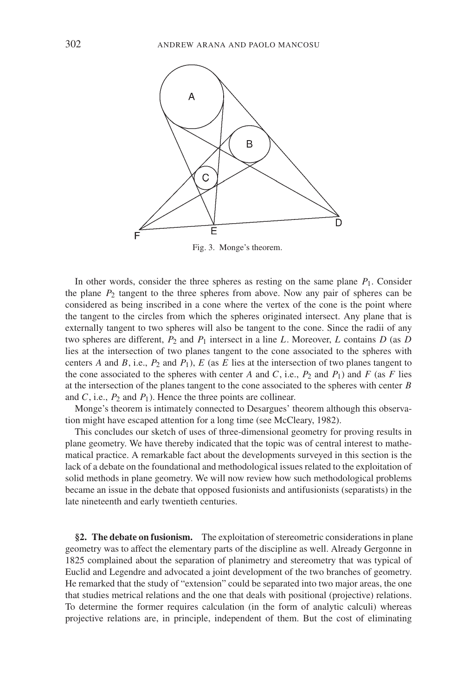

Fig. 3. Monge's theorem.

In other words, consider the three spheres as resting on the same plane  $P_1$ . Consider the plane *P*<sup>2</sup> tangent to the three spheres from above. Now any pair of spheres can be considered as being inscribed in a cone where the vertex of the cone is the point where the tangent to the circles from which the spheres originated intersect. Any plane that is externally tangent to two spheres will also be tangent to the cone. Since the radii of any two spheres are different, *P*<sup>2</sup> and *P*<sup>1</sup> intersect in a line *L*. Moreover, *L* contains *D* (as *D* lies at the intersection of two planes tangent to the cone associated to the spheres with centers *A* and *B*, i.e.,  $P_2$  and  $P_1$ ), *E* (as *E* lies at the intersection of two planes tangent to the cone associated to the spheres with center *A* and *C*, i.e.,  $P_2$  and  $P_1$ ) and *F* (as *F* lies at the intersection of the planes tangent to the cone associated to the spheres with center *B* and  $C$ , i.e.,  $P_2$  and  $P_1$ ). Hence the three points are collinear.

Monge's theorem is intimately connected to Desargues' theorem although this observation might have escaped attention for a long time (see McCleary, 1982).

This concludes our sketch of uses of three-dimensional geometry for proving results in plane geometry. We have thereby indicated that the topic was of central interest to mathematical practice. A remarkable fact about the developments surveyed in this section is the lack of a debate on the foundational and methodological issues related to the exploitation of solid methods in plane geometry. We will now review how such methodological problems became an issue in the debate that opposed fusionists and antifusionists (separatists) in the late nineteenth and early twentieth centuries.

**§2. The debate on fusionism.** The exploitation of stereometric considerations in plane geometry was to affect the elementary parts of the discipline as well. Already Gergonne in 1825 complained about the separation of planimetry and stereometry that was typical of Euclid and Legendre and advocated a joint development of the two branches of geometry. He remarked that the study of "extension" could be separated into two major areas, the one that studies metrical relations and the one that deals with positional (projective) relations. To determine the former requires calculation (in the form of analytic calculi) whereas projective relations are, in principle, independent of them. But the cost of eliminating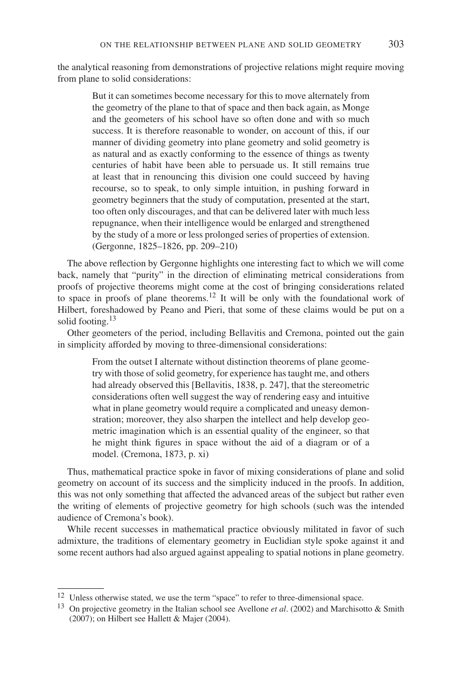the analytical reasoning from demonstrations of projective relations might require moving from plane to solid considerations:

But it can sometimes become necessary for this to move alternately from the geometry of the plane to that of space and then back again, as Monge and the geometers of his school have so often done and with so much success. It is therefore reasonable to wonder, on account of this, if our manner of dividing geometry into plane geometry and solid geometry is as natural and as exactly conforming to the essence of things as twenty centuries of habit have been able to persuade us. It still remains true at least that in renouncing this division one could succeed by having recourse, so to speak, to only simple intuition, in pushing forward in geometry beginners that the study of computation, presented at the start, too often only discourages, and that can be delivered later with much less repugnance, when their intelligence would be enlarged and strengthened by the study of a more or less prolonged series of properties of extension. (Gergonne, 1825–1826, pp. 209–210)

The above reflection by Gergonne highlights one interesting fact to which we will come back, namely that "purity" in the direction of eliminating metrical considerations from proofs of projective theorems might come at the cost of bringing considerations related to space in proofs of plane theorems.<sup>12</sup> It will be only with the foundational work of Hilbert, foreshadowed by Peano and Pieri, that some of these claims would be put on a solid footing. $13$ 

Other geometers of the period, including Bellavitis and Cremona, pointed out the gain in simplicity afforded by moving to three-dimensional considerations:

From the outset I alternate without distinction theorems of plane geometry with those of solid geometry, for experience has taught me, and others had already observed this [Bellavitis, 1838, p. 247], that the stereometric considerations often well suggest the way of rendering easy and intuitive what in plane geometry would require a complicated and uneasy demonstration; moreover, they also sharpen the intellect and help develop geometric imagination which is an essential quality of the engineer, so that he might think figures in space without the aid of a diagram or of a model. (Cremona, 1873, p. xi)

Thus, mathematical practice spoke in favor of mixing considerations of plane and solid geometry on account of its success and the simplicity induced in the proofs. In addition, this was not only something that affected the advanced areas of the subject but rather even the writing of elements of projective geometry for high schools (such was the intended audience of Cremona's book).

While recent successes in mathematical practice obviously militated in favor of such admixture, the traditions of elementary geometry in Euclidian style spoke against it and some recent authors had also argued against appealing to spatial notions in plane geometry.

<sup>12</sup> Unless otherwise stated, we use the term "space" to refer to three-dimensional space.

<sup>13</sup> On projective geometry in the Italian school see Avellone *et al*. (2002) and Marchisotto & Smith (2007); on Hilbert see Hallett & Majer (2004).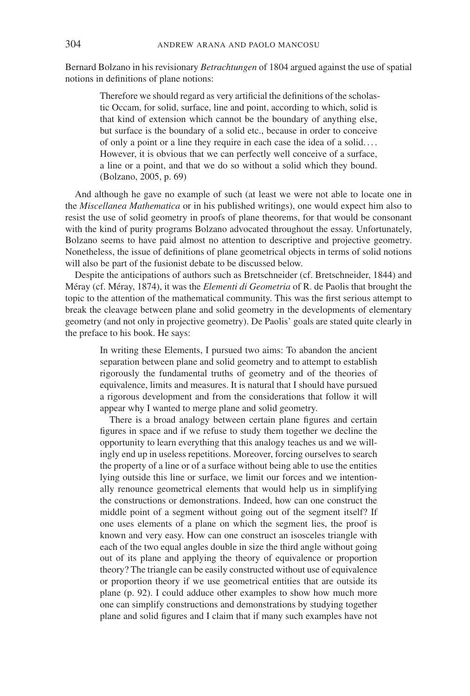Bernard Bolzano in his revisionary *Betrachtungen* of 1804 argued against the use of spatial notions in definitions of plane notions:

Therefore we should regard as very artificial the definitions of the scholastic Occam, for solid, surface, line and point, according to which, solid is that kind of extension which cannot be the boundary of anything else, but surface is the boundary of a solid etc., because in order to conceive of only a point or a line they require in each case the idea of a solid.... However, it is obvious that we can perfectly well conceive of a surface, a line or a point, and that we do so without a solid which they bound. (Bolzano, 2005, p. 69)

And although he gave no example of such (at least we were not able to locate one in the *Miscellanea Mathematica* or in his published writings), one would expect him also to resist the use of solid geometry in proofs of plane theorems, for that would be consonant with the kind of purity programs Bolzano advocated throughout the essay. Unfortunately, Bolzano seems to have paid almost no attention to descriptive and projective geometry. Nonetheless, the issue of definitions of plane geometrical objects in terms of solid notions will also be part of the fusionist debate to be discussed below.

Despite the anticipations of authors such as Bretschneider (cf. Bretschneider, 1844) and Méray (cf. Méray, 1874), it was the *Elementi di Geometria* of R. de Paolis that brought the topic to the attention of the mathematical community. This was the first serious attempt to break the cleavage between plane and solid geometry in the developments of elementary geometry (and not only in projective geometry). De Paolis' goals are stated quite clearly in the preface to his book. He says:

> In writing these Elements, I pursued two aims: To abandon the ancient separation between plane and solid geometry and to attempt to establish rigorously the fundamental truths of geometry and of the theories of equivalence, limits and measures. It is natural that I should have pursued a rigorous development and from the considerations that follow it will appear why I wanted to merge plane and solid geometry.

> There is a broad analogy between certain plane figures and certain figures in space and if we refuse to study them together we decline the opportunity to learn everything that this analogy teaches us and we willingly end up in useless repetitions. Moreover, forcing ourselves to search the property of a line or of a surface without being able to use the entities lying outside this line or surface, we limit our forces and we intentionally renounce geometrical elements that would help us in simplifying the constructions or demonstrations. Indeed, how can one construct the middle point of a segment without going out of the segment itself? If one uses elements of a plane on which the segment lies, the proof is known and very easy. How can one construct an isosceles triangle with each of the two equal angles double in size the third angle without going out of its plane and applying the theory of equivalence or proportion theory? The triangle can be easily constructed without use of equivalence or proportion theory if we use geometrical entities that are outside its plane (p. 92). I could adduce other examples to show how much more one can simplify constructions and demonstrations by studying together plane and solid figures and I claim that if many such examples have not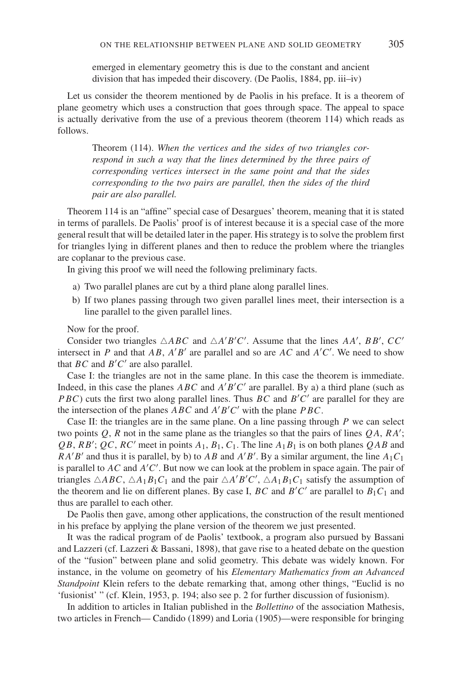emerged in elementary geometry this is due to the constant and ancient division that has impeded their discovery. (De Paolis, 1884, pp. iii–iv)

Let us consider the theorem mentioned by de Paolis in his preface. It is a theorem of plane geometry which uses a construction that goes through space. The appeal to space is actually derivative from the use of a previous theorem (theorem 114) which reads as follows.

Theorem (114). *When the vertices and the sides of two triangles correspond in such a way that the lines determined by the three pairs of corresponding vertices intersect in the same point and that the sides corresponding to the two pairs are parallel, then the sides of the third pair are also parallel.*

Theorem 114 is an "affine" special case of Desargues' theorem, meaning that it is stated in terms of parallels. De Paolis' proof is of interest because it is a special case of the more general result that will be detailed later in the paper. His strategy is to solve the problem first for triangles lying in different planes and then to reduce the problem where the triangles are coplanar to the previous case.

In giving this proof we will need the following preliminary facts.

- a) Two parallel planes are cut by a third plane along parallel lines.
- b) If two planes passing through two given parallel lines meet, their intersection is a line parallel to the given parallel lines.

Now for the proof.

Consider two triangles  $\triangle ABC$  and  $\triangle A'B'C'$ . Assume that the lines  $AA'$ ,  $BB'$ ,  $CC'$ intersect in *P* and that  $AB$ ,  $A'B'$  are parallel and so are  $AC$  and  $A'C'$ . We need to show that  $BC$  and  $B'C'$  are also parallel.

Case I: the triangles are not in the same plane. In this case the theorem is immediate. Indeed, in this case the planes  $ABC$  and  $A'B'C'$  are parallel. By a) a third plane (such as *PBC*) cuts the first two along parallel lines. Thus *BC* and *B'C'* are parallel for they are the intersection of the planes  $ABC$  and  $A'B'C'$  with the plane  $PBC$ .

Case II: the triangles are in the same plane. On a line passing through *P* we can select two points *Q*, *R* not in the same plane as the triangles so that the pairs of lines *Q A*, *R A* ;  $QB$ ,  $RB'$ ;  $QC$ ,  $RC'$  meet in points  $A_1$ ,  $B_1$ ,  $C_1$ . The line  $A_1B_1$  is on both planes  $QAB$  and  $RA'B'$  and thus it is parallel, by b) to  $AB$  and  $A'B'$ . By a similar argument, the line  $A_1C_1$ is parallel to *AC* and *A C* . But now we can look at the problem in space again. The pair of triangles  $\triangle ABC$ ,  $\triangle A_1B_1C_1$  and the pair  $\triangle A'B'C'$ ,  $\triangle A_1B_1C_1$  satisfy the assumption of the theorem and lie on different planes. By case I, *BC* and  $B'C'$  are parallel to  $B_1C_1$  and thus are parallel to each other.

De Paolis then gave, among other applications, the construction of the result mentioned in his preface by applying the plane version of the theorem we just presented.

It was the radical program of de Paolis' textbook, a program also pursued by Bassani and Lazzeri (cf. Lazzeri & Bassani, 1898), that gave rise to a heated debate on the question of the "fusion" between plane and solid geometry. This debate was widely known. For instance, in the volume on geometry of his *Elementary Mathematics from an Advanced Standpoint* Klein refers to the debate remarking that, among other things, "Euclid is no 'fusionist' " (cf. Klein, 1953, p. 194; also see p. 2 for further discussion of fusionism).

In addition to articles in Italian published in the *Bollettino* of the association Mathesis, two articles in French— Candido (1899) and Loria (1905)—were responsible for bringing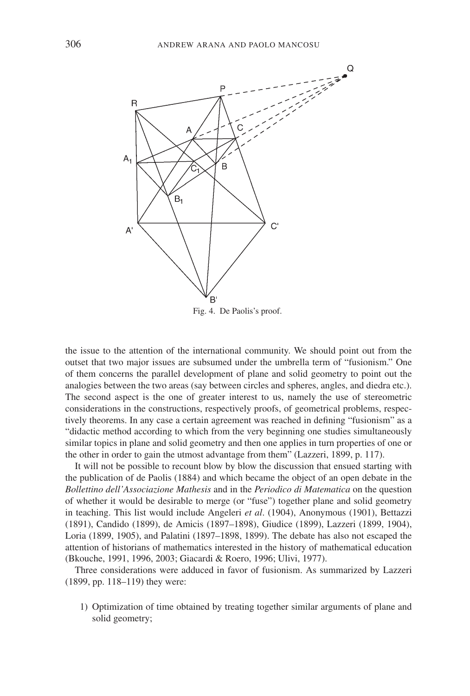

Fig. 4. De Paolis's proof.

the issue to the attention of the international community. We should point out from the outset that two major issues are subsumed under the umbrella term of "fusionism." One of them concerns the parallel development of plane and solid geometry to point out the analogies between the two areas (say between circles and spheres, angles, and diedra etc.). The second aspect is the one of greater interest to us, namely the use of stereometric considerations in the constructions, respectively proofs, of geometrical problems, respectively theorems. In any case a certain agreement was reached in defining "fusionism" as a "didactic method according to which from the very beginning one studies simultaneously similar topics in plane and solid geometry and then one applies in turn properties of one or the other in order to gain the utmost advantage from them" (Lazzeri, 1899, p. 117).

It will not be possible to recount blow by blow the discussion that ensued starting with the publication of de Paolis (1884) and which became the object of an open debate in the *Bollettino dell'Associazione Mathesis* and in the *Periodico di Matematica* on the question of whether it would be desirable to merge (or "fuse") together plane and solid geometry in teaching. This list would include Angeleri *et al*. (1904), Anonymous (1901), Bettazzi (1891), Candido (1899), de Amicis (1897–1898), Giudice (1899), Lazzeri (1899, 1904), Loria (1899, 1905), and Palatini (1897–1898, 1899). The debate has also not escaped the attention of historians of mathematics interested in the history of mathematical education (Bkouche, 1991, 1996, 2003; Giacardi & Roero, 1996; Ulivi, 1977).

Three considerations were adduced in favor of fusionism. As summarized by Lazzeri (1899, pp. 118–119) they were:

1) Optimization of time obtained by treating together similar arguments of plane and solid geometry;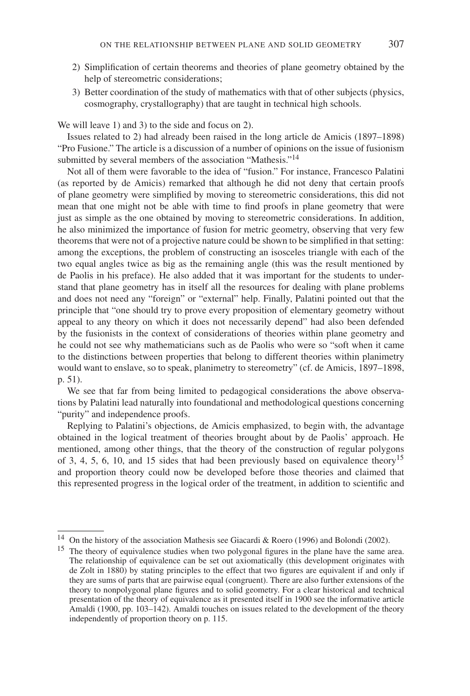- 2) Simplification of certain theorems and theories of plane geometry obtained by the help of stereometric considerations;
- 3) Better coordination of the study of mathematics with that of other subjects (physics, cosmography, crystallography) that are taught in technical high schools.

We will leave 1) and 3) to the side and focus on 2).

Issues related to 2) had already been raised in the long article de Amicis (1897–1898) "Pro Fusione." The article is a discussion of a number of opinions on the issue of fusionism submitted by several members of the association "Mathesis."<sup>14</sup>

Not all of them were favorable to the idea of "fusion." For instance, Francesco Palatini (as reported by de Amicis) remarked that although he did not deny that certain proofs of plane geometry were simplified by moving to stereometric considerations, this did not mean that one might not be able with time to find proofs in plane geometry that were just as simple as the one obtained by moving to stereometric considerations. In addition, he also minimized the importance of fusion for metric geometry, observing that very few theorems that were not of a projective nature could be shown to be simplified in that setting: among the exceptions, the problem of constructing an isosceles triangle with each of the two equal angles twice as big as the remaining angle (this was the result mentioned by de Paolis in his preface). He also added that it was important for the students to understand that plane geometry has in itself all the resources for dealing with plane problems and does not need any "foreign" or "external" help. Finally, Palatini pointed out that the principle that "one should try to prove every proposition of elementary geometry without appeal to any theory on which it does not necessarily depend" had also been defended by the fusionists in the context of considerations of theories within plane geometry and he could not see why mathematicians such as de Paolis who were so "soft when it came to the distinctions between properties that belong to different theories within planimetry would want to enslave, so to speak, planimetry to stereometry" (cf. de Amicis, 1897–1898, p. 51).

We see that far from being limited to pedagogical considerations the above observations by Palatini lead naturally into foundational and methodological questions concerning "purity" and independence proofs.

Replying to Palatini's objections, de Amicis emphasized, to begin with, the advantage obtained in the logical treatment of theories brought about by de Paolis' approach. He mentioned, among other things, that the theory of the construction of regular polygons of 3, 4, 5, 6, 10, and 15 sides that had been previously based on equivalence theory<sup>15</sup> and proportion theory could now be developed before those theories and claimed that this represented progress in the logical order of the treatment, in addition to scientific and

<sup>&</sup>lt;sup>14</sup> On the history of the association Mathesis see Giacardi & Roero (1996) and Bolondi (2002).

<sup>&</sup>lt;sup>15</sup> The theory of equivalence studies when two polygonal figures in the plane have the same area. The relationship of equivalence can be set out axiomatically (this development originates with de Zolt in 1880) by stating principles to the effect that two figures are equivalent if and only if they are sums of parts that are pairwise equal (congruent). There are also further extensions of the theory to nonpolygonal plane figures and to solid geometry. For a clear historical and technical presentation of the theory of equivalence as it presented itself in 1900 see the informative article Amaldi (1900, pp. 103–142). Amaldi touches on issues related to the development of the theory independently of proportion theory on p. 115.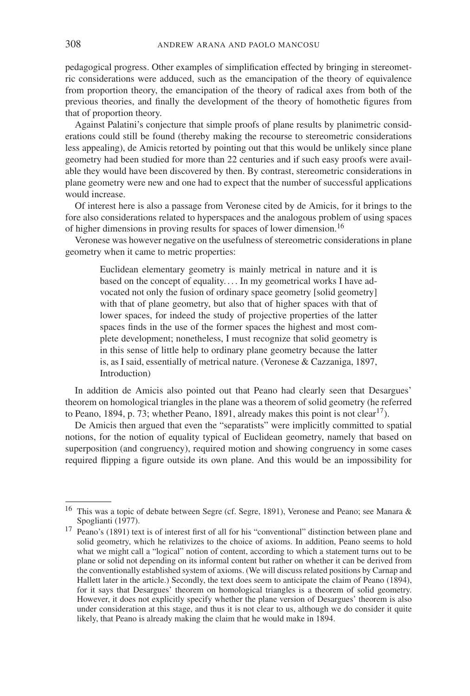pedagogical progress. Other examples of simplification effected by bringing in stereometric considerations were adduced, such as the emancipation of the theory of equivalence from proportion theory, the emancipation of the theory of radical axes from both of the previous theories, and finally the development of the theory of homothetic figures from that of proportion theory.

Against Palatini's conjecture that simple proofs of plane results by planimetric considerations could still be found (thereby making the recourse to stereometric considerations less appealing), de Amicis retorted by pointing out that this would be unlikely since plane geometry had been studied for more than 22 centuries and if such easy proofs were available they would have been discovered by then. By contrast, stereometric considerations in plane geometry were new and one had to expect that the number of successful applications would increase.

Of interest here is also a passage from Veronese cited by de Amicis, for it brings to the fore also considerations related to hyperspaces and the analogous problem of using spaces of higher dimensions in proving results for spaces of lower dimension.16

Veronese was however negative on the usefulness of stereometric considerations in plane geometry when it came to metric properties:

Euclidean elementary geometry is mainly metrical in nature and it is based on the concept of equality.... In my geometrical works I have advocated not only the fusion of ordinary space geometry [solid geometry] with that of plane geometry, but also that of higher spaces with that of lower spaces, for indeed the study of projective properties of the latter spaces finds in the use of the former spaces the highest and most complete development; nonetheless, I must recognize that solid geometry is in this sense of little help to ordinary plane geometry because the latter is, as I said, essentially of metrical nature. (Veronese & Cazzaniga, 1897, Introduction)

In addition de Amicis also pointed out that Peano had clearly seen that Desargues' theorem on homological triangles in the plane was a theorem of solid geometry (he referred to Peano, 1894, p. 73; whether Peano, 1891, already makes this point is not clear<sup>17</sup>).

De Amicis then argued that even the "separatists" were implicitly committed to spatial notions, for the notion of equality typical of Euclidean geometry, namely that based on superposition (and congruency), required motion and showing congruency in some cases required flipping a figure outside its own plane. And this would be an impossibility for

<sup>16</sup> This was a topic of debate between Segre (cf. Segre, 1891), Veronese and Peano; see Manara & Spoglianti (1977).

<sup>17</sup> Peano's (1891) text is of interest first of all for his "conventional" distinction between plane and solid geometry, which he relativizes to the choice of axioms. In addition, Peano seems to hold what we might call a "logical" notion of content, according to which a statement turns out to be plane or solid not depending on its informal content but rather on whether it can be derived from the conventionally established system of axioms. (We will discuss related positions by Carnap and Hallett later in the article.) Secondly, the text does seem to anticipate the claim of Peano (1894), for it says that Desargues' theorem on homological triangles is a theorem of solid geometry. However, it does not explicitly specify whether the plane version of Desargues' theorem is also under consideration at this stage, and thus it is not clear to us, although we do consider it quite likely, that Peano is already making the claim that he would make in 1894.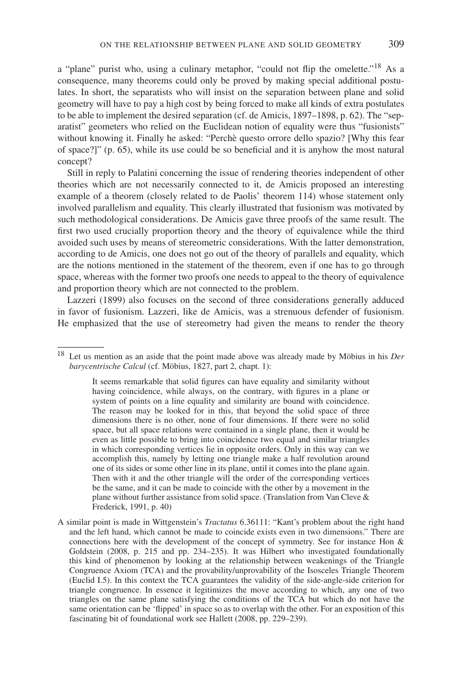a "plane" purist who, using a culinary metaphor, "could not flip the omelette."<sup>18</sup> As a consequence, many theorems could only be proved by making special additional postulates. In short, the separatists who will insist on the separation between plane and solid geometry will have to pay a high cost by being forced to make all kinds of extra postulates to be able to implement the desired separation (cf. de Amicis, 1897–1898, p. 62). The "separatist" geometers who relied on the Euclidean notion of equality were thus "fusionists" without knowing it. Finally he asked: "Perchè questo orrore dello spazio? [Why this fear of space?]" (p. 65), while its use could be so beneficial and it is anyhow the most natural concept?

Still in reply to Palatini concerning the issue of rendering theories independent of other theories which are not necessarily connected to it, de Amicis proposed an interesting example of a theorem (closely related to de Paolis' theorem 114) whose statement only involved parallelism and equality. This clearly illustrated that fusionism was motivated by such methodological considerations. De Amicis gave three proofs of the same result. The first two used crucially proportion theory and the theory of equivalence while the third avoided such uses by means of stereometric considerations. With the latter demonstration, according to de Amicis, one does not go out of the theory of parallels and equality, which are the notions mentioned in the statement of the theorem, even if one has to go through space, whereas with the former two proofs one needs to appeal to the theory of equivalence and proportion theory which are not connected to the problem.

Lazzeri (1899) also focuses on the second of three considerations generally adduced in favor of fusionism. Lazzeri, like de Amicis, was a strenuous defender of fusionism. He emphasized that the use of stereometry had given the means to render the theory

 $18$  Let us mention as an aside that the point made above was already made by Möbius in his *Der barycentrische Calcul* (cf. Möbius, 1827, part 2, chapt. 1):

It seems remarkable that solid figures can have equality and similarity without having coincidence, while always, on the contrary, with figures in a plane or system of points on a line equality and similarity are bound with coincidence. The reason may be looked for in this, that beyond the solid space of three dimensions there is no other, none of four dimensions. If there were no solid space, but all space relations were contained in a single plane, then it would be even as little possible to bring into coincidence two equal and similar triangles in which corresponding vertices lie in opposite orders. Only in this way can we accomplish this, namely by letting one triangle make a half revolution around one of its sides or some other line in its plane, until it comes into the plane again. Then with it and the other triangle will the order of the corresponding vertices be the same, and it can be made to coincide with the other by a movement in the plane without further assistance from solid space. (Translation from Van Cleve & Frederick, 1991, p. 40)

A similar point is made in Wittgenstein's *Tractatus* 6.36111: "Kant's problem about the right hand and the left hand, which cannot be made to coincide exists even in two dimensions." There are connections here with the development of the concept of symmetry. See for instance Hon & Goldstein (2008, p. 215 and pp. 234–235). It was Hilbert who investigated foundationally this kind of phenomenon by looking at the relationship between weakenings of the Triangle Congruence Axiom (TCA) and the provability/unprovability of the Isosceles Triangle Theorem (Euclid I.5). In this context the TCA guarantees the validity of the side-angle-side criterion for triangle congruence. In essence it legitimizes the move according to which, any one of two triangles on the same plane satisfying the conditions of the TCA but which do not have the same orientation can be 'flipped' in space so as to overlap with the other. For an exposition of this fascinating bit of foundational work see Hallett (2008, pp. 229–239).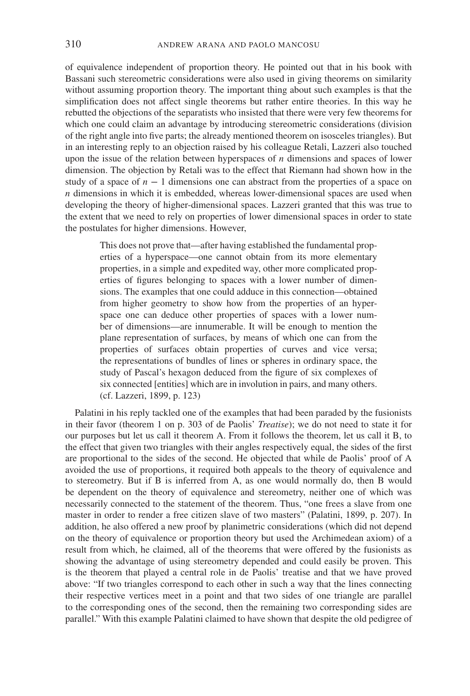of equivalence independent of proportion theory. He pointed out that in his book with Bassani such stereometric considerations were also used in giving theorems on similarity without assuming proportion theory. The important thing about such examples is that the simplification does not affect single theorems but rather entire theories. In this way he rebutted the objections of the separatists who insisted that there were very few theorems for which one could claim an advantage by introducing stereometric considerations (division of the right angle into five parts; the already mentioned theorem on isosceles triangles). But in an interesting reply to an objection raised by his colleague Retali, Lazzeri also touched upon the issue of the relation between hyperspaces of *n* dimensions and spaces of lower dimension. The objection by Retali was to the effect that Riemann had shown how in the study of a space of  $n - 1$  dimensions one can abstract from the properties of a space on *n* dimensions in which it is embedded, whereas lower-dimensional spaces are used when developing the theory of higher-dimensional spaces. Lazzeri granted that this was true to the extent that we need to rely on properties of lower dimensional spaces in order to state the postulates for higher dimensions. However,

> This does not prove that—after having established the fundamental properties of a hyperspace—one cannot obtain from its more elementary properties, in a simple and expedited way, other more complicated properties of figures belonging to spaces with a lower number of dimensions. The examples that one could adduce in this connection—obtained from higher geometry to show how from the properties of an hyperspace one can deduce other properties of spaces with a lower number of dimensions—are innumerable. It will be enough to mention the plane representation of surfaces, by means of which one can from the properties of surfaces obtain properties of curves and vice versa; the representations of bundles of lines or spheres in ordinary space, the study of Pascal's hexagon deduced from the figure of six complexes of six connected [entities] which are in involution in pairs, and many others. (cf. Lazzeri, 1899, p. 123)

Palatini in his reply tackled one of the examples that had been paraded by the fusionists in their favor (theorem 1 on p. 303 of de Paolis' *Treatise*); we do not need to state it for our purposes but let us call it theorem A. From it follows the theorem, let us call it B, to the effect that given two triangles with their angles respectively equal, the sides of the first are proportional to the sides of the second. He objected that while de Paolis' proof of A avoided the use of proportions, it required both appeals to the theory of equivalence and to stereometry. But if B is inferred from A, as one would normally do, then B would be dependent on the theory of equivalence and stereometry, neither one of which was necessarily connected to the statement of the theorem. Thus, "one frees a slave from one master in order to render a free citizen slave of two masters" (Palatini, 1899, p. 207). In addition, he also offered a new proof by planimetric considerations (which did not depend on the theory of equivalence or proportion theory but used the Archimedean axiom) of a result from which, he claimed, all of the theorems that were offered by the fusionists as showing the advantage of using stereometry depended and could easily be proven. This is the theorem that played a central role in de Paolis' treatise and that we have proved above: "If two triangles correspond to each other in such a way that the lines connecting their respective vertices meet in a point and that two sides of one triangle are parallel to the corresponding ones of the second, then the remaining two corresponding sides are parallel." With this example Palatini claimed to have shown that despite the old pedigree of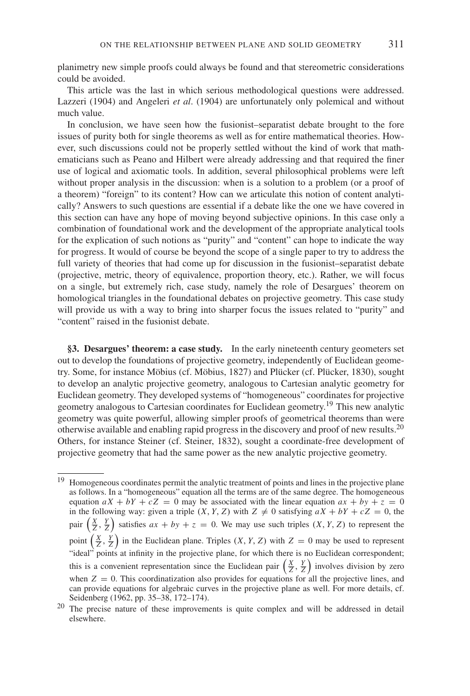planimetry new simple proofs could always be found and that stereometric considerations could be avoided.

This article was the last in which serious methodological questions were addressed. Lazzeri (1904) and Angeleri *et al*. (1904) are unfortunately only polemical and without much value.

In conclusion, we have seen how the fusionist–separatist debate brought to the fore issues of purity both for single theorems as well as for entire mathematical theories. However, such discussions could not be properly settled without the kind of work that mathematicians such as Peano and Hilbert were already addressing and that required the finer use of logical and axiomatic tools. In addition, several philosophical problems were left without proper analysis in the discussion: when is a solution to a problem (or a proof of a theorem) "foreign" to its content? How can we articulate this notion of content analytically? Answers to such questions are essential if a debate like the one we have covered in this section can have any hope of moving beyond subjective opinions. In this case only a combination of foundational work and the development of the appropriate analytical tools for the explication of such notions as "purity" and "content" can hope to indicate the way for progress. It would of course be beyond the scope of a single paper to try to address the full variety of theories that had come up for discussion in the fusionist–separatist debate (projective, metric, theory of equivalence, proportion theory, etc.). Rather, we will focus on a single, but extremely rich, case study, namely the role of Desargues' theorem on homological triangles in the foundational debates on projective geometry. This case study will provide us with a way to bring into sharper focus the issues related to "purity" and "content" raised in the fusionist debate.

**§3. Desargues' theorem: a case study.** In the early nineteenth century geometers set out to develop the foundations of projective geometry, independently of Euclidean geometry. Some, for instance Möbius (cf. Möbius, 1827) and Plücker (cf. Plücker, 1830), sought to develop an analytic projective geometry, analogous to Cartesian analytic geometry for Euclidean geometry. They developed systems of "homogeneous" coordinates for projective geometry analogous to Cartesian coordinates for Euclidean geometry.19 This new analytic geometry was quite powerful, allowing simpler proofs of geometrical theorems than were otherwise available and enabling rapid progress in the discovery and proof of new results.20 Others, for instance Steiner (cf. Steiner, 1832), sought a coordinate-free development of projective geometry that had the same power as the new analytic projective geometry.

<sup>&</sup>lt;sup>19</sup> Homogeneous coordinates permit the analytic treatment of points and lines in the projective plane as follows. In a "homogeneous" equation all the terms are of the same degree. The homogeneous equation  $aX + bY + cZ = 0$  may be associated with the linear equation  $ax + by + z = 0$ in the following way: given a triple  $(X, Y, Z)$  with  $Z \neq 0$  satisfying  $aX + bY + cZ = 0$ , the pair  $\left(\frac{X}{Z}, \frac{Y}{Z}\right)$  satisfies  $ax + by + z = 0$ . We may use such triples  $(X, Y, Z)$  to represent the point  $\left(\frac{X}{Z}, \frac{Y}{Z}\right)$  in the Euclidean plane. Triples  $(X, Y, Z)$  with  $Z = 0$  may be used to represent "ideal" points at infinity in the projective plane, for which there is no Euclidean correspondent; this is a convenient representation since the Euclidean pair  $\left(\frac{X}{Z}, \frac{Y}{Z}\right)$  involves division by zero when  $Z = 0$ . This coordinatization also provides for equations for all the projective lines, and can provide equations for algebraic curves in the projective plane as well. For more details, cf. Seidenberg (1962, pp. 35–38, 172–174).

<sup>&</sup>lt;sup>20</sup> The precise nature of these improvements is quite complex and will be addressed in detail elsewhere.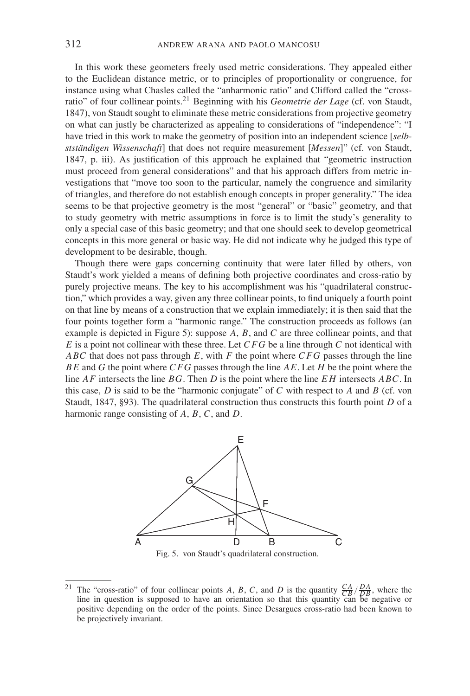In this work these geometers freely used metric considerations. They appealed either to the Euclidean distance metric, or to principles of proportionality or congruence, for instance using what Chasles called the "anharmonic ratio" and Clifford called the "crossratio" of four collinear points.<sup>21</sup> Beginning with his *Geometrie der Lage* (cf. von Staudt, 1847), von Staudt sought to eliminate these metric considerations from projective geometry on what can justly be characterized as appealing to considerations of "independence": "I have tried in this work to make the geometry of position into an independent science [*selbstständigen Wissenschaft*] that does not require measurement [*Messen*]" (cf. von Staudt, 1847, p. iii). As justification of this approach he explained that "geometric instruction must proceed from general considerations" and that his approach differs from metric investigations that "move too soon to the particular, namely the congruence and similarity of triangles, and therefore do not establish enough concepts in proper generality." The idea seems to be that projective geometry is the most "general" or "basic" geometry, and that to study geometry with metric assumptions in force is to limit the study's generality to only a special case of this basic geometry; and that one should seek to develop geometrical concepts in this more general or basic way. He did not indicate why he judged this type of development to be desirable, though.

Though there were gaps concerning continuity that were later filled by others, von Staudt's work yielded a means of defining both projective coordinates and cross-ratio by purely projective means. The key to his accomplishment was his "quadrilateral construction," which provides a way, given any three collinear points, to find uniquely a fourth point on that line by means of a construction that we explain immediately; it is then said that the four points together form a "harmonic range." The construction proceeds as follows (an example is depicted in Figure 5): suppose *A*, *B*, and *C* are three collinear points, and that *E* is a point not collinear with these three. Let *CFG* be a line through *C* not identical with *ABC* that does not pass through *E*, with *F* the point where *CFG* passes through the line *B E* and *G* the point where *CFG* passes through the line *AE*. Let *H* be the point where the line *AF* intersects the line *BG*. Then *D* is the point where the line *E H* intersects *ABC*. In this case, *D* is said to be the "harmonic conjugate" of *C* with respect to *A* and *B* (cf. von Staudt, 1847, §93). The quadrilateral construction thus constructs this fourth point *D* of a harmonic range consisting of *A*, *B*, *C*, and *D*.



Fig. 5. von Staudt's quadrilateral construction.

<sup>&</sup>lt;sup>21</sup> The "cross-ratio" of four collinear points *A*, *B*, *C*, and *D* is the quantity  $\frac{CA}{CB} / \frac{DA}{DB}$ , where the line in question is supposed to have an orientation so that this quantity can be negative or positive depending on the order of the points. Since Desargues cross-ratio had been known to be projectively invariant.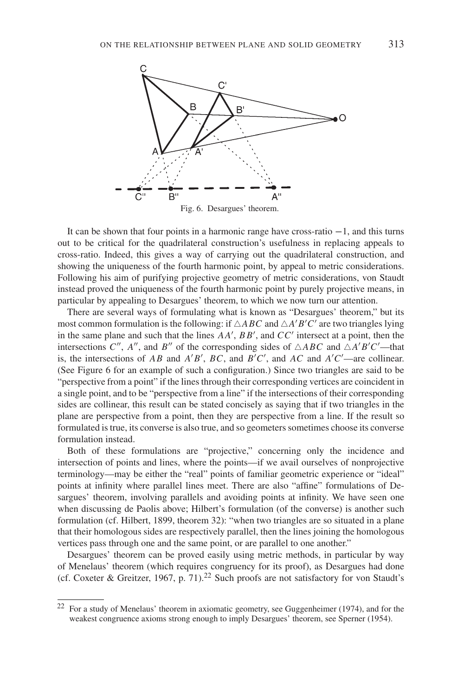

Fig. 6. Desargues' theorem.

It can be shown that four points in a harmonic range have cross-ratio −1, and this turns out to be critical for the quadrilateral construction's usefulness in replacing appeals to cross-ratio. Indeed, this gives a way of carrying out the quadrilateral construction, and showing the uniqueness of the fourth harmonic point, by appeal to metric considerations. Following his aim of purifying projective geometry of metric considerations, von Staudt instead proved the uniqueness of the fourth harmonic point by purely projective means, in particular by appealing to Desargues' theorem, to which we now turn our attention.

There are several ways of formulating what is known as "Desargues' theorem," but its most common formulation is the following: if  $\triangle ABC$  and  $\triangle A'B'C'$  are two triangles lying in the same plane and such that the lines *AA* , *B B* , and *CC* intersect at a point, then the intersections *C''*, *A''*, and *B''* of the corresponding sides of  $\triangle ABC$  and  $\triangle A'B'C'$ —that is, the intersections of *AB* and *A'B'*, *BC*, and *B'C'*, and *AC* and *A'C'*—are collinear. (See Figure 6 for an example of such a configuration.) Since two triangles are said to be "perspective from a point" if the lines through their corresponding vertices are coincident in a single point, and to be "perspective from a line" if the intersections of their corresponding sides are collinear, this result can be stated concisely as saying that if two triangles in the plane are perspective from a point, then they are perspective from a line. If the result so formulated is true, its converse is also true, and so geometers sometimes choose its converse formulation instead.

Both of these formulations are "projective," concerning only the incidence and intersection of points and lines, where the points—if we avail ourselves of nonprojective terminology—may be either the "real" points of familiar geometric experience or "ideal" points at infinity where parallel lines meet. There are also "affine" formulations of Desargues' theorem, involving parallels and avoiding points at infinity. We have seen one when discussing de Paolis above; Hilbert's formulation (of the converse) is another such formulation (cf. Hilbert, 1899, theorem 32): "when two triangles are so situated in a plane that their homologous sides are respectively parallel, then the lines joining the homologous vertices pass through one and the same point, or are parallel to one another."

Desargues' theorem can be proved easily using metric methods, in particular by way of Menelaus' theorem (which requires congruency for its proof), as Desargues had done (cf. Coxeter & Greitzer, 1967, p. 71).<sup>22</sup> Such proofs are not satisfactory for von Staudt's

<sup>22</sup> For a study of Menelaus' theorem in axiomatic geometry, see Guggenheimer (1974), and for the weakest congruence axioms strong enough to imply Desargues' theorem, see Sperner (1954).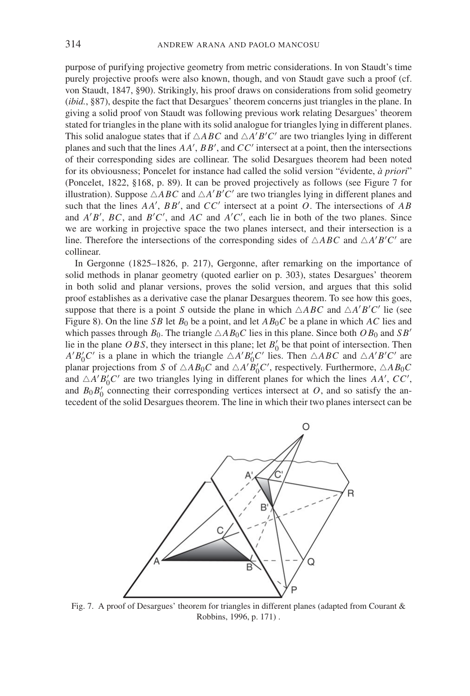purpose of purifying projective geometry from metric considerations. In von Staudt's time purely projective proofs were also known, though, and von Staudt gave such a proof (cf. von Staudt, 1847, §90). Strikingly, his proof draws on considerations from solid geometry (*ibid.*, §87), despite the fact that Desargues' theorem concerns just triangles in the plane. In giving a solid proof von Staudt was following previous work relating Desargues' theorem stated for triangles in the plane with its solid analogue for triangles lying in different planes. This solid analogue states that if  $\triangle ABC$  and  $\triangle A'B'C'$  are two triangles lying in different planes and such that the lines *AA* , *B B* , and *CC* intersect at a point, then the intersections of their corresponding sides are collinear. The solid Desargues theorem had been noted for its obviousness; Poncelet for instance had called the solid version "évidente, à *priori*" (Poncelet, 1822, §168, p. 89). It can be proved projectively as follows (see Figure 7 for illustration). Suppose  $\triangle ABC$  and  $\triangle A'B'C'$  are two triangles lying in different planes and such that the lines  $AA'$ ,  $BB'$ , and  $CC'$  intersect at a point  $O$ . The intersections of  $AB$ and  $A'B'$ ,  $BC$ , and  $B'C'$ , and  $AC$  and  $A'C'$ , each lie in both of the two planes. Since we are working in projective space the two planes intersect, and their intersection is a line. Therefore the intersections of the corresponding sides of  $\triangle ABC$  and  $\triangle A'B'C'$  are collinear.

In Gergonne (1825–1826, p. 217), Gergonne, after remarking on the importance of solid methods in planar geometry (quoted earlier on p. 303), states Desargues' theorem in both solid and planar versions, proves the solid version, and argues that this solid proof establishes as a derivative case the planar Desargues theorem. To see how this goes, suppose that there is a point *S* outside the plane in which  $\triangle ABC$  and  $\triangle A'B'C'$  lie (see Figure 8). On the line *SB* let  $B_0$  be a point, and let  $AB_0C$  be a plane in which *AC* lies and which passes through  $B_0$ . The triangle  $\triangle AB_0C$  lies in this plane. Since both  $OB_0$  and  $SB'$ lie in the plane  $OBS$ , they intersect in this plane; let  $B'_0$  be that point of intersection. Then  $A'B'_{0}C'$  is a plane in which the triangle  $\triangle A'B'_{0}C'$  lies. Then  $\triangle ABC$  and  $\triangle A'B'C'$  are planar projections from *S* of  $\triangle AB_0C$  and  $\triangle A'B'_0C'$ , respectively. Furthermore,  $\triangle AB_0C$ and  $\triangle A'B'_{0}C'$  are two triangles lying in different planes for which the lines *AA'*, *CC'*, and  $B_0B'_0$  connecting their corresponding vertices intersect at *O*, and so satisfy the antecedent of the solid Desargues theorem. The line in which their two planes intersect can be



Fig. 7. A proof of Desargues' theorem for triangles in different planes (adapted from Courant & Robbins, 1996, p. 171) .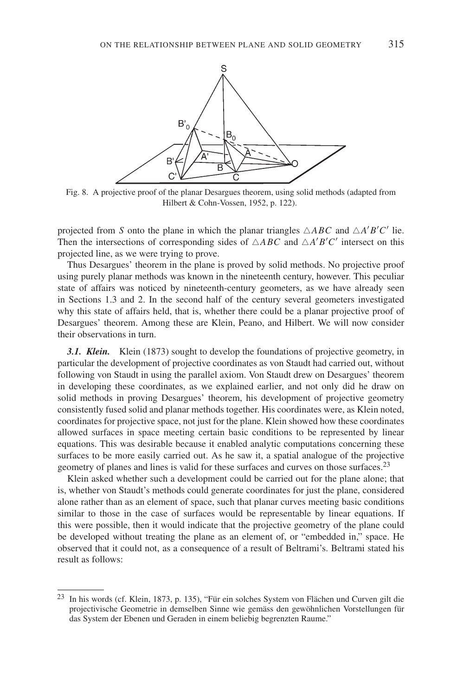

Fig. 8. A projective proof of the planar Desargues theorem, using solid methods (adapted from Hilbert & Cohn-Vossen, 1952, p. 122).

projected from *S* onto the plane in which the planar triangles  $\triangle ABC$  and  $\triangle A'B'C'$  lie. Then the intersections of corresponding sides of  $\triangle ABC$  and  $\triangle A'B'C'$  intersect on this projected line, as we were trying to prove.

Thus Desargues' theorem in the plane is proved by solid methods. No projective proof using purely planar methods was known in the nineteenth century, however. This peculiar state of affairs was noticed by nineteenth-century geometers, as we have already seen in Sections 1.3 and 2. In the second half of the century several geometers investigated why this state of affairs held, that is, whether there could be a planar projective proof of Desargues' theorem. Among these are Klein, Peano, and Hilbert. We will now consider their observations in turn.

**3.1. Klein.** Klein (1873) sought to develop the foundations of projective geometry, in particular the development of projective coordinates as von Staudt had carried out, without following von Staudt in using the parallel axiom. Von Staudt drew on Desargues' theorem in developing these coordinates, as we explained earlier, and not only did he draw on solid methods in proving Desargues' theorem, his development of projective geometry consistently fused solid and planar methods together. His coordinates were, as Klein noted, coordinates for projective space, not just for the plane. Klein showed how these coordinates allowed surfaces in space meeting certain basic conditions to be represented by linear equations. This was desirable because it enabled analytic computations concerning these surfaces to be more easily carried out. As he saw it, a spatial analogue of the projective geometry of planes and lines is valid for these surfaces and curves on those surfaces.<sup>23</sup>

Klein asked whether such a development could be carried out for the plane alone; that is, whether von Staudt's methods could generate coordinates for just the plane, considered alone rather than as an element of space, such that planar curves meeting basic conditions similar to those in the case of surfaces would be representable by linear equations. If this were possible, then it would indicate that the projective geometry of the plane could be developed without treating the plane as an element of, or "embedded in," space. He observed that it could not, as a consequence of a result of Beltrami's. Beltrami stated his result as follows:

 $23$  In his words (cf. Klein, 1873, p. 135), "Für ein solches System von Flächen und Curven gilt die projectivische Geometrie in demselben Sinne wie gemäss den gewöhnlichen Vorstellungen für das System der Ebenen und Geraden in einem beliebig begrenzten Raume."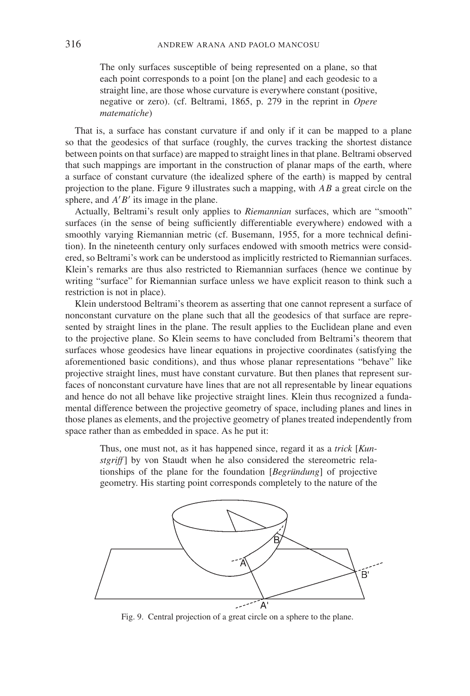The only surfaces susceptible of being represented on a plane, so that each point corresponds to a point [on the plane] and each geodesic to a straight line, are those whose curvature is everywhere constant (positive, negative or zero). (cf. Beltrami, 1865, p. 279 in the reprint in *Opere matematiche*)

That is, a surface has constant curvature if and only if it can be mapped to a plane so that the geodesics of that surface (roughly, the curves tracking the shortest distance between points on that surface) are mapped to straight lines in that plane. Beltrami observed that such mappings are important in the construction of planar maps of the earth, where a surface of constant curvature (the idealized sphere of the earth) is mapped by central projection to the plane. Figure 9 illustrates such a mapping, with *AB* a great circle on the sphere, and  $A'B'$  its image in the plane.

Actually, Beltrami's result only applies to *Riemannian* surfaces, which are "smooth" surfaces (in the sense of being sufficiently differentiable everywhere) endowed with a smoothly varying Riemannian metric (cf. Busemann, 1955, for a more technical definition). In the nineteenth century only surfaces endowed with smooth metrics were considered, so Beltrami's work can be understood as implicitly restricted to Riemannian surfaces. Klein's remarks are thus also restricted to Riemannian surfaces (hence we continue by writing "surface" for Riemannian surface unless we have explicit reason to think such a restriction is not in place).

Klein understood Beltrami's theorem as asserting that one cannot represent a surface of nonconstant curvature on the plane such that all the geodesics of that surface are represented by straight lines in the plane. The result applies to the Euclidean plane and even to the projective plane. So Klein seems to have concluded from Beltrami's theorem that surfaces whose geodesics have linear equations in projective coordinates (satisfying the aforementioned basic conditions), and thus whose planar representations "behave" like projective straight lines, must have constant curvature. But then planes that represent surfaces of nonconstant curvature have lines that are not all representable by linear equations and hence do not all behave like projective straight lines. Klein thus recognized a fundamental difference between the projective geometry of space, including planes and lines in those planes as elements, and the projective geometry of planes treated independently from space rather than as embedded in space. As he put it:

Thus, one must not, as it has happened since, regard it as a *trick* [*Kunstgriff*] by von Staudt when he also considered the stereometric relationships of the plane for the foundation [*Begrundung*] of projective geometry. His starting point corresponds completely to the nature of the



Fig. 9. Central projection of a great circle on a sphere to the plane.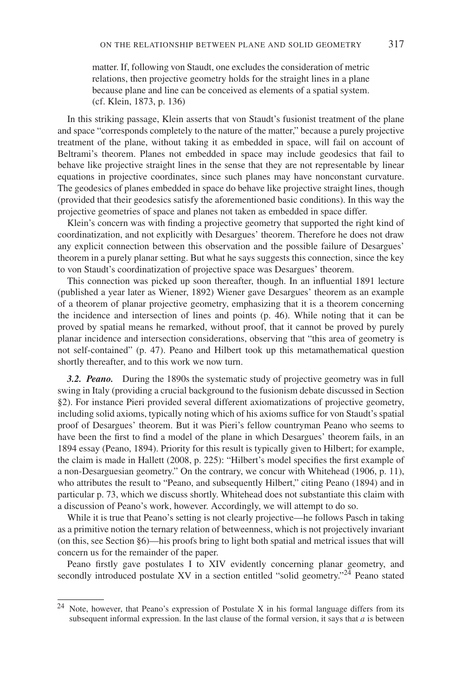matter. If, following von Staudt, one excludes the consideration of metric relations, then projective geometry holds for the straight lines in a plane because plane and line can be conceived as elements of a spatial system. (cf. Klein, 1873, p. 136)

In this striking passage, Klein asserts that von Staudt's fusionist treatment of the plane and space "corresponds completely to the nature of the matter," because a purely projective treatment of the plane, without taking it as embedded in space, will fail on account of Beltrami's theorem. Planes not embedded in space may include geodesics that fail to behave like projective straight lines in the sense that they are not representable by linear equations in projective coordinates, since such planes may have nonconstant curvature. The geodesics of planes embedded in space do behave like projective straight lines, though (provided that their geodesics satisfy the aforementioned basic conditions). In this way the projective geometries of space and planes not taken as embedded in space differ.

Klein's concern was with finding a projective geometry that supported the right kind of coordinatization, and not explicitly with Desargues' theorem. Therefore he does not draw any explicit connection between this observation and the possible failure of Desargues' theorem in a purely planar setting. But what he says suggests this connection, since the key to von Staudt's coordinatization of projective space was Desargues' theorem.

This connection was picked up soon thereafter, though. In an influential 1891 lecture (published a year later as Wiener, 1892) Wiener gave Desargues' theorem as an example of a theorem of planar projective geometry, emphasizing that it is a theorem concerning the incidence and intersection of lines and points (p. 46). While noting that it can be proved by spatial means he remarked, without proof, that it cannot be proved by purely planar incidence and intersection considerations, observing that "this area of geometry is not self-contained" (p. 47). Peano and Hilbert took up this metamathematical question shortly thereafter, and to this work we now turn.

*3.2. Peano.* During the 1890s the systematic study of projective geometry was in full swing in Italy (providing a crucial background to the fusionism debate discussed in Section §2). For instance Pieri provided several different axiomatizations of projective geometry, including solid axioms, typically noting which of his axioms suffice for von Staudt's spatial proof of Desargues' theorem. But it was Pieri's fellow countryman Peano who seems to have been the first to find a model of the plane in which Desargues' theorem fails, in an 1894 essay (Peano, 1894). Priority for this result is typically given to Hilbert; for example, the claim is made in Hallett (2008, p. 225): "Hilbert's model specifies the first example of a non-Desarguesian geometry." On the contrary, we concur with Whitehead (1906, p. 11), who attributes the result to "Peano, and subsequently Hilbert," citing Peano (1894) and in particular p. 73, which we discuss shortly. Whitehead does not substantiate this claim with a discussion of Peano's work, however. Accordingly, we will attempt to do so.

While it is true that Peano's setting is not clearly projective—he follows Pasch in taking as a primitive notion the ternary relation of betweenness, which is not projectively invariant (on this, see Section §6)—his proofs bring to light both spatial and metrical issues that will concern us for the remainder of the paper.

Peano firstly gave postulates I to XIV evidently concerning planar geometry, and secondly introduced postulate XV in a section entitled "solid geometry."<sup>24</sup> Peano stated

 $24$  Note, however, that Peano's expression of Postulate X in his formal language differs from its subsequent informal expression. In the last clause of the formal version, it says that  $a$  is between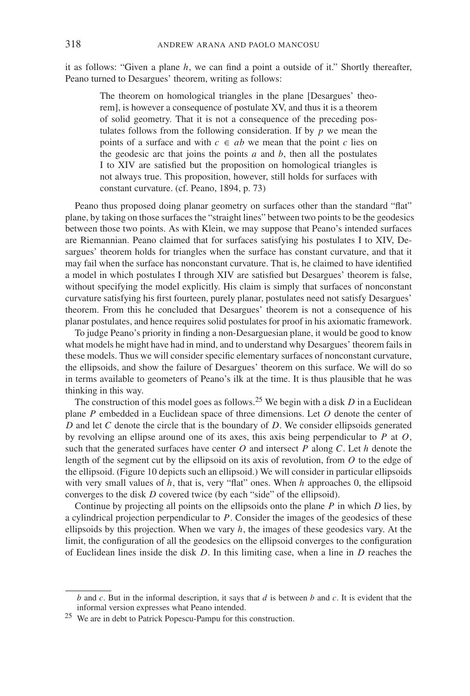it as follows: "Given a plane *h*, we can find a point a outside of it." Shortly thereafter, Peano turned to Desargues' theorem, writing as follows:

> The theorem on homological triangles in the plane [Desargues' theorem], is however a consequence of postulate XV, and thus it is a theorem of solid geometry. That it is not a consequence of the preceding postulates follows from the following consideration. If by  $p$  we mean the points of a surface and with  $c \in ab$  we mean that the point *c* lies on the geodesic arc that joins the points  $a$  and  $b$ , then all the postulates I to XIV are satisfied but the proposition on homological triangles is not always true. This proposition, however, still holds for surfaces with constant curvature. (cf. Peano, 1894, p. 73)

Peano thus proposed doing planar geometry on surfaces other than the standard "flat" plane, by taking on those surfaces the "straight lines" between two points to be the geodesics between those two points. As with Klein, we may suppose that Peano's intended surfaces are Riemannian. Peano claimed that for surfaces satisfying his postulates I to XIV, Desargues' theorem holds for triangles when the surface has constant curvature, and that it may fail when the surface has nonconstant curvature. That is, he claimed to have identified a model in which postulates I through XIV are satisfied but Desargues' theorem is false, without specifying the model explicitly. His claim is simply that surfaces of nonconstant curvature satisfying his first fourteen, purely planar, postulates need not satisfy Desargues' theorem. From this he concluded that Desargues' theorem is not a consequence of his planar postulates, and hence requires solid postulates for proof in his axiomatic framework.

To judge Peano's priority in finding a non-Desarguesian plane, it would be good to know what models he might have had in mind, and to understand why Desargues' theorem fails in these models. Thus we will consider specific elementary surfaces of nonconstant curvature, the ellipsoids, and show the failure of Desargues' theorem on this surface. We will do so in terms available to geometers of Peano's ilk at the time. It is thus plausible that he was thinking in this way.

The construction of this model goes as follows.<sup>25</sup> We begin with a disk *D* in a Euclidean plane *P* embedded in a Euclidean space of three dimensions. Let *O* denote the center of *D* and let *C* denote the circle that is the boundary of *D*. We consider ellipsoids generated by revolving an ellipse around one of its axes, this axis being perpendicular to *P* at *O*, such that the generated surfaces have center *O* and intersect *P* along *C*. Let *h* denote the length of the segment cut by the ellipsoid on its axis of revolution, from *O* to the edge of the ellipsoid. (Figure 10 depicts such an ellipsoid.) We will consider in particular ellipsoids with very small values of *h*, that is, very "flat" ones. When *h* approaches 0, the ellipsoid converges to the disk *D* covered twice (by each "side" of the ellipsoid).

Continue by projecting all points on the ellipsoids onto the plane *P* in which *D* lies, by a cylindrical projection perpendicular to *P*. Consider the images of the geodesics of these ellipsoids by this projection. When we vary *h*, the images of these geodesics vary. At the limit, the configuration of all the geodesics on the ellipsoid converges to the configuration of Euclidean lines inside the disk *D*. In this limiting case, when a line in *D* reaches the

*b* and *c*. But in the informal description, it says that *d* is between *b* and *c*. It is evident that the informal version expresses what Peano intended.

<sup>25</sup> We are in debt to Patrick Popescu-Pampu for this construction.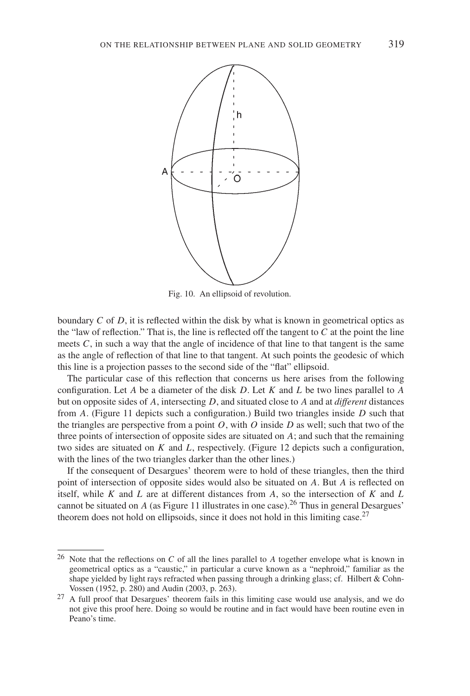

Fig. 10. An ellipsoid of revolution.

boundary *C* of *D*, it is reflected within the disk by what is known in geometrical optics as the "law of reflection." That is, the line is reflected off the tangent to  $C$  at the point the line meets  $C$ , in such a way that the angle of incidence of that line to that tangent is the same as the angle of reflection of that line to that tangent. At such points the geodesic of which this line is a projection passes to the second side of the "flat" ellipsoid.

The particular case of this reflection that concerns us here arises from the following configuration. Let *A* be a diameter of the disk *D*. Let *K* and *L* be two lines parallel to *A* but on opposite sides of *A*, intersecting *D*, and situated close to *A* and at *different* distances from *A*. (Figure 11 depicts such a configuration.) Build two triangles inside *D* such that the triangles are perspective from a point *O*, with *O* inside *D* as well; such that two of the three points of intersection of opposite sides are situated on *A*; and such that the remaining two sides are situated on *K* and *L*, respectively. (Figure 12 depicts such a configuration, with the lines of the two triangles darker than the other lines.)

If the consequent of Desargues' theorem were to hold of these triangles, then the third point of intersection of opposite sides would also be situated on *A*. But *A* is reflected on itself, while *K* and *L* are at different distances from *A*, so the intersection of *K* and *L* cannot be situated on *A* (as Figure 11 illustrates in one case).<sup>26</sup> Thus in general Desargues' theorem does not hold on ellipsoids, since it does not hold in this limiting case.<sup>27</sup>

<sup>26</sup> Note that the reflections on *C* of all the lines parallel to *A* together envelope what is known in geometrical optics as a "caustic," in particular a curve known as a "nephroid," familiar as the shape yielded by light rays refracted when passing through a drinking glass; cf. Hilbert & Cohn-Vossen (1952, p. 280) and Audin (2003, p. 263).

<sup>27</sup> A full proof that Desargues' theorem fails in this limiting case would use analysis, and we do not give this proof here. Doing so would be routine and in fact would have been routine even in Peano's time.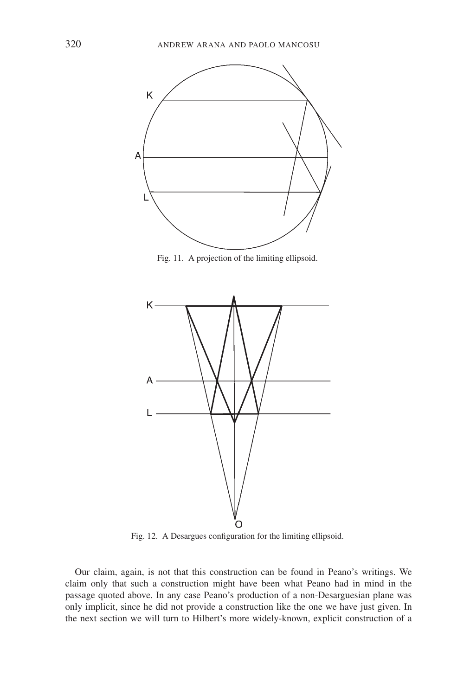

Fig. 11. A projection of the limiting ellipsoid.



Fig. 12. A Desargues configuration for the limiting ellipsoid.

Our claim, again, is not that this construction can be found in Peano's writings. We claim only that such a construction might have been what Peano had in mind in the passage quoted above. In any case Peano's production of a non-Desarguesian plane was only implicit, since he did not provide a construction like the one we have just given. In the next section we will turn to Hilbert's more widely-known, explicit construction of a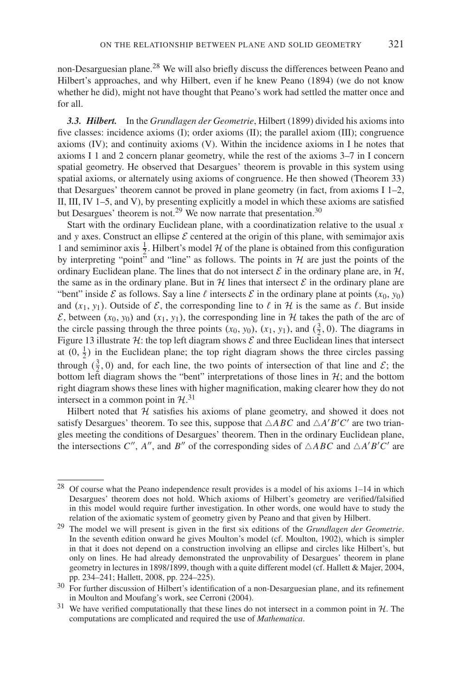non-Desarguesian plane.<sup>28</sup> We will also briefly discuss the differences between Peano and Hilbert's approaches, and why Hilbert, even if he knew Peano (1894) (we do not know whether he did), might not have thought that Peano's work had settled the matter once and for all.

*3.3. Hilbert.* In the *Grundlagen der Geometrie*, Hilbert (1899) divided his axioms into five classes: incidence axioms (I); order axioms (II); the parallel axiom (III); congruence axioms (IV); and continuity axioms (V). Within the incidence axioms in I he notes that axioms I 1 and 2 concern planar geometry, while the rest of the axioms 3–7 in I concern spatial geometry. He observed that Desargues' theorem is provable in this system using spatial axioms, or alternately using axioms of congruence. He then showed (Theorem 33) that Desargues' theorem cannot be proved in plane geometry (in fact, from axioms I 1–2, II, III, IV 1–5, and V), by presenting explicitly a model in which these axioms are satisfied but Desargues' theorem is not.<sup>29</sup> We now narrate that presentation.<sup>30</sup>

Start with the ordinary Euclidean plane, with a coordinatization relative to the usual *x* and *y* axes. Construct an ellipse  $\mathcal E$  centered at the origin of this plane, with semimajor axis 1 and semiminor axis  $\frac{1}{2}$ . Hilbert's model H of the plane is obtained from this configuration by interpreting "point" and "line" as follows. The points in  $H$  are just the points of the ordinary Euclidean plane. The lines that do not intersect  $\mathcal E$  in the ordinary plane are, in  $\mathcal H$ , the same as in the ordinary plane. But in  $H$  lines that intersect  $\mathcal E$  in the ordinary plane are "bent" inside  $\mathcal E$  as follows. Say a line  $\ell$  intersects  $\mathcal E$  in the ordinary plane at points  $(x_0, y_0)$ and  $(x_1, y_1)$ . Outside of  $\mathcal{E}$ , the corresponding line to  $\ell$  in  $\mathcal{H}$  is the same as  $\ell$ . But inside  $\mathcal{E}$ , between  $(x_0, y_0)$  and  $(x_1, y_1)$ , the corresponding line in  $\mathcal{H}$  takes the path of the arc of the circle passing through the three points  $(x_0, y_0)$ ,  $(x_1, y_1)$ , and  $(\frac{3}{2}, 0)$ . The diagrams in Figure 13 illustrate  $H$ : the top left diagram shows  $\mathcal E$  and three Euclidean lines that intersect at  $(0, \frac{1}{2})$  in the Euclidean plane; the top right diagram shows the three circles passing through  $(\frac{3}{2}, 0)$  and, for each line, the two points of intersection of that line and  $\mathcal{E}$ ; the bottom left diagram shows the "bent" interpretations of those lines in  $H$ ; and the bottom right diagram shows these lines with higher magnification, making clearer how they do not intersect in a common point in  $\mathcal{H}^{31}$ .

Hilbert noted that  $H$  satisfies his axioms of plane geometry, and showed it does not satisfy Desargues' theorem. To see this, suppose that  $\triangle ABC$  and  $\triangle A'B'C'$  are two triangles meeting the conditions of Desargues' theorem. Then in the ordinary Euclidean plane, the intersections C'', A'', and B'' of the corresponding sides of  $\triangle ABC$  and  $\triangle A'B'C'$  are

<sup>28</sup> Of course what the Peano independence result provides is a model of his axioms 1–14 in which Desargues' theorem does not hold. Which axioms of Hilbert's geometry are verified/falsified in this model would require further investigation. In other words, one would have to study the relation of the axiomatic system of geometry given by Peano and that given by Hilbert.

<sup>29</sup> The model we will present is given in the first six editions of the *Grundlagen der Geometrie*. In the seventh edition onward he gives Moulton's model (cf. Moulton, 1902), which is simpler in that it does not depend on a construction involving an ellipse and circles like Hilbert's, but only on lines. He had already demonstrated the unprovability of Desargues' theorem in plane geometry in lectures in 1898/1899, though with a quite different model (cf. Hallett & Majer, 2004, pp. 234–241; Hallett, 2008, pp. 224–225).

<sup>&</sup>lt;sup>30</sup> For further discussion of Hilbert's identification of a non-Desarguesian plane, and its refinement in Moulton and Moufang's work, see Cerroni (2004).

 $31$  We have verified computationally that these lines do not intersect in a common point in H. The computations are complicated and required the use of *Mathematica*.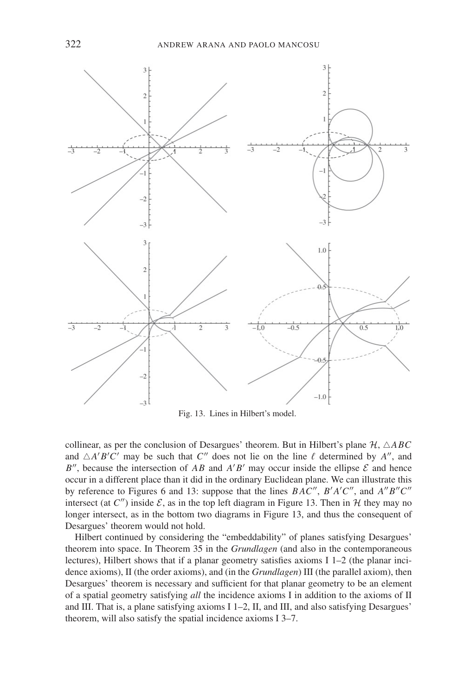

Fig. 13. Lines in Hilbert's model.

collinear, as per the conclusion of Desargues' theorem. But in Hilbert's plane  $H$ ,  $\triangle ABC$ and  $\triangle A'B'C'$  may be such that *C''* does not lie on the line  $\ell$  determined by  $A''$ , and *B*<sup> $''$ </sup>, because the intersection of *AB* and *A'B'* may occur inside the ellipse  $\mathcal{E}$  and hence occur in a different place than it did in the ordinary Euclidean plane. We can illustrate this by reference to Figures 6 and 13: suppose that the lines  $BAC''$ ,  $B'A'C''$ , and  $A''B''C''$ intersect (at  $C''$ ) inside  $\mathcal{E}$ , as in the top left diagram in Figure 13. Then in  $\mathcal{H}$  they may no longer intersect, as in the bottom two diagrams in Figure 13, and thus the consequent of Desargues' theorem would not hold.

Hilbert continued by considering the "embeddability" of planes satisfying Desargues' theorem into space. In Theorem 35 in the *Grundlagen* (and also in the contemporaneous lectures), Hilbert shows that if a planar geometry satisfies axioms I 1–2 (the planar incidence axioms), II (the order axioms), and (in the *Grundlagen*) III (the parallel axiom), then Desargues' theorem is necessary and sufficient for that planar geometry to be an element of a spatial geometry satisfying *all* the incidence axioms I in addition to the axioms of II and III. That is, a plane satisfying axioms I 1–2, II, and III, and also satisfying Desargues' theorem, will also satisfy the spatial incidence axioms I 3–7.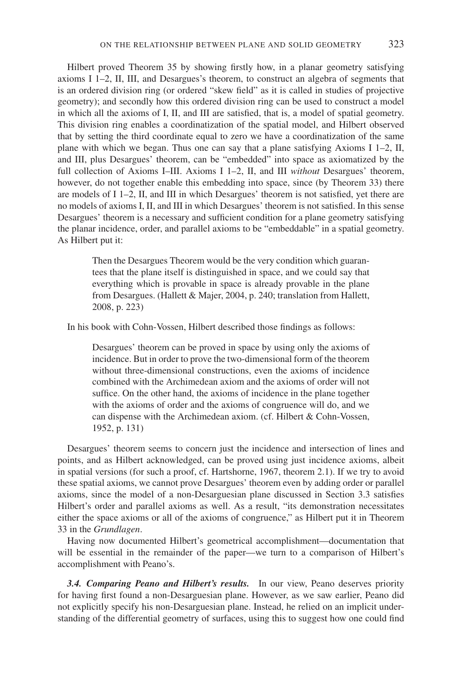Hilbert proved Theorem 35 by showing firstly how, in a planar geometry satisfying axioms I 1–2, II, III, and Desargues's theorem, to construct an algebra of segments that is an ordered division ring (or ordered "skew field" as it is called in studies of projective geometry); and secondly how this ordered division ring can be used to construct a model in which all the axioms of I, II, and III are satisfied, that is, a model of spatial geometry. This division ring enables a coordinatization of the spatial model, and Hilbert observed that by setting the third coordinate equal to zero we have a coordinatization of the same plane with which we began. Thus one can say that a plane satisfying Axioms I 1–2, II, and III, plus Desargues' theorem, can be "embedded" into space as axiomatized by the full collection of Axioms I–III. Axioms I 1–2, II, and III *without* Desargues' theorem, however, do not together enable this embedding into space, since (by Theorem 33) there are models of I 1–2, II, and III in which Desargues' theorem is not satisfied, yet there are no models of axioms I, II, and III in which Desargues' theorem is not satisfied. In this sense Desargues' theorem is a necessary and sufficient condition for a plane geometry satisfying the planar incidence, order, and parallel axioms to be "embeddable" in a spatial geometry. As Hilbert put it:

Then the Desargues Theorem would be the very condition which guarantees that the plane itself is distinguished in space, and we could say that everything which is provable in space is already provable in the plane from Desargues. (Hallett & Majer, 2004, p. 240; translation from Hallett, 2008, p. 223)

In his book with Cohn-Vossen, Hilbert described those findings as follows:

Desargues' theorem can be proved in space by using only the axioms of incidence. But in order to prove the two-dimensional form of the theorem without three-dimensional constructions, even the axioms of incidence combined with the Archimedean axiom and the axioms of order will not suffice. On the other hand, the axioms of incidence in the plane together with the axioms of order and the axioms of congruence will do, and we can dispense with the Archimedean axiom. (cf. Hilbert & Cohn-Vossen, 1952, p. 131)

Desargues' theorem seems to concern just the incidence and intersection of lines and points, and as Hilbert acknowledged, can be proved using just incidence axioms, albeit in spatial versions (for such a proof, cf. Hartshorne, 1967, theorem 2.1). If we try to avoid these spatial axioms, we cannot prove Desargues' theorem even by adding order or parallel axioms, since the model of a non-Desarguesian plane discussed in Section 3.3 satisfies Hilbert's order and parallel axioms as well. As a result, "its demonstration necessitates either the space axioms or all of the axioms of congruence," as Hilbert put it in Theorem 33 in the *Grundlagen*.

Having now documented Hilbert's geometrical accomplishment—documentation that will be essential in the remainder of the paper—we turn to a comparison of Hilbert's accomplishment with Peano's.

*3.4. Comparing Peano and Hilbert's results.* In our view, Peano deserves priority for having first found a non-Desarguesian plane. However, as we saw earlier, Peano did not explicitly specify his non-Desarguesian plane. Instead, he relied on an implicit understanding of the differential geometry of surfaces, using this to suggest how one could find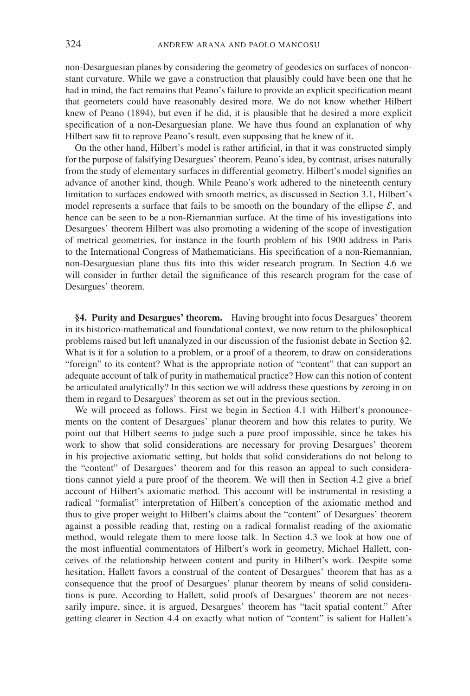non-Desarguesian planes by considering the geometry of geodesics on surfaces of nonconstant curvature. While we gave a construction that plausibly could have been one that he had in mind, the fact remains that Peano's failure to provide an explicit specification meant that geometers could have reasonably desired more. We do not know whether Hilbert knew of Peano (1894), but even if he did, it is plausible that he desired a more explicit specification of a non-Desarguesian plane. We have thus found an explanation of why Hilbert saw fit to reprove Peano's result, even supposing that he knew of it.

On the other hand, Hilbert's model is rather artificial, in that it was constructed simply for the purpose of falsifying Desargues' theorem. Peano's idea, by contrast, arises naturally from the study of elementary surfaces in differential geometry. Hilbert's model signifies an advance of another kind, though. While Peano's work adhered to the nineteenth century limitation to surfaces endowed with smooth metrics, as discussed in Section 3.1, Hilbert's model represents a surface that fails to be smooth on the boundary of the ellipse  $\mathcal{E}$ , and hence can be seen to be a non-Riemannian surface. At the time of his investigations into Desargues' theorem Hilbert was also promoting a widening of the scope of investigation of metrical geometries, for instance in the fourth problem of his 1900 address in Paris to the International Congress of Mathematicians. His specification of a non-Riemannian, non-Desarguesian plane thus fits into this wider research program. In Section 4.6 we will consider in further detail the significance of this research program for the case of Desargues' theorem.

**§4. Purity and Desargues' theorem.** Having brought into focus Desargues' theorem in its historico-mathematical and foundational context, we now return to the philosophical problems raised but left unanalyzed in our discussion of the fusionist debate in Section §2. What is it for a solution to a problem, or a proof of a theorem, to draw on considerations "foreign" to its content? What is the appropriate notion of "content" that can support an adequate account of talk of purity in mathematical practice? How can this notion of content be articulated analytically? In this section we will address these questions by zeroing in on them in regard to Desargues' theorem as set out in the previous section.

We will proceed as follows. First we begin in Section 4.1 with Hilbert's pronouncements on the content of Desargues' planar theorem and how this relates to purity. We point out that Hilbert seems to judge such a pure proof impossible, since he takes his work to show that solid considerations are necessary for proving Desargues' theorem in his projective axiomatic setting, but holds that solid considerations do not belong to the "content" of Desargues' theorem and for this reason an appeal to such considerations cannot yield a pure proof of the theorem. We will then in Section 4.2 give a brief account of Hilbert's axiomatic method. This account will be instrumental in resisting a radical "formalist" interpretation of Hilbert's conception of the axiomatic method and thus to give proper weight to Hilbert's claims about the "content" of Desargues' theorem against a possible reading that, resting on a radical formalist reading of the axiomatic method, would relegate them to mere loose talk. In Section 4.3 we look at how one of the most influential commentators of Hilbert's work in geometry, Michael Hallett, conceives of the relationship between content and purity in Hilbert's work. Despite some hesitation, Hallett favors a construal of the content of Desargues' theorem that has as a consequence that the proof of Desargues' planar theorem by means of solid considerations is pure. According to Hallett, solid proofs of Desargues' theorem are not necessarily impure, since, it is argued, Desargues' theorem has "tacit spatial content." After getting clearer in Section 4.4 on exactly what notion of "content" is salient for Hallett's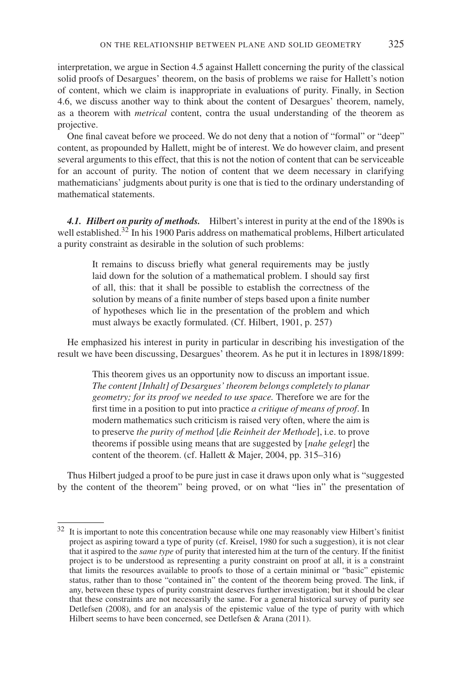interpretation, we argue in Section 4.5 against Hallett concerning the purity of the classical solid proofs of Desargues' theorem, on the basis of problems we raise for Hallett's notion of content, which we claim is inappropriate in evaluations of purity. Finally, in Section 4.6, we discuss another way to think about the content of Desargues' theorem, namely, as a theorem with *metrical* content, contra the usual understanding of the theorem as projective.

One final caveat before we proceed. We do not deny that a notion of "formal" or "deep" content, as propounded by Hallett, might be of interest. We do however claim, and present several arguments to this effect, that this is not the notion of content that can be serviceable for an account of purity. The notion of content that we deem necessary in clarifying mathematicians' judgments about purity is one that is tied to the ordinary understanding of mathematical statements.

*4.1. Hilbert on purity of methods.* Hilbert's interest in purity at the end of the 1890s is well established.<sup>32</sup> In his 1900 Paris address on mathematical problems, Hilbert articulated a purity constraint as desirable in the solution of such problems:

It remains to discuss briefly what general requirements may be justly laid down for the solution of a mathematical problem. I should say first of all, this: that it shall be possible to establish the correctness of the solution by means of a finite number of steps based upon a finite number of hypotheses which lie in the presentation of the problem and which must always be exactly formulated. (Cf. Hilbert, 1901, p. 257)

He emphasized his interest in purity in particular in describing his investigation of the result we have been discussing, Desargues' theorem. As he put it in lectures in 1898/1899:

This theorem gives us an opportunity now to discuss an important issue. *The content [Inhalt] of Desargues' theorem belongs completely to planar geometry; for its proof we needed to use space.* Therefore we are for the first time in a position to put into practice *a critique of means of proof*. In modern mathematics such criticism is raised very often, where the aim is to preserve *the purity of method* [*die Reinheit der Methode*], i.e. to prove theorems if possible using means that are suggested by [*nahe gelegt*] the content of the theorem. (cf. Hallett & Majer, 2004, pp. 315–316)

Thus Hilbert judged a proof to be pure just in case it draws upon only what is "suggested by the content of the theorem" being proved, or on what "lies in" the presentation of

<sup>32</sup> It is important to note this concentration because while one may reasonably view Hilbert's finitist project as aspiring toward a type of purity (cf. Kreisel, 1980 for such a suggestion), it is not clear that it aspired to the *same type* of purity that interested him at the turn of the century. If the finitist project is to be understood as representing a purity constraint on proof at all, it is a constraint that limits the resources available to proofs to those of a certain minimal or "basic" epistemic status, rather than to those "contained in" the content of the theorem being proved. The link, if any, between these types of purity constraint deserves further investigation; but it should be clear that these constraints are not necessarily the same. For a general historical survey of purity see Detlefsen (2008), and for an analysis of the epistemic value of the type of purity with which Hilbert seems to have been concerned, see Detlefsen & Arana (2011).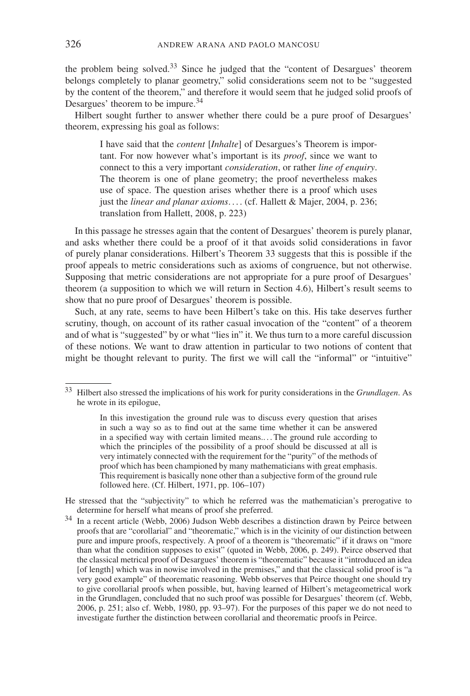the problem being solved.<sup>33</sup> Since he judged that the "content of Desargues' theorem belongs completely to planar geometry," solid considerations seem not to be "suggested by the content of the theorem," and therefore it would seem that he judged solid proofs of Desargues' theorem to be impure.<sup>34</sup>

Hilbert sought further to answer whether there could be a pure proof of Desargues' theorem, expressing his goal as follows:

I have said that the *content* [*Inhalte*] of Desargues's Theorem is important. For now however what's important is its *proof*, since we want to connect to this a very important *consideration*, or rather *line of enquiry*. The theorem is one of plane geometry; the proof nevertheless makes use of space. The question arises whether there is a proof which uses just the *linear and planar axioms*.... (cf. Hallett & Majer, 2004, p. 236; translation from Hallett, 2008, p. 223)

In this passage he stresses again that the content of Desargues' theorem is purely planar, and asks whether there could be a proof of it that avoids solid considerations in favor of purely planar considerations. Hilbert's Theorem 33 suggests that this is possible if the proof appeals to metric considerations such as axioms of congruence, but not otherwise. Supposing that metric considerations are not appropriate for a pure proof of Desargues' theorem (a supposition to which we will return in Section 4.6), Hilbert's result seems to show that no pure proof of Desargues' theorem is possible.

Such, at any rate, seems to have been Hilbert's take on this. His take deserves further scrutiny, though, on account of its rather casual invocation of the "content" of a theorem and of what is "suggested" by or what "lies in" it. We thus turn to a more careful discussion of these notions. We want to draw attention in particular to two notions of content that might be thought relevant to purity. The first we will call the "informal" or "intuitive"

<sup>33</sup> Hilbert also stressed the implications of his work for purity considerations in the *Grundlagen*. As he wrote in its epilogue,

In this investigation the ground rule was to discuss every question that arises in such a way so as to find out at the same time whether it can be answered in a specified way with certain limited means.. . . The ground rule according to which the principles of the possibility of a proof should be discussed at all is very intimately connected with the requirement for the "purity" of the methods of proof which has been championed by many mathematicians with great emphasis. This requirement is basically none other than a subjective form of the ground rule followed here. (Cf. Hilbert, 1971, pp. 106–107)

He stressed that the "subjectivity" to which he referred was the mathematician's prerogative to determine for herself what means of proof she preferred.

<sup>&</sup>lt;sup>34</sup> In a recent article (Webb, 2006) Judson Webb describes a distinction drawn by Peirce between proofs that are "corollarial" and "theorematic," which is in the vicinity of our distinction between pure and impure proofs, respectively. A proof of a theorem is "theorematic" if it draws on "more than what the condition supposes to exist" (quoted in Webb, 2006, p. 249). Peirce observed that the classical metrical proof of Desargues' theorem is "theorematic" because it "introduced an idea [of length] which was in nowise involved in the premises," and that the classical solid proof is "a very good example" of theorematic reasoning. Webb observes that Peirce thought one should try to give corollarial proofs when possible, but, having learned of Hilbert's metageometrical work in the Grundlagen, concluded that no such proof was possible for Desargues' theorem (cf. Webb, 2006, p. 251; also cf. Webb, 1980, pp. 93–97). For the purposes of this paper we do not need to investigate further the distinction between corollarial and theorematic proofs in Peirce.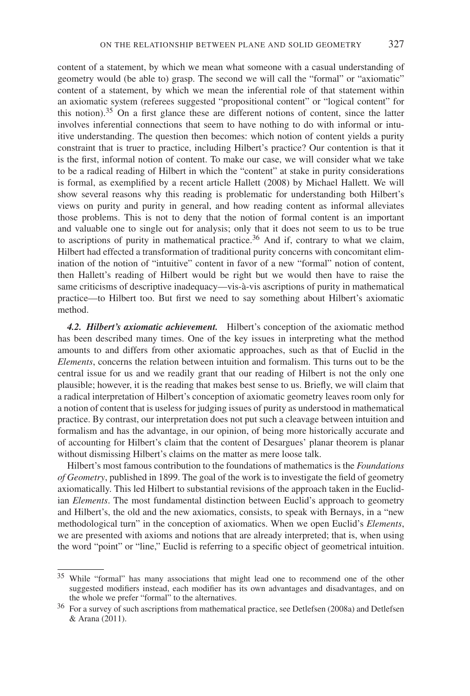content of a statement, by which we mean what someone with a casual understanding of geometry would (be able to) grasp. The second we will call the "formal" or "axiomatic" content of a statement, by which we mean the inferential role of that statement within

an axiomatic system (referees suggested "propositional content" or "logical content" for this notion).<sup>35</sup> On a first glance these are different notions of content, since the latter involves inferential connections that seem to have nothing to do with informal or intuitive understanding. The question then becomes: which notion of content yields a purity constraint that is truer to practice, including Hilbert's practice? Our contention is that it is the first, informal notion of content. To make our case, we will consider what we take to be a radical reading of Hilbert in which the "content" at stake in purity considerations is formal, as exemplified by a recent article Hallett (2008) by Michael Hallett. We will show several reasons why this reading is problematic for understanding both Hilbert's views on purity and purity in general, and how reading content as informal alleviates those problems. This is not to deny that the notion of formal content is an important and valuable one to single out for analysis; only that it does not seem to us to be true to ascriptions of purity in mathematical practice.<sup>36</sup> And if, contrary to what we claim, Hilbert had effected a transformation of traditional purity concerns with concomitant elimination of the notion of "intuitive" content in favor of a new "formal" notion of content, then Hallett's reading of Hilbert would be right but we would then have to raise the same criticisms of descriptive inadequacy—vis-à-vis ascriptions of purity in mathematical practice—to Hilbert too. But first we need to say something about Hilbert's axiomatic method.

*4.2. Hilbert's axiomatic achievement.* Hilbert's conception of the axiomatic method has been described many times. One of the key issues in interpreting what the method amounts to and differs from other axiomatic approaches, such as that of Euclid in the *Elements*, concerns the relation between intuition and formalism. This turns out to be the central issue for us and we readily grant that our reading of Hilbert is not the only one plausible; however, it is the reading that makes best sense to us. Briefly, we will claim that a radical interpretation of Hilbert's conception of axiomatic geometry leaves room only for a notion of content that is useless for judging issues of purity as understood in mathematical practice. By contrast, our interpretation does not put such a cleavage between intuition and formalism and has the advantage, in our opinion, of being more historically accurate and of accounting for Hilbert's claim that the content of Desargues' planar theorem is planar without dismissing Hilbert's claims on the matter as mere loose talk.

Hilbert's most famous contribution to the foundations of mathematics is the *Foundations of Geometry*, published in 1899. The goal of the work is to investigate the field of geometry axiomatically. This led Hilbert to substantial revisions of the approach taken in the Euclidian *Elements*. The most fundamental distinction between Euclid's approach to geometry and Hilbert's, the old and the new axiomatics, consists, to speak with Bernays, in a "new methodological turn" in the conception of axiomatics. When we open Euclid's *Elements*, we are presented with axioms and notions that are already interpreted; that is, when using the word "point" or "line," Euclid is referring to a specific object of geometrical intuition.

<sup>35</sup> While "formal" has many associations that might lead one to recommend one of the other suggested modifiers instead, each modifier has its own advantages and disadvantages, and on the whole we prefer "formal" to the alternatives.

<sup>36</sup> For a survey of such ascriptions from mathematical practice, see Detlefsen (2008a) and Detlefsen & Arana (2011).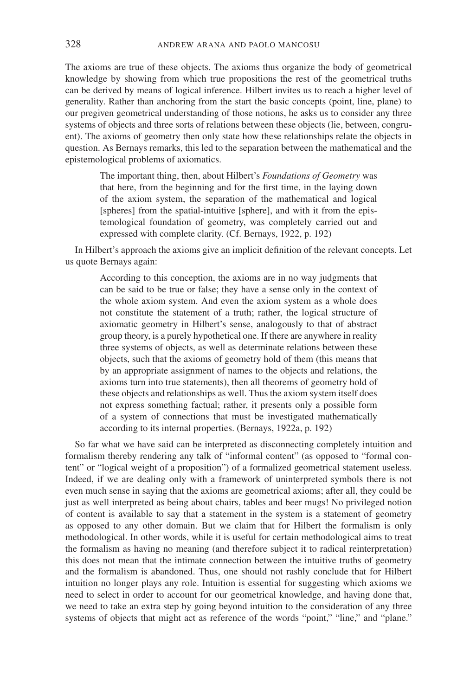The axioms are true of these objects. The axioms thus organize the body of geometrical knowledge by showing from which true propositions the rest of the geometrical truths can be derived by means of logical inference. Hilbert invites us to reach a higher level of generality. Rather than anchoring from the start the basic concepts (point, line, plane) to our pregiven geometrical understanding of those notions, he asks us to consider any three systems of objects and three sorts of relations between these objects (lie, between, congruent). The axioms of geometry then only state how these relationships relate the objects in question. As Bernays remarks, this led to the separation between the mathematical and the epistemological problems of axiomatics.

> The important thing, then, about Hilbert's *Foundations of Geometry* was that here, from the beginning and for the first time, in the laying down of the axiom system, the separation of the mathematical and logical [spheres] from the spatial-intuitive [sphere], and with it from the epistemological foundation of geometry, was completely carried out and expressed with complete clarity. (Cf. Bernays, 1922, p. 192)

In Hilbert's approach the axioms give an implicit definition of the relevant concepts. Let us quote Bernays again:

According to this conception, the axioms are in no way judgments that can be said to be true or false; they have a sense only in the context of the whole axiom system. And even the axiom system as a whole does not constitute the statement of a truth; rather, the logical structure of axiomatic geometry in Hilbert's sense, analogously to that of abstract group theory, is a purely hypothetical one. If there are anywhere in reality three systems of objects, as well as determinate relations between these objects, such that the axioms of geometry hold of them (this means that by an appropriate assignment of names to the objects and relations, the axioms turn into true statements), then all theorems of geometry hold of these objects and relationships as well. Thus the axiom system itself does not express something factual; rather, it presents only a possible form of a system of connections that must be investigated mathematically according to its internal properties. (Bernays, 1922a, p. 192)

So far what we have said can be interpreted as disconnecting completely intuition and formalism thereby rendering any talk of "informal content" (as opposed to "formal content" or "logical weight of a proposition") of a formalized geometrical statement useless. Indeed, if we are dealing only with a framework of uninterpreted symbols there is not even much sense in saying that the axioms are geometrical axioms; after all, they could be just as well interpreted as being about chairs, tables and beer mugs! No privileged notion of content is available to say that a statement in the system is a statement of geometry as opposed to any other domain. But we claim that for Hilbert the formalism is only methodological. In other words, while it is useful for certain methodological aims to treat the formalism as having no meaning (and therefore subject it to radical reinterpretation) this does not mean that the intimate connection between the intuitive truths of geometry and the formalism is abandoned. Thus, one should not rashly conclude that for Hilbert intuition no longer plays any role. Intuition is essential for suggesting which axioms we need to select in order to account for our geometrical knowledge, and having done that, we need to take an extra step by going beyond intuition to the consideration of any three systems of objects that might act as reference of the words "point," "line," and "plane."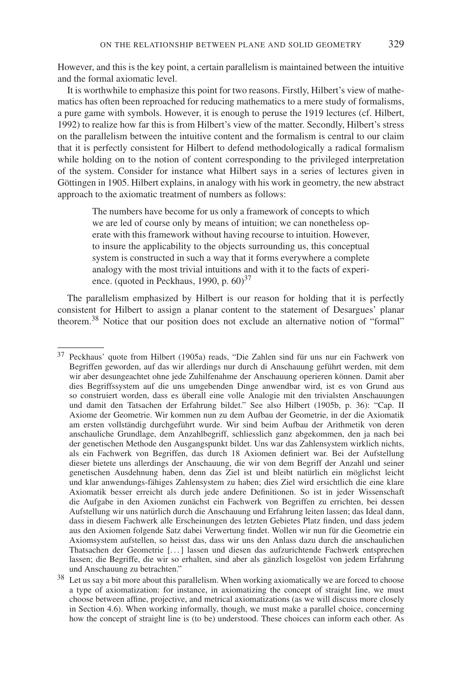However, and this is the key point, a certain parallelism is maintained between the intuitive and the formal axiomatic level.

It is worthwhile to emphasize this point for two reasons. Firstly, Hilbert's view of mathematics has often been reproached for reducing mathematics to a mere study of formalisms, a pure game with symbols. However, it is enough to peruse the 1919 lectures (cf. Hilbert, 1992) to realize how far this is from Hilbert's view of the matter. Secondly, Hilbert's stress on the parallelism between the intuitive content and the formalism is central to our claim that it is perfectly consistent for Hilbert to defend methodologically a radical formalism while holding on to the notion of content corresponding to the privileged interpretation of the system. Consider for instance what Hilbert says in a series of lectures given in Göttingen in 1905. Hilbert explains, in analogy with his work in geometry, the new abstract approach to the axiomatic treatment of numbers as follows:

The numbers have become for us only a framework of concepts to which we are led of course only by means of intuition; we can nonetheless operate with this framework without having recourse to intuition. However, to insure the applicability to the objects surrounding us, this conceptual system is constructed in such a way that it forms everywhere a complete analogy with the most trivial intuitions and with it to the facts of experience. (quoted in Peckhaus, 1990, p. 60)<sup>37</sup>

The parallelism emphasized by Hilbert is our reason for holding that it is perfectly consistent for Hilbert to assign a planar content to the statement of Desargues' planar theorem.<sup>38</sup> Notice that our position does not exclude an alternative notion of "formal"

 $37$  Peckhaus' quote from Hilbert (1905a) reads, "Die Zahlen sind für uns nur ein Fachwerk von Begriffen geworden, auf das wir allerdings nur durch di Anschauung geführt werden, mit dem wir aber desungeachtet ohne jede Zuhilfenahme der Anschauung operieren können. Damit aber dies Begriffssystem auf die uns umgebenden Dinge anwendbar wird, ist es von Grund aus so construiert worden, dass es überall eine volle Analogie mit den trivialsten Anschauungen und damit den Tatsachen der Erfahrung bildet." See also Hilbert (1905b, p. 36): "Cap. II Axiome der Geometrie. Wir kommen nun zu dem Aufbau der Geometrie, in der die Axiomatik am ersten vollständig durchgeführt wurde. Wir sind beim Aufbau der Arithmetik von deren anschauliche Grundlage, dem Anzahlbegriff, schliesslich ganz abgekommen, den ja nach bei der genetischen Methode den Ausgangspunkt bildet. Uns war das Zahlensystem wirklich nichts, als ein Fachwerk von Begriffen, das durch 18 Axiomen definiert war. Bei der Aufstellung dieser bietete uns allerdings der Anschauung, die wir von dem Begriff der Anzahl und seiner genetischen Ausdehnung haben, denn das Ziel ist und bleibt natürlich ein möglichst leicht und klar anwendungs-fähiges Zahlensystem zu haben; dies Ziel wird ersichtlich die eine klare Axiomatik besser erreicht als durch jede andere Definitionen. So ist in jeder Wissenschaft die Aufgabe in den Axiomen zunachst ein Fachwerk von Begriffen zu errichten, bei dessen ¨ Aufstellung wir uns naturlich durch die Anschauung und Erfahrung leiten lassen; das Ideal dann, ¨ dass in diesem Fachwerk alle Erscheinungen des letzten Gebietes Platz finden, und dass jedem aus den Axiomen folgende Satz dabei Verwertung findet. Wollen wir nun fur die Geometrie ein ¨ Axiomsystem aufstellen, so heisst das, dass wir uns den Anlass dazu durch die anschaulichen Thatsachen der Geometrie [. . . ] lassen und diesen das aufzurichtende Fachwerk entsprechen lassen; die Begriffe, die wir so erhalten, sind aber als gänzlich losgelöst von jedem Erfahrung und Anschauung zu betrachten."

<sup>&</sup>lt;sup>38</sup> Let us say a bit more about this parallelism. When working axiomatically we are forced to choose a type of axiomatization: for instance, in axiomatizing the concept of straight line, we must choose between affine, projective, and metrical axiomatizations (as we will discuss more closely in Section 4.6). When working informally, though, we must make a parallel choice, concerning how the concept of straight line is (to be) understood. These choices can inform each other. As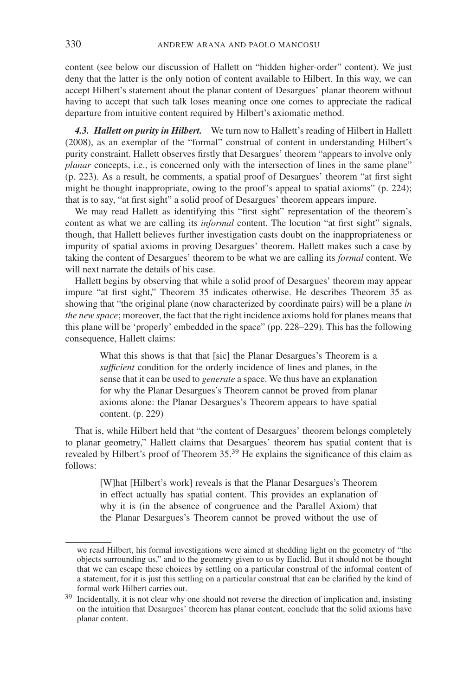content (see below our discussion of Hallett on "hidden higher-order" content). We just deny that the latter is the only notion of content available to Hilbert. In this way, we can accept Hilbert's statement about the planar content of Desargues' planar theorem without having to accept that such talk loses meaning once one comes to appreciate the radical departure from intuitive content required by Hilbert's axiomatic method.

*4.3. Hallett on purity in Hilbert.* We turn now to Hallett's reading of Hilbert in Hallett (2008), as an exemplar of the "formal" construal of content in understanding Hilbert's purity constraint. Hallett observes firstly that Desargues' theorem "appears to involve only *planar* concepts, i.e., is concerned only with the intersection of lines in the same plane" (p. 223). As a result, he comments, a spatial proof of Desargues' theorem "at first sight might be thought inappropriate, owing to the proof's appeal to spatial axioms" (p. 224); that is to say, "at first sight" a solid proof of Desargues' theorem appears impure.

We may read Hallett as identifying this "first sight" representation of the theorem's content as what we are calling its *informal* content. The locution "at first sight" signals, though, that Hallett believes further investigation casts doubt on the inappropriateness or impurity of spatial axioms in proving Desargues' theorem. Hallett makes such a case by taking the content of Desargues' theorem to be what we are calling its *formal* content. We will next narrate the details of his case.

Hallett begins by observing that while a solid proof of Desargues' theorem may appear impure "at first sight," Theorem 35 indicates otherwise. He describes Theorem 35 as showing that "the original plane (now characterized by coordinate pairs) will be a plane *in the new space*; moreover, the fact that the right incidence axioms hold for planes means that this plane will be 'properly' embedded in the space" (pp. 228–229). This has the following consequence, Hallett claims:

What this shows is that that [sic] the Planar Desargues's Theorem is a *sufficient* condition for the orderly incidence of lines and planes, in the sense that it can be used to *generate* a space. We thus have an explanation for why the Planar Desargues's Theorem cannot be proved from planar axioms alone: the Planar Desargues's Theorem appears to have spatial content. (p. 229)

That is, while Hilbert held that "the content of Desargues' theorem belongs completely to planar geometry," Hallett claims that Desargues' theorem has spatial content that is revealed by Hilbert's proof of Theorem 35.<sup>39</sup> He explains the significance of this claim as follows:

[W]hat [Hilbert's work] reveals is that the Planar Desargues's Theorem in effect actually has spatial content. This provides an explanation of why it is (in the absence of congruence and the Parallel Axiom) that the Planar Desargues's Theorem cannot be proved without the use of

we read Hilbert, his formal investigations were aimed at shedding light on the geometry of "the objects surrounding us," and to the geometry given to us by Euclid. But it should not be thought that we can escape these choices by settling on a particular construal of the informal content of a statement, for it is just this settling on a particular construal that can be clarified by the kind of formal work Hilbert carries out.

<sup>39</sup> Incidentally, it is not clear why one should not reverse the direction of implication and, insisting on the intuition that Desargues' theorem has planar content, conclude that the solid axioms have planar content.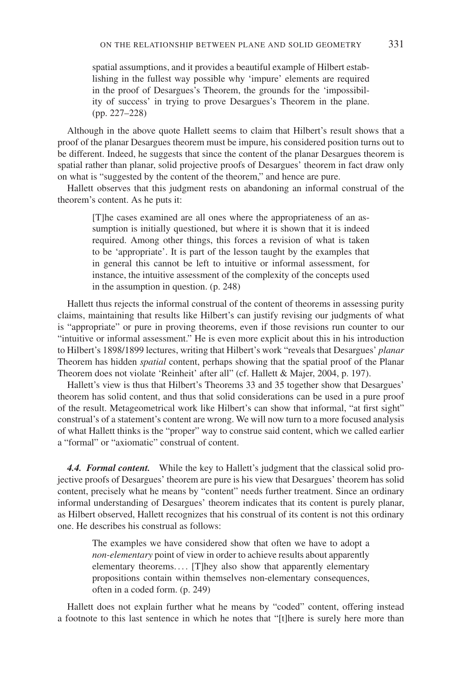spatial assumptions, and it provides a beautiful example of Hilbert establishing in the fullest way possible why 'impure' elements are required in the proof of Desargues's Theorem, the grounds for the 'impossibility of success' in trying to prove Desargues's Theorem in the plane. (pp. 227–228)

Although in the above quote Hallett seems to claim that Hilbert's result shows that a proof of the planar Desargues theorem must be impure, his considered position turns out to be different. Indeed, he suggests that since the content of the planar Desargues theorem is spatial rather than planar, solid projective proofs of Desargues' theorem in fact draw only on what is "suggested by the content of the theorem," and hence are pure.

Hallett observes that this judgment rests on abandoning an informal construal of the theorem's content. As he puts it:

[T]he cases examined are all ones where the appropriateness of an assumption is initially questioned, but where it is shown that it is indeed required. Among other things, this forces a revision of what is taken to be 'appropriate'. It is part of the lesson taught by the examples that in general this cannot be left to intuitive or informal assessment, for instance, the intuitive assessment of the complexity of the concepts used in the assumption in question. (p. 248)

Hallett thus rejects the informal construal of the content of theorems in assessing purity claims, maintaining that results like Hilbert's can justify revising our judgments of what is "appropriate" or pure in proving theorems, even if those revisions run counter to our "intuitive or informal assessment." He is even more explicit about this in his introduction to Hilbert's 1898/1899 lectures, writing that Hilbert's work "reveals that Desargues' *planar* Theorem has hidden *spatial* content, perhaps showing that the spatial proof of the Planar Theorem does not violate 'Reinheit' after all" (cf. Hallett & Majer, 2004, p. 197).

Hallett's view is thus that Hilbert's Theorems 33 and 35 together show that Desargues' theorem has solid content, and thus that solid considerations can be used in a pure proof of the result. Metageometrical work like Hilbert's can show that informal, "at first sight" construal's of a statement's content are wrong. We will now turn to a more focused analysis of what Hallett thinks is the "proper" way to construe said content, which we called earlier a "formal" or "axiomatic" construal of content.

*4.4. Formal content.* While the key to Hallett's judgment that the classical solid projective proofs of Desargues' theorem are pure is his view that Desargues' theorem has solid content, precisely what he means by "content" needs further treatment. Since an ordinary informal understanding of Desargues' theorem indicates that its content is purely planar, as Hilbert observed, Hallett recognizes that his construal of its content is not this ordinary one. He describes his construal as follows:

The examples we have considered show that often we have to adopt a *non-elementary* point of view in order to achieve results about apparently elementary theorems.... [T]hey also show that apparently elementary propositions contain within themselves non-elementary consequences, often in a coded form. (p. 249)

Hallett does not explain further what he means by "coded" content, offering instead a footnote to this last sentence in which he notes that "[t]here is surely here more than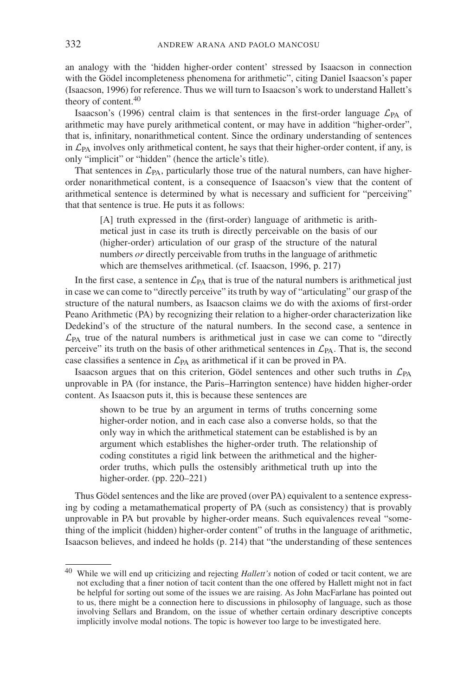an analogy with the 'hidden higher-order content' stressed by Isaacson in connection with the Gödel incompleteness phenomena for arithmetic", citing Daniel Isaacson's paper (Isaacson, 1996) for reference. Thus we will turn to Isaacson's work to understand Hallett's theory of content.40

Isaacson's (1996) central claim is that sentences in the first-order language  $\mathcal{L}_{PA}$  of arithmetic may have purely arithmetical content, or may have in addition "higher-order", that is, infinitary, nonarithmetical content. Since the ordinary understanding of sentences in  $\mathcal{L}_{PA}$  involves only arithmetical content, he says that their higher-order content, if any, is only "implicit" or "hidden" (hence the article's title).

That sentences in  $\mathcal{L}_{PA}$ , particularly those true of the natural numbers, can have higherorder nonarithmetical content, is a consequence of Isaacson's view that the content of arithmetical sentence is determined by what is necessary and sufficient for "perceiving" that that sentence is true. He puts it as follows:

> [A] truth expressed in the (first-order) language of arithmetic is arithmetical just in case its truth is directly perceivable on the basis of our (higher-order) articulation of our grasp of the structure of the natural numbers *or* directly perceivable from truths in the language of arithmetic which are themselves arithmetical. (cf. Isaacson, 1996, p. 217)

In the first case, a sentence in  $\mathcal{L}_{PA}$  that is true of the natural numbers is arithmetical just in case we can come to "directly perceive" its truth by way of "articulating" our grasp of the structure of the natural numbers, as Isaacson claims we do with the axioms of first-order Peano Arithmetic (PA) by recognizing their relation to a higher-order characterization like Dedekind's of the structure of the natural numbers. In the second case, a sentence in  $\mathcal{L}_{\text{PA}}$  true of the natural numbers is arithmetical just in case we can come to "directly" perceive" its truth on the basis of other arithmetical sentences in  $\mathcal{L}_{PA}$ . That is, the second case classifies a sentence in  $\mathcal{L}_{PA}$  as arithmetical if it can be proved in PA.

Isaacson argues that on this criterion, Gödel sentences and other such truths in  $\mathcal{L}_{PA}$ unprovable in PA (for instance, the Paris–Harrington sentence) have hidden higher-order content. As Isaacson puts it, this is because these sentences are

shown to be true by an argument in terms of truths concerning some higher-order notion, and in each case also a converse holds, so that the only way in which the arithmetical statement can be established is by an argument which establishes the higher-order truth. The relationship of coding constitutes a rigid link between the arithmetical and the higherorder truths, which pulls the ostensibly arithmetical truth up into the higher-order. (pp. 220–221)

Thus Gödel sentences and the like are proved (over PA) equivalent to a sentence expressing by coding a metamathematical property of PA (such as consistency) that is provably unprovable in PA but provable by higher-order means. Such equivalences reveal "something of the implicit (hidden) higher-order content" of truths in the language of arithmetic, Isaacson believes, and indeed he holds (p. 214) that "the understanding of these sentences

<sup>40</sup> While we will end up criticizing and rejecting *Hallett's* notion of coded or tacit content, we are not excluding that a finer notion of tacit content than the one offered by Hallett might not in fact be helpful for sorting out some of the issues we are raising. As John MacFarlane has pointed out to us, there might be a connection here to discussions in philosophy of language, such as those involving Sellars and Brandom, on the issue of whether certain ordinary descriptive concepts implicitly involve modal notions. The topic is however too large to be investigated here.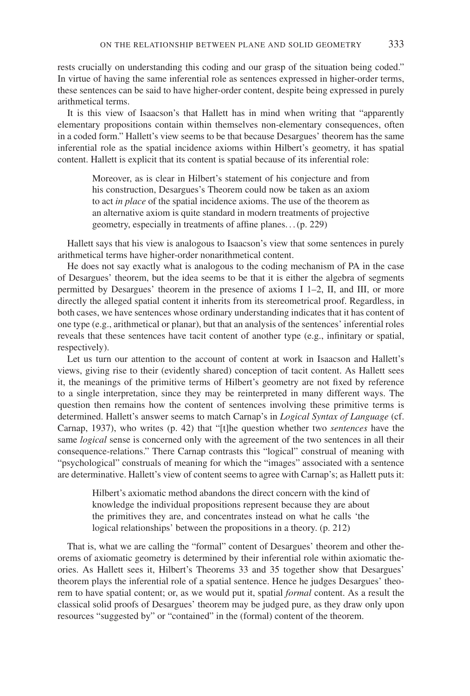rests crucially on understanding this coding and our grasp of the situation being coded." In virtue of having the same inferential role as sentences expressed in higher-order terms, these sentences can be said to have higher-order content, despite being expressed in purely arithmetical terms.

It is this view of Isaacson's that Hallett has in mind when writing that "apparently elementary propositions contain within themselves non-elementary consequences, often in a coded form." Hallett's view seems to be that because Desargues' theorem has the same inferential role as the spatial incidence axioms within Hilbert's geometry, it has spatial content. Hallett is explicit that its content is spatial because of its inferential role:

> Moreover, as is clear in Hilbert's statement of his conjecture and from his construction, Desargues's Theorem could now be taken as an axiom to act *in place* of the spatial incidence axioms. The use of the theorem as an alternative axiom is quite standard in modern treatments of projective geometry, especially in treatments of affine planes. . . (p. 229)

Hallett says that his view is analogous to Isaacson's view that some sentences in purely arithmetical terms have higher-order nonarithmetical content.

He does not say exactly what is analogous to the coding mechanism of PA in the case of Desargues' theorem, but the idea seems to be that it is either the algebra of segments permitted by Desargues' theorem in the presence of axioms I 1–2, II, and III, or more directly the alleged spatial content it inherits from its stereometrical proof. Regardless, in both cases, we have sentences whose ordinary understanding indicates that it has content of one type (e.g., arithmetical or planar), but that an analysis of the sentences' inferential roles reveals that these sentences have tacit content of another type (e.g., infinitary or spatial, respectively).

Let us turn our attention to the account of content at work in Isaacson and Hallett's views, giving rise to their (evidently shared) conception of tacit content. As Hallett sees it, the meanings of the primitive terms of Hilbert's geometry are not fixed by reference to a single interpretation, since they may be reinterpreted in many different ways. The question then remains how the content of sentences involving these primitive terms is determined. Hallett's answer seems to match Carnap's in *Logical Syntax of Language* (cf. Carnap, 1937), who writes (p. 42) that "[t]he question whether two *sentences* have the same *logical* sense is concerned only with the agreement of the two sentences in all their consequence-relations." There Carnap contrasts this "logical" construal of meaning with "psychological" construals of meaning for which the "images" associated with a sentence are determinative. Hallett's view of content seems to agree with Carnap's; as Hallett puts it:

Hilbert's axiomatic method abandons the direct concern with the kind of knowledge the individual propositions represent because they are about the primitives they are, and concentrates instead on what he calls 'the logical relationships' between the propositions in a theory. (p. 212)

That is, what we are calling the "formal" content of Desargues' theorem and other theorems of axiomatic geometry is determined by their inferential role within axiomatic theories. As Hallett sees it, Hilbert's Theorems 33 and 35 together show that Desargues' theorem plays the inferential role of a spatial sentence. Hence he judges Desargues' theorem to have spatial content; or, as we would put it, spatial *formal* content. As a result the classical solid proofs of Desargues' theorem may be judged pure, as they draw only upon resources "suggested by" or "contained" in the (formal) content of the theorem.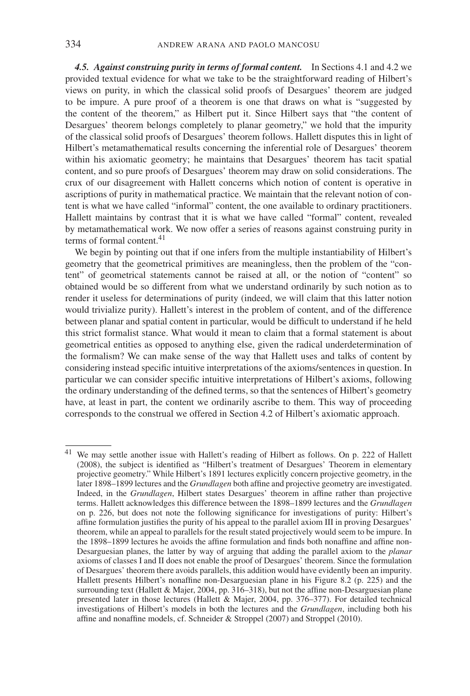*4.5. Against construing purity in terms of formal content.* In Sections 4.1 and 4.2 we provided textual evidence for what we take to be the straightforward reading of Hilbert's views on purity, in which the classical solid proofs of Desargues' theorem are judged to be impure. A pure proof of a theorem is one that draws on what is "suggested by the content of the theorem," as Hilbert put it. Since Hilbert says that "the content of Desargues' theorem belongs completely to planar geometry," we hold that the impurity of the classical solid proofs of Desargues' theorem follows. Hallett disputes this in light of Hilbert's metamathematical results concerning the inferential role of Desargues' theorem within his axiomatic geometry; he maintains that Desargues' theorem has tacit spatial content, and so pure proofs of Desargues' theorem may draw on solid considerations. The crux of our disagreement with Hallett concerns which notion of content is operative in ascriptions of purity in mathematical practice. We maintain that the relevant notion of content is what we have called "informal" content, the one available to ordinary practitioners. Hallett maintains by contrast that it is what we have called "formal" content, revealed by metamathematical work. We now offer a series of reasons against construing purity in terms of formal content.<sup>41</sup>

We begin by pointing out that if one infers from the multiple instantiability of Hilbert's geometry that the geometrical primitives are meaningless, then the problem of the "content" of geometrical statements cannot be raised at all, or the notion of "content" so obtained would be so different from what we understand ordinarily by such notion as to render it useless for determinations of purity (indeed, we will claim that this latter notion would trivialize purity). Hallett's interest in the problem of content, and of the difference between planar and spatial content in particular, would be difficult to understand if he held this strict formalist stance. What would it mean to claim that a formal statement is about geometrical entities as opposed to anything else, given the radical underdetermination of the formalism? We can make sense of the way that Hallett uses and talks of content by considering instead specific intuitive interpretations of the axioms/sentences in question. In particular we can consider specific intuitive interpretations of Hilbert's axioms, following the ordinary understanding of the defined terms, so that the sentences of Hilbert's geometry have, at least in part, the content we ordinarily ascribe to them. This way of proceeding corresponds to the construal we offered in Section 4.2 of Hilbert's axiomatic approach.

<sup>&</sup>lt;sup>41</sup> We may settle another issue with Hallett's reading of Hilbert as follows. On p. 222 of Hallett (2008), the subject is identified as "Hilbert's treatment of Desargues' Theorem in elementary projective geometry." While Hilbert's 1891 lectures explicitly concern projective geometry, in the later 1898–1899 lectures and the *Grundlagen* both affine and projective geometry are investigated. Indeed, in the *Grundlagen*, Hilbert states Desargues' theorem in affine rather than projective terms. Hallett acknowledges this difference between the 1898–1899 lectures and the *Grundlagen* on p. 226, but does not note the following significance for investigations of purity: Hilbert's affine formulation justifies the purity of his appeal to the parallel axiom III in proving Desargues' theorem, while an appeal to parallels for the result stated projectively would seem to be impure. In the 1898–1899 lectures he avoids the affine formulation and finds both nonaffine and affine non-Desarguesian planes, the latter by way of arguing that adding the parallel axiom to the *planar* axioms of classes I and II does not enable the proof of Desargues' theorem. Since the formulation of Desargues' theorem there avoids parallels, this addition would have evidently been an impurity. Hallett presents Hilbert's nonaffine non-Desarguesian plane in his Figure 8.2 (p. 225) and the surrounding text (Hallett & Majer, 2004, pp. 316–318), but not the affine non-Desarguesian plane presented later in those lectures (Hallett & Majer, 2004, pp. 376–377). For detailed technical investigations of Hilbert's models in both the lectures and the *Grundlagen*, including both his affine and nonaffine models, cf. Schneider & Stroppel (2007) and Stroppel (2010).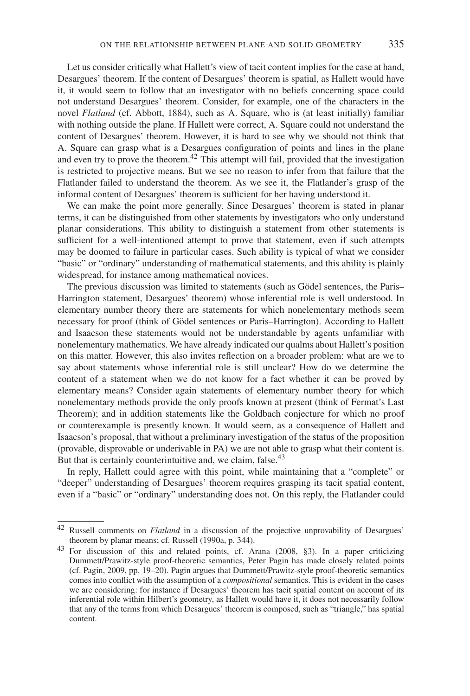Let us consider critically what Hallett's view of tacit content implies for the case at hand, Desargues' theorem. If the content of Desargues' theorem is spatial, as Hallett would have it, it would seem to follow that an investigator with no beliefs concerning space could not understand Desargues' theorem. Consider, for example, one of the characters in the novel *Flatland* (cf. Abbott, 1884), such as A. Square, who is (at least initially) familiar with nothing outside the plane. If Hallett were correct, A. Square could not understand the content of Desargues' theorem. However, it is hard to see why we should not think that A. Square can grasp what is a Desargues configuration of points and lines in the plane and even try to prove the theorem.<sup>42</sup> This attempt will fail, provided that the investigation is restricted to projective means. But we see no reason to infer from that failure that the Flatlander failed to understand the theorem. As we see it, the Flatlander's grasp of the informal content of Desargues' theorem is sufficient for her having understood it.

We can make the point more generally. Since Desargues' theorem is stated in planar terms, it can be distinguished from other statements by investigators who only understand planar considerations. This ability to distinguish a statement from other statements is sufficient for a well-intentioned attempt to prove that statement, even if such attempts may be doomed to failure in particular cases. Such ability is typical of what we consider "basic" or "ordinary" understanding of mathematical statements, and this ability is plainly widespread, for instance among mathematical novices.

The previous discussion was limited to statements (such as Gödel sentences, the Paris– Harrington statement, Desargues' theorem) whose inferential role is well understood. In elementary number theory there are statements for which nonelementary methods seem necessary for proof (think of Gödel sentences or Paris–Harrington). According to Hallett and Isaacson these statements would not be understandable by agents unfamiliar with nonelementary mathematics. We have already indicated our qualms about Hallett's position on this matter. However, this also invites reflection on a broader problem: what are we to say about statements whose inferential role is still unclear? How do we determine the content of a statement when we do not know for a fact whether it can be proved by elementary means? Consider again statements of elementary number theory for which nonelementary methods provide the only proofs known at present (think of Fermat's Last Theorem); and in addition statements like the Goldbach conjecture for which no proof or counterexample is presently known. It would seem, as a consequence of Hallett and Isaacson's proposal, that without a preliminary investigation of the status of the proposition (provable, disprovable or underivable in PA) we are not able to grasp what their content is. But that is certainly counterintuitive and, we claim, false.<sup>43</sup>

In reply, Hallett could agree with this point, while maintaining that a "complete" or "deeper" understanding of Desargues' theorem requires grasping its tacit spatial content, even if a "basic" or "ordinary" understanding does not. On this reply, the Flatlander could

<sup>42</sup> Russell comments on *Flatland* in a discussion of the projective unprovability of Desargues' theorem by planar means; cf. Russell (1990a, p. 344).

<sup>43</sup> For discussion of this and related points, cf. Arana (2008, §3). In a paper criticizing Dummett/Prawitz-style proof-theoretic semantics, Peter Pagin has made closely related points (cf. Pagin, 2009, pp. 19–20). Pagin argues that Dummett/Prawitz-style proof-theoretic semantics comes into conflict with the assumption of a *compositional* semantics. This is evident in the cases we are considering: for instance if Desargues' theorem has tacit spatial content on account of its inferential role within Hilbert's geometry, as Hallett would have it, it does not necessarily follow that any of the terms from which Desargues' theorem is composed, such as "triangle," has spatial content.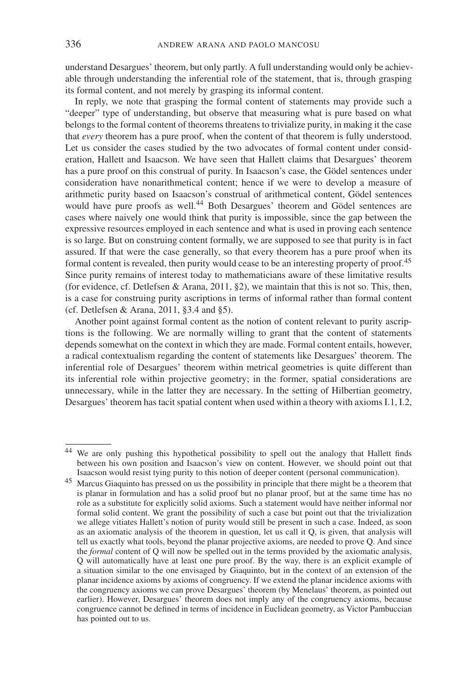understand Desargues' theorem, but only partly. A full understanding would only be achievable through understanding the inferential role of the statement, that is, through grasping its formal content, and not merely by grasping its informal content.

In reply, we note that grasping the formal content of statements may provide such a "deeper" type of understanding, but observe that measuring what is pure based on what belongs to the formal content of theorems threatens to trivialize purity, in making it the case that *every* theorem has a pure proof, when the content of that theorem is fully understood. Let us consider the cases studied by the two advocates of formal content under consideration, Hallett and Isaacson. We have seen that Hallett claims that Desargues' theorem has a pure proof on this construal of purity. In Isaacson's case, the Gödel sentences under consideration have nonarithmetical content; hence if we were to develop a measure of arithmetic purity based on Isaacson's construal of arithmetical content, Gödel sentences would have pure proofs as well.<sup>44</sup> Both Desargues' theorem and Gödel sentences are cases where naively one would think that purity is impossible, since the gap between the expressive resources employed in each sentence and what is used in proving each sentence is so large. But on construing content formally, we are supposed to see that purity is in fact assured. If that were the case generally, so that every theorem has a pure proof when its formal content is revealed, then purity would cease to be an interesting property of proof.<sup>45</sup> Since purity remains of interest today to mathematicians aware of these limitative results (for evidence, cf. Detlefsen & Arana, 2011, §2), we maintain that this is not so. This, then, is a case for construing purity ascriptions in terms of informal rather than formal content (cf. Detlefsen & Arana, 2011, §3.4 and §5).

Another point against formal content as the notion of content relevant to purity ascriptions is the following. We are normally willing to grant that the content of statements depends somewhat on the context in which they are made. Formal content entails, however, a radical contextualism regarding the content of statements like Desargues' theorem. The inferential role of Desargues' theorem within metrical geometries is quite different than its inferential role within projective geometry; in the former, spatial considerations are unnecessary, while in the latter they are necessary. In the setting of Hilbertian geometry, Desargues' theorem has tacit spatial content when used within a theory with axioms I.1, I.2,

<sup>44</sup> We are only pushing this hypothetical possibility to spell out the analogy that Hallett finds between his own position and Isaacson's view on content. However, we should point out that Isaacson would resist tying purity to this notion of deeper content (personal communication).

<sup>&</sup>lt;sup>45</sup> Marcus Giaquinto has pressed on us the possibility in principle that there might be a theorem that is planar in formulation and has a solid proof but no planar proof, but at the same time has no role as a substitute for explicitly solid axioms. Such a statement would have neither informal nor formal solid content. We grant the possibility of such a case but point out that the trivialization we allege vitiates Hallett's notion of purity would still be present in such a case. Indeed, as soon as an axiomatic analysis of the theorem in question, let us call it Q, is given, that analysis will tell us exactly what tools, beyond the planar projective axioms, are needed to prove Q. And since the *formal* content of Q will now be spelled out in the terms provided by the axiomatic analysis, Q will automatically have at least one pure proof. By the way, there is an explicit example of a situation similar to the one envisaged by Giaquinto, but in the context of an extension of the planar incidence axioms by axioms of congruency. If we extend the planar incidence axioms with the congruency axioms we can prove Desargues' theorem (by Menelaus' theorem, as pointed out earlier). However, Desargues' theorem does not imply any of the congruency axioms, because congruence cannot be defined in terms of incidence in Euclidean geometry, as Victor Pambuccian has pointed out to us.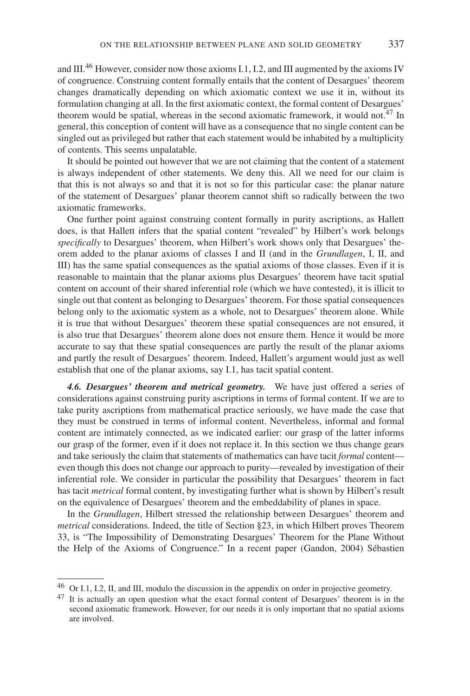and III.<sup>46</sup> However, consider now those axioms I.1, I.2, and III augmented by the axioms IV of congruence. Construing content formally entails that the content of Desargues' theorem changes dramatically depending on which axiomatic context we use it in, without its formulation changing at all. In the first axiomatic context, the formal content of Desargues' theorem would be spatial, whereas in the second axiomatic framework, it would not.<sup>47</sup> In general, this conception of content will have as a consequence that no single content can be singled out as privileged but rather that each statement would be inhabited by a multiplicity of contents. This seems unpalatable.

It should be pointed out however that we are not claiming that the content of a statement is always independent of other statements. We deny this. All we need for our claim is that this is not always so and that it is not so for this particular case: the planar nature of the statement of Desargues' planar theorem cannot shift so radically between the two axiomatic frameworks.

One further point against construing content formally in purity ascriptions, as Hallett does, is that Hallett infers that the spatial content "revealed" by Hilbert's work belongs *specifically* to Desargues' theorem, when Hilbert's work shows only that Desargues' theorem added to the planar axioms of classes I and II (and in the *Grundlagen*, I, II, and III) has the same spatial consequences as the spatial axioms of those classes. Even if it is reasonable to maintain that the planar axioms plus Desargues' theorem have tacit spatial content on account of their shared inferential role (which we have contested), it is illicit to single out that content as belonging to Desargues' theorem. For those spatial consequences belong only to the axiomatic system as a whole, not to Desargues' theorem alone. While it is true that without Desargues' theorem these spatial consequences are not ensured, it is also true that Desargues' theorem alone does not ensure them. Hence it would be more accurate to say that these spatial consequences are partly the result of the planar axioms and partly the result of Desargues' theorem. Indeed, Hallett's argument would just as well establish that one of the planar axioms, say I.1, has tacit spatial content.

*4.6. Desargues' theorem and metrical geometry.* We have just offered a series of considerations against construing purity ascriptions in terms of formal content. If we are to take purity ascriptions from mathematical practice seriously, we have made the case that they must be construed in terms of informal content. Nevertheless, informal and formal content are intimately connected, as we indicated earlier: our grasp of the latter informs our grasp of the former, even if it does not replace it. In this section we thus change gears and take seriously the claim that statements of mathematics can have tacit *formal* content even though this does not change our approach to purity—revealed by investigation of their inferential role. We consider in particular the possibility that Desargues' theorem in fact has tacit *metrical* formal content, by investigating further what is shown by Hilbert's result on the equivalence of Desargues' theorem and the embeddability of planes in space.

In the *Grundlagen*, Hilbert stressed the relationship between Desargues' theorem and *metrical* considerations. Indeed, the title of Section §23, in which Hilbert proves Theorem 33, is "The Impossibility of Demonstrating Desargues' Theorem for the Plane Without the Help of the Axioms of Congruence." In a recent paper (Gandon, 2004) Sébastien

<sup>46</sup> Or I.1, I.2, II, and III, modulo the discussion in the appendix on order in projective geometry.

<sup>&</sup>lt;sup>47</sup> It is actually an open question what the exact formal content of Desargues' theorem is in the second axiomatic framework. However, for our needs it is only important that no spatial axioms are involved.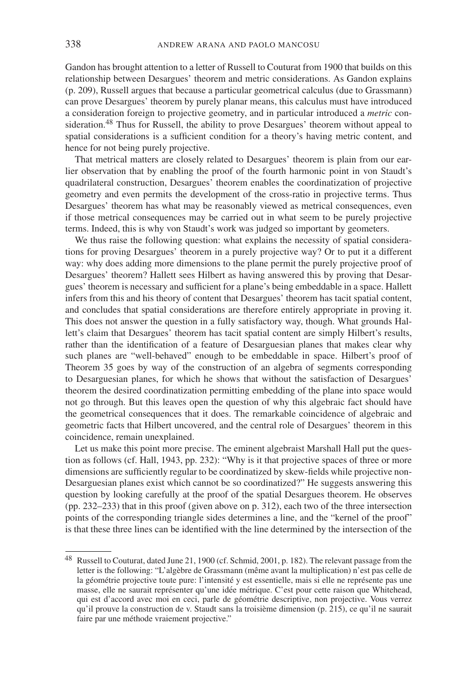Gandon has brought attention to a letter of Russell to Couturat from 1900 that builds on this relationship between Desargues' theorem and metric considerations. As Gandon explains (p. 209), Russell argues that because a particular geometrical calculus (due to Grassmann) can prove Desargues' theorem by purely planar means, this calculus must have introduced a consideration foreign to projective geometry, and in particular introduced a *metric* consideration.<sup>48</sup> Thus for Russell, the ability to prove Desargues' theorem without appeal to spatial considerations is a sufficient condition for a theory's having metric content, and hence for not being purely projective.

That metrical matters are closely related to Desargues' theorem is plain from our earlier observation that by enabling the proof of the fourth harmonic point in von Staudt's quadrilateral construction, Desargues' theorem enables the coordinatization of projective geometry and even permits the development of the cross-ratio in projective terms. Thus Desargues' theorem has what may be reasonably viewed as metrical consequences, even if those metrical consequences may be carried out in what seem to be purely projective terms. Indeed, this is why von Staudt's work was judged so important by geometers.

We thus raise the following question: what explains the necessity of spatial considerations for proving Desargues' theorem in a purely projective way? Or to put it a different way: why does adding more dimensions to the plane permit the purely projective proof of Desargues' theorem? Hallett sees Hilbert as having answered this by proving that Desargues' theorem is necessary and sufficient for a plane's being embeddable in a space. Hallett infers from this and his theory of content that Desargues' theorem has tacit spatial content, and concludes that spatial considerations are therefore entirely appropriate in proving it. This does not answer the question in a fully satisfactory way, though. What grounds Hallett's claim that Desargues' theorem has tacit spatial content are simply Hilbert's results, rather than the identification of a feature of Desarguesian planes that makes clear why such planes are "well-behaved" enough to be embeddable in space. Hilbert's proof of Theorem 35 goes by way of the construction of an algebra of segments corresponding to Desarguesian planes, for which he shows that without the satisfaction of Desargues' theorem the desired coordinatization permitting embedding of the plane into space would not go through. But this leaves open the question of why this algebraic fact should have the geometrical consequences that it does. The remarkable coincidence of algebraic and geometric facts that Hilbert uncovered, and the central role of Desargues' theorem in this coincidence, remain unexplained.

Let us make this point more precise. The eminent algebraist Marshall Hall put the question as follows (cf. Hall, 1943, pp. 232): "Why is it that projective spaces of three or more dimensions are sufficiently regular to be coordinatized by skew-fields while projective non-Desarguesian planes exist which cannot be so coordinatized?" He suggests answering this question by looking carefully at the proof of the spatial Desargues theorem. He observes (pp. 232–233) that in this proof (given above on p. 312), each two of the three intersection points of the corresponding triangle sides determines a line, and the "kernel of the proof" is that these three lines can be identified with the line determined by the intersection of the

<sup>48</sup> Russell to Couturat, dated June 21, 1900 (cf. Schmid, 2001, p. 182). The relevant passage from the letter is the following: "L'algèbre de Grassmann (même avant la multiplication) n'est pas celle de la géométrie projective toute pure: l'intensité y est essentielle, mais si elle ne représente pas une masse, elle ne saurait représenter qu'une idée métrique. C'est pour cette raison que Whitehead, qui est d'accord avec moi en ceci, parle de géométrie descriptive, non projective. Vous verrez qu'il prouve la construction de v. Staudt sans la troisieme dimension (p. 215), ce qu'il ne saurait ` faire par une méthode vraiement projective."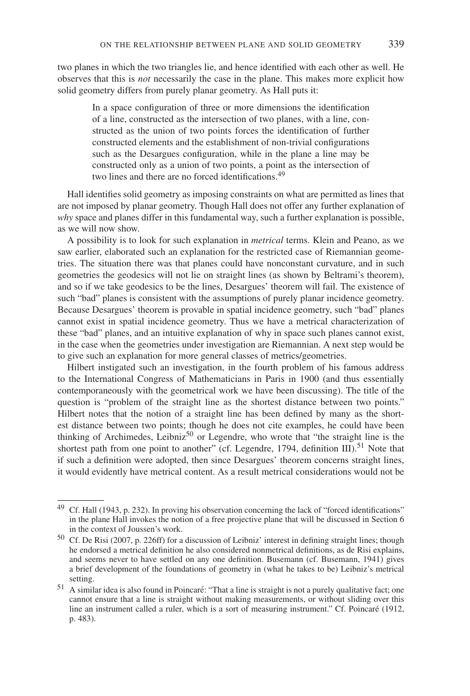two planes in which the two triangles lie, and hence identified with each other as well. He observes that this is *not* necessarily the case in the plane. This makes more explicit how solid geometry differs from purely planar geometry. As Hall puts it:

In a space configuration of three or more dimensions the identification of a line, constructed as the intersection of two planes, with a line, constructed as the union of two points forces the identification of further constructed elements and the establishment of non-trivial configurations such as the Desargues configuration, while in the plane a line may be constructed only as a union of two points, a point as the intersection of two lines and there are no forced identifications.<sup>49</sup>

Hall identifies solid geometry as imposing constraints on what are permitted as lines that are not imposed by planar geometry. Though Hall does not offer any further explanation of *why* space and planes differ in this fundamental way, such a further explanation is possible, as we will now show.

A possibility is to look for such explanation in *metrical* terms. Klein and Peano, as we saw earlier, elaborated such an explanation for the restricted case of Riemannian geometries. The situation there was that planes could have nonconstant curvature, and in such geometries the geodesics will not lie on straight lines (as shown by Beltrami's theorem), and so if we take geodesics to be the lines, Desargues' theorem will fail. The existence of such "bad" planes is consistent with the assumptions of purely planar incidence geometry. Because Desargues' theorem is provable in spatial incidence geometry, such "bad" planes cannot exist in spatial incidence geometry. Thus we have a metrical characterization of these "bad" planes, and an intuitive explanation of why in space such planes cannot exist, in the case when the geometries under investigation are Riemannian. A next step would be to give such an explanation for more general classes of metrics/geometries.

Hilbert instigated such an investigation, in the fourth problem of his famous address to the International Congress of Mathematicians in Paris in 1900 (and thus essentially contemporaneously with the geometrical work we have been discussing). The title of the question is "problem of the straight line as the shortest distance between two points." Hilbert notes that the notion of a straight line has been defined by many as the shortest distance between two points; though he does not cite examples, he could have been thinking of Archimedes, Leibniz<sup>50</sup> or Legendre, who wrote that "the straight line is the shortest path from one point to another" (cf. Legendre, 1794, definition III).<sup>51</sup> Note that if such a definition were adopted, then since Desargues' theorem concerns straight lines, it would evidently have metrical content. As a result metrical considerations would not be

<sup>49</sup> Cf. Hall (1943, p. 232). In proving his observation concerning the lack of "forced identifications" in the plane Hall invokes the notion of a free projective plane that will be discussed in Section 6 in the context of Joussen's work.

<sup>50</sup> Cf. De Risi (2007, p. 226ff) for a discussion of Leibniz' interest in defining straight lines; though he endorsed a metrical definition he also considered nonmetrical definitions, as de Risi explains, and seems never to have settled on any one definition. Busemann (cf. Busemann, 1941) gives a brief development of the foundations of geometry in (what he takes to be) Leibniz's metrical setting.

 $51$  A similar idea is also found in Poincaré: "That a line is straight is not a purely qualitative fact; one cannot ensure that a line is straight without making measurements, or without sliding over this line an instrument called a ruler, which is a sort of measuring instrument." Cf. Poincaré (1912, p. 483).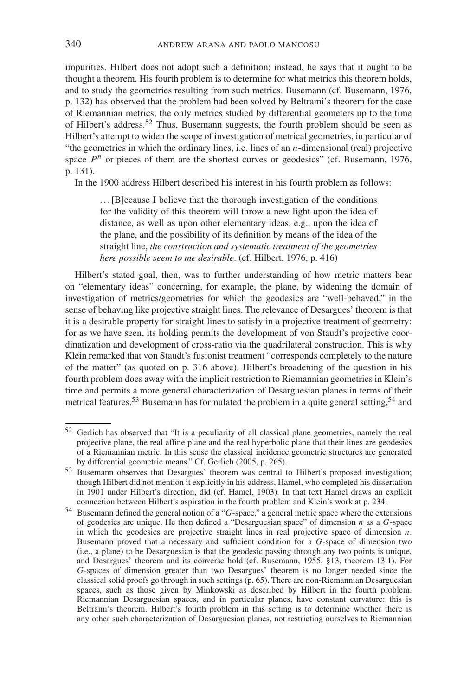impurities. Hilbert does not adopt such a definition; instead, he says that it ought to be thought a theorem. His fourth problem is to determine for what metrics this theorem holds, and to study the geometries resulting from such metrics. Busemann (cf. Busemann, 1976, p. 132) has observed that the problem had been solved by Beltrami's theorem for the case of Riemannian metrics, the only metrics studied by differential geometers up to the time of Hilbert's address.52 Thus, Busemann suggests, the fourth problem should be seen as Hilbert's attempt to widen the scope of investigation of metrical geometries, in particular of "the geometries in which the ordinary lines, i.e. lines of an *n*-dimensional (real) projective space  $P^n$  or pieces of them are the shortest curves or geodesics" (cf. Busemann, 1976, p. 131).

In the 1900 address Hilbert described his interest in his fourth problem as follows:

. . . [B]ecause I believe that the thorough investigation of the conditions for the validity of this theorem will throw a new light upon the idea of distance, as well as upon other elementary ideas, e.g., upon the idea of the plane, and the possibility of its definition by means of the idea of the straight line, *the construction and systematic treatment of the geometries here possible seem to me desirable*. (cf. Hilbert, 1976, p. 416)

Hilbert's stated goal, then, was to further understanding of how metric matters bear on "elementary ideas" concerning, for example, the plane, by widening the domain of investigation of metrics/geometries for which the geodesics are "well-behaved," in the sense of behaving like projective straight lines. The relevance of Desargues' theorem is that it is a desirable property for straight lines to satisfy in a projective treatment of geometry: for as we have seen, its holding permits the development of von Staudt's projective coordinatization and development of cross-ratio via the quadrilateral construction. This is why Klein remarked that von Staudt's fusionist treatment "corresponds completely to the nature of the matter" (as quoted on p. 316 above). Hilbert's broadening of the question in his fourth problem does away with the implicit restriction to Riemannian geometries in Klein's time and permits a more general characterization of Desarguesian planes in terms of their metrical features.<sup>53</sup> Busemann has formulated the problem in a quite general setting,54 and

<sup>52</sup> Gerlich has observed that "It is a peculiarity of all classical plane geometries, namely the real projective plane, the real affine plane and the real hyperbolic plane that their lines are geodesics of a Riemannian metric. In this sense the classical incidence geometric structures are generated by differential geometric means." Cf. Gerlich (2005, p. 265).

<sup>53</sup> Busemann observes that Desargues' theorem was central to Hilbert's proposed investigation; though Hilbert did not mention it explicitly in his address, Hamel, who completed his dissertation in 1901 under Hilbert's direction, did (cf. Hamel, 1903). In that text Hamel draws an explicit connection between Hilbert's aspiration in the fourth problem and Klein's work at p. 234.

<sup>54</sup> Busemann defined the general notion of a "*G*-space," a general metric space where the extensions of geodesics are unique. He then defined a "Desarguesian space" of dimension *n* as a *G*-space in which the geodesics are projective straight lines in real projective space of dimension *n*. Busemann proved that a necessary and sufficient condition for a *G*-space of dimension two (i.e., a plane) to be Desarguesian is that the geodesic passing through any two points is unique, and Desargues' theorem and its converse hold (cf. Busemann, 1955, §13, theorem 13.1). For *G*-spaces of dimension greater than two Desargues' theorem is no longer needed since the classical solid proofs go through in such settings (p. 65). There are non-Riemannian Desarguesian spaces, such as those given by Minkowski as described by Hilbert in the fourth problem. Riemannian Desarguesian spaces, and in particular planes, have constant curvature: this is Beltrami's theorem. Hilbert's fourth problem in this setting is to determine whether there is any other such characterization of Desarguesian planes, not restricting ourselves to Riemannian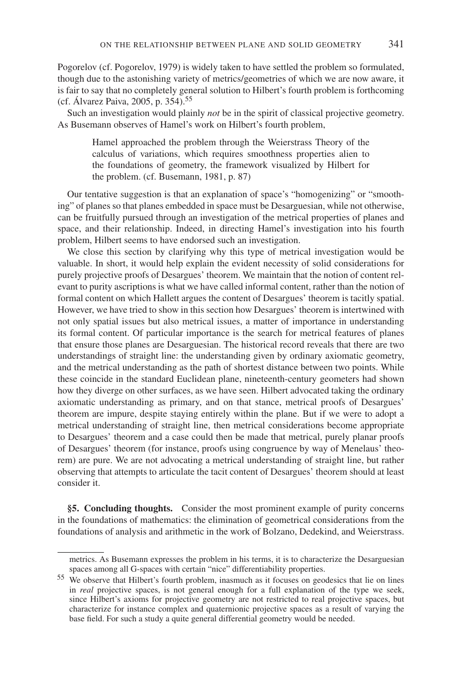Pogorelov (cf. Pogorelov, 1979) is widely taken to have settled the problem so formulated, though due to the astonishing variety of metrics/geometries of which we are now aware, it is fair to say that no completely general solution to Hilbert's fourth problem is forthcoming (cf. Álvarez Paiva, 2005, p. 354).<sup>55</sup>

Such an investigation would plainly *not* be in the spirit of classical projective geometry. As Busemann observes of Hamel's work on Hilbert's fourth problem,

Hamel approached the problem through the Weierstrass Theory of the calculus of variations, which requires smoothness properties alien to the foundations of geometry, the framework visualized by Hilbert for the problem. (cf. Busemann, 1981, p. 87)

Our tentative suggestion is that an explanation of space's "homogenizing" or "smoothing" of planes so that planes embedded in space must be Desarguesian, while not otherwise, can be fruitfully pursued through an investigation of the metrical properties of planes and space, and their relationship. Indeed, in directing Hamel's investigation into his fourth problem, Hilbert seems to have endorsed such an investigation.

We close this section by clarifying why this type of metrical investigation would be valuable. In short, it would help explain the evident necessity of solid considerations for purely projective proofs of Desargues' theorem. We maintain that the notion of content relevant to purity ascriptions is what we have called informal content, rather than the notion of formal content on which Hallett argues the content of Desargues' theorem is tacitly spatial. However, we have tried to show in this section how Desargues' theorem is intertwined with not only spatial issues but also metrical issues, a matter of importance in understanding its formal content. Of particular importance is the search for metrical features of planes that ensure those planes are Desarguesian. The historical record reveals that there are two understandings of straight line: the understanding given by ordinary axiomatic geometry, and the metrical understanding as the path of shortest distance between two points. While these coincide in the standard Euclidean plane, nineteenth-century geometers had shown how they diverge on other surfaces, as we have seen. Hilbert advocated taking the ordinary axiomatic understanding as primary, and on that stance, metrical proofs of Desargues' theorem are impure, despite staying entirely within the plane. But if we were to adopt a metrical understanding of straight line, then metrical considerations become appropriate to Desargues' theorem and a case could then be made that metrical, purely planar proofs of Desargues' theorem (for instance, proofs using congruence by way of Menelaus' theorem) are pure. We are not advocating a metrical understanding of straight line, but rather observing that attempts to articulate the tacit content of Desargues' theorem should at least consider it.

**§5. Concluding thoughts.** Consider the most prominent example of purity concerns in the foundations of mathematics: the elimination of geometrical considerations from the foundations of analysis and arithmetic in the work of Bolzano, Dedekind, and Weierstrass.

metrics. As Busemann expresses the problem in his terms, it is to characterize the Desarguesian spaces among all G-spaces with certain "nice" differentiability properties.

<sup>55</sup> We observe that Hilbert's fourth problem, inasmuch as it focuses on geodesics that lie on lines in *real* projective spaces, is not general enough for a full explanation of the type we seek, since Hilbert's axioms for projective geometry are not restricted to real projective spaces, but characterize for instance complex and quaternionic projective spaces as a result of varying the base field. For such a study a quite general differential geometry would be needed.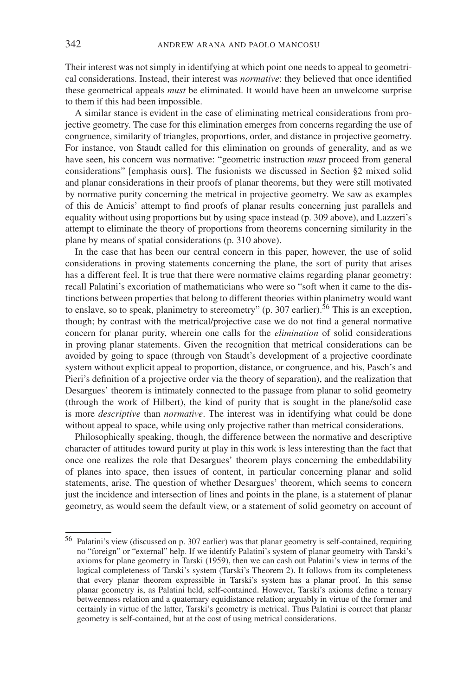Their interest was not simply in identifying at which point one needs to appeal to geometrical considerations. Instead, their interest was *normative*: they believed that once identified these geometrical appeals *must* be eliminated. It would have been an unwelcome surprise to them if this had been impossible.

A similar stance is evident in the case of eliminating metrical considerations from projective geometry. The case for this elimination emerges from concerns regarding the use of congruence, similarity of triangles, proportions, order, and distance in projective geometry. For instance, von Staudt called for this elimination on grounds of generality, and as we have seen, his concern was normative: "geometric instruction *must* proceed from general considerations" [emphasis ours]. The fusionists we discussed in Section §2 mixed solid and planar considerations in their proofs of planar theorems, but they were still motivated by normative purity concerning the metrical in projective geometry. We saw as examples of this de Amicis' attempt to find proofs of planar results concerning just parallels and equality without using proportions but by using space instead (p. 309 above), and Lazzeri's attempt to eliminate the theory of proportions from theorems concerning similarity in the plane by means of spatial considerations (p. 310 above).

In the case that has been our central concern in this paper, however, the use of solid considerations in proving statements concerning the plane, the sort of purity that arises has a different feel. It is true that there were normative claims regarding planar geometry: recall Palatini's excoriation of mathematicians who were so "soft when it came to the distinctions between properties that belong to different theories within planimetry would want to enslave, so to speak, planimetry to stereometry" (p. 307 earlier).<sup>56</sup> This is an exception, though; by contrast with the metrical/projective case we do not find a general normative concern for planar purity, wherein one calls for the *elimination* of solid considerations in proving planar statements. Given the recognition that metrical considerations can be avoided by going to space (through von Staudt's development of a projective coordinate system without explicit appeal to proportion, distance, or congruence, and his, Pasch's and Pieri's definition of a projective order via the theory of separation), and the realization that Desargues' theorem is intimately connected to the passage from planar to solid geometry (through the work of Hilbert), the kind of purity that is sought in the plane/solid case is more *descriptive* than *normative*. The interest was in identifying what could be done without appeal to space, while using only projective rather than metrical considerations.

Philosophically speaking, though, the difference between the normative and descriptive character of attitudes toward purity at play in this work is less interesting than the fact that once one realizes the role that Desargues' theorem plays concerning the embeddability of planes into space, then issues of content, in particular concerning planar and solid statements, arise. The question of whether Desargues' theorem, which seems to concern just the incidence and intersection of lines and points in the plane, is a statement of planar geometry, as would seem the default view, or a statement of solid geometry on account of

<sup>56</sup> Palatini's view (discussed on p. 307 earlier) was that planar geometry is self-contained, requiring no "foreign" or "external" help. If we identify Palatini's system of planar geometry with Tarski's axioms for plane geometry in Tarski (1959), then we can cash out Palatini's view in terms of the logical completeness of Tarski's system (Tarski's Theorem 2). It follows from its completeness that every planar theorem expressible in Tarski's system has a planar proof. In this sense planar geometry is, as Palatini held, self-contained. However, Tarski's axioms define a ternary betweenness relation and a quaternary equidistance relation; arguably in virtue of the former and certainly in virtue of the latter, Tarski's geometry is metrical. Thus Palatini is correct that planar geometry is self-contained, but at the cost of using metrical considerations.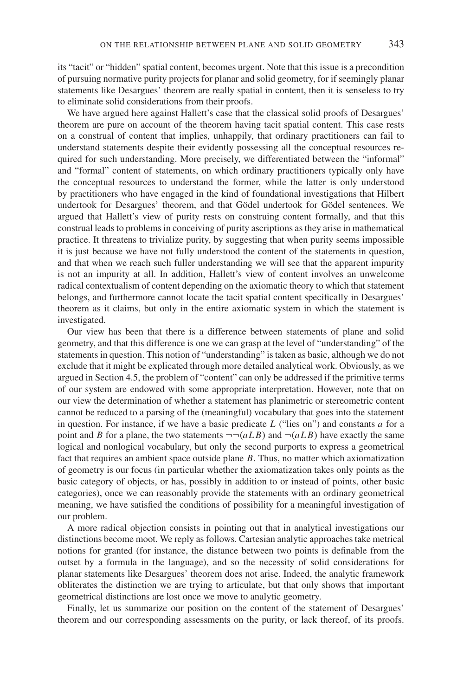its "tacit" or "hidden" spatial content, becomes urgent. Note that this issue is a precondition of pursuing normative purity projects for planar and solid geometry, for if seemingly planar statements like Desargues' theorem are really spatial in content, then it is senseless to try to eliminate solid considerations from their proofs.

We have argued here against Hallett's case that the classical solid proofs of Desargues' theorem are pure on account of the theorem having tacit spatial content. This case rests on a construal of content that implies, unhappily, that ordinary practitioners can fail to understand statements despite their evidently possessing all the conceptual resources required for such understanding. More precisely, we differentiated between the "informal" and "formal" content of statements, on which ordinary practitioners typically only have the conceptual resources to understand the former, while the latter is only understood by practitioners who have engaged in the kind of foundational investigations that Hilbert undertook for Desargues' theorem, and that Gödel undertook for Gödel sentences. We argued that Hallett's view of purity rests on construing content formally, and that this construal leads to problems in conceiving of purity ascriptions as they arise in mathematical practice. It threatens to trivialize purity, by suggesting that when purity seems impossible it is just because we have not fully understood the content of the statements in question, and that when we reach such fuller understanding we will see that the apparent impurity is not an impurity at all. In addition, Hallett's view of content involves an unwelcome radical contextualism of content depending on the axiomatic theory to which that statement belongs, and furthermore cannot locate the tacit spatial content specifically in Desargues' theorem as it claims, but only in the entire axiomatic system in which the statement is investigated.

Our view has been that there is a difference between statements of plane and solid geometry, and that this difference is one we can grasp at the level of "understanding" of the statements in question. This notion of "understanding" is taken as basic, although we do not exclude that it might be explicated through more detailed analytical work. Obviously, as we argued in Section 4.5, the problem of "content" can only be addressed if the primitive terms of our system are endowed with some appropriate interpretation. However, note that on our view the determination of whether a statement has planimetric or stereometric content cannot be reduced to a parsing of the (meaningful) vocabulary that goes into the statement in question. For instance, if we have a basic predicate *L* ("lies on") and constants *a* for a point and *B* for a plane, the two statements  $\neg\neg(aLB)$  and  $\neg(aLB)$  have exactly the same logical and nonlogical vocabulary, but only the second purports to express a geometrical fact that requires an ambient space outside plane *B*. Thus, no matter which axiomatization of geometry is our focus (in particular whether the axiomatization takes only points as the basic category of objects, or has, possibly in addition to or instead of points, other basic categories), once we can reasonably provide the statements with an ordinary geometrical meaning, we have satisfied the conditions of possibility for a meaningful investigation of our problem.

A more radical objection consists in pointing out that in analytical investigations our distinctions become moot. We reply as follows. Cartesian analytic approaches take metrical notions for granted (for instance, the distance between two points is definable from the outset by a formula in the language), and so the necessity of solid considerations for planar statements like Desargues' theorem does not arise. Indeed, the analytic framework obliterates the distinction we are trying to articulate, but that only shows that important geometrical distinctions are lost once we move to analytic geometry.

Finally, let us summarize our position on the content of the statement of Desargues' theorem and our corresponding assessments on the purity, or lack thereof, of its proofs.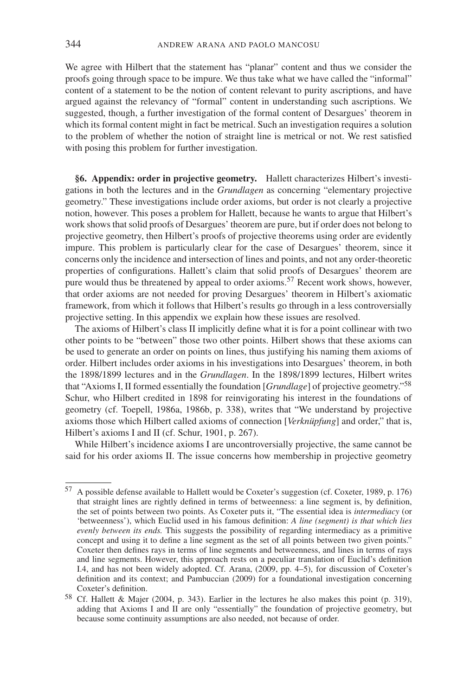We agree with Hilbert that the statement has "planar" content and thus we consider the proofs going through space to be impure. We thus take what we have called the "informal" content of a statement to be the notion of content relevant to purity ascriptions, and have argued against the relevancy of "formal" content in understanding such ascriptions. We suggested, though, a further investigation of the formal content of Desargues' theorem in which its formal content might in fact be metrical. Such an investigation requires a solution to the problem of whether the notion of straight line is metrical or not. We rest satisfied with posing this problem for further investigation.

**§6. Appendix: order in projective geometry.** Hallett characterizes Hilbert's investigations in both the lectures and in the *Grundlagen* as concerning "elementary projective geometry." These investigations include order axioms, but order is not clearly a projective notion, however. This poses a problem for Hallett, because he wants to argue that Hilbert's work shows that solid proofs of Desargues' theorem are pure, but if order does not belong to projective geometry, then Hilbert's proofs of projective theorems using order are evidently impure. This problem is particularly clear for the case of Desargues' theorem, since it concerns only the incidence and intersection of lines and points, and not any order-theoretic properties of configurations. Hallett's claim that solid proofs of Desargues' theorem are pure would thus be threatened by appeal to order axioms.<sup>57</sup> Recent work shows, however, that order axioms are not needed for proving Desargues' theorem in Hilbert's axiomatic framework, from which it follows that Hilbert's results go through in a less controversially projective setting. In this appendix we explain how these issues are resolved.

The axioms of Hilbert's class II implicitly define what it is for a point collinear with two other points to be "between" those two other points. Hilbert shows that these axioms can be used to generate an order on points on lines, thus justifying his naming them axioms of order. Hilbert includes order axioms in his investigations into Desargues' theorem, in both the 1898/1899 lectures and in the *Grundlagen*. In the 1898/1899 lectures, Hilbert writes that "Axioms I, II formed essentially the foundation [*Grundlage*] of projective geometry."58 Schur, who Hilbert credited in 1898 for reinvigorating his interest in the foundations of geometry (cf. Toepell, 1986a, 1986b, p. 338), writes that "We understand by projective axioms those which Hilbert called axioms of connection [*Verknupfung*] and order," that is, Hilbert's axioms I and II (cf. Schur, 1901, p. 267).

While Hilbert's incidence axioms I are uncontroversially projective, the same cannot be said for his order axioms II. The issue concerns how membership in projective geometry

<sup>57</sup> A possible defense available to Hallett would be Coxeter's suggestion (cf. Coxeter, 1989, p. 176) that straight lines are rightly defined in terms of betweenness: a line segment is, by definition, the set of points between two points. As Coxeter puts it, "The essential idea is *intermediacy* (or 'betweenness'), which Euclid used in his famous definition: *A line (segment) is that which lies evenly between its ends.* This suggests the possibility of regarding intermediacy as a primitive concept and using it to define a line segment as the set of all points between two given points." Coxeter then defines rays in terms of line segments and betweenness, and lines in terms of rays and line segments. However, this approach rests on a peculiar translation of Euclid's definition I.4, and has not been widely adopted. Cf. Arana, (2009, pp. 4–5), for discussion of Coxeter's definition and its context; and Pambuccian (2009) for a foundational investigation concerning Coxeter's definition.

<sup>58</sup> Cf. Hallett & Majer (2004, p. 343). Earlier in the lectures he also makes this point (p. 319), adding that Axioms I and II are only "essentially" the foundation of projective geometry, but because some continuity assumptions are also needed, not because of order.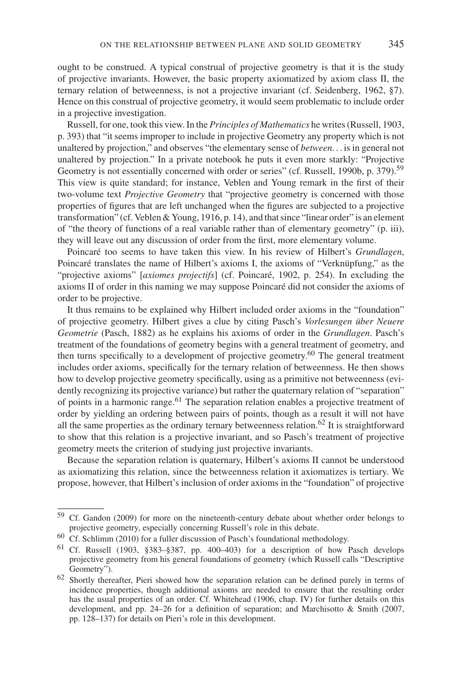ought to be construed. A typical construal of projective geometry is that it is the study of projective invariants. However, the basic property axiomatized by axiom class II, the ternary relation of betweenness, is not a projective invariant (cf. Seidenberg, 1962, §7). Hence on this construal of projective geometry, it would seem problematic to include order in a projective investigation.

Russell, for one, took this view. In the *Principles of Mathematics* he writes (Russell, 1903, p. 393) that "it seems improper to include in projective Geometry any property which is not unaltered by projection," and observes "the elementary sense of *between*. . . is in general not unaltered by projection." In a private notebook he puts it even more starkly: "Projective Geometry is not essentially concerned with order or series" (cf. Russell, 1990b, p. 379).<sup>59</sup> This view is quite standard; for instance, Veblen and Young remark in the first of their two-volume text *Projective Geometry* that "projective geometry is concerned with those properties of figures that are left unchanged when the figures are subjected to a projective transformation" (cf. Veblen & Young, 1916, p. 14), and that since "linear order" is an element of "the theory of functions of a real variable rather than of elementary geometry" (p. iii), they will leave out any discussion of order from the first, more elementary volume.

Poincaré too seems to have taken this view. In his review of Hilbert's *Grundlagen*, Poincaré translates the name of Hilbert's axioms I, the axioms of "Verknüpfung," as the "projective axioms" [*axiomes projectifs*] (cf. Poincaré, 1902, p. 254). In excluding the axioms II of order in this naming we may suppose Poincaré did not consider the axioms of order to be projective.

It thus remains to be explained why Hilbert included order axioms in the "foundation" of projective geometry. Hilbert gives a clue by citing Pasch's *Vorlesungen uber Neuere ¨ Geometrie* (Pasch, 1882) as he explains his axioms of order in the *Grundlagen*. Pasch's treatment of the foundations of geometry begins with a general treatment of geometry, and then turns specifically to a development of projective geometry.<sup>60</sup> The general treatment includes order axioms, specifically for the ternary relation of betweenness. He then shows how to develop projective geometry specifically, using as a primitive not betweenness (evidently recognizing its projective variance) but rather the quaternary relation of "separation" of points in a harmonic range.<sup>61</sup> The separation relation enables a projective treatment of order by yielding an ordering between pairs of points, though as a result it will not have all the same properties as the ordinary ternary betweenness relation.<sup>62</sup> It is straightforward to show that this relation is a projective invariant, and so Pasch's treatment of projective geometry meets the criterion of studying just projective invariants.

Because the separation relation is quaternary, Hilbert's axioms II cannot be understood as axiomatizing this relation, since the betweenness relation it axiomatizes is tertiary. We propose, however, that Hilbert's inclusion of order axioms in the "foundation" of projective

<sup>59</sup> Cf. Gandon (2009) for more on the nineteenth-century debate about whether order belongs to projective geometry, especially concerning Russell's role in this debate.

<sup>60</sup> Cf. Schlimm (2010) for a fuller discussion of Pasch's foundational methodology.

 $61$  Cf. Russell (1903, §383–§387, pp. 400–403) for a description of how Pasch develops projective geometry from his general foundations of geometry (which Russell calls "Descriptive Geometry").

<sup>&</sup>lt;sup>62</sup> Shortly thereafter, Pieri showed how the separation relation can be defined purely in terms of incidence properties, though additional axioms are needed to ensure that the resulting order has the usual properties of an order. Cf. Whitehead (1906, chap. IV) for further details on this development, and pp. 24–26 for a definition of separation; and Marchisotto & Smith (2007, pp. 128–137) for details on Pieri's role in this development.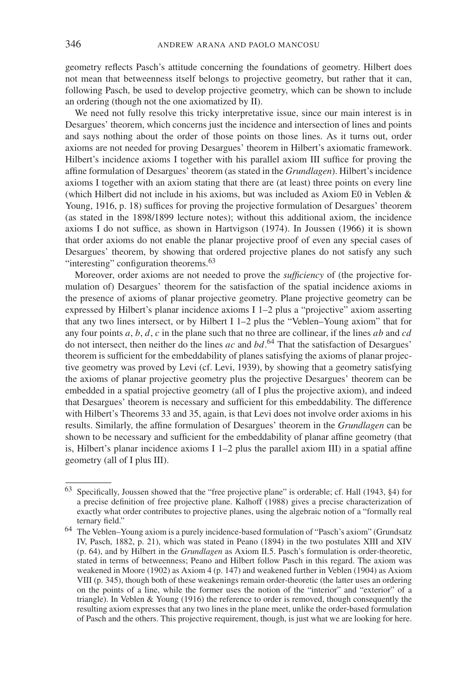geometry reflects Pasch's attitude concerning the foundations of geometry. Hilbert does not mean that betweenness itself belongs to projective geometry, but rather that it can, following Pasch, be used to develop projective geometry, which can be shown to include an ordering (though not the one axiomatized by II).

We need not fully resolve this tricky interpretative issue, since our main interest is in Desargues' theorem, which concerns just the incidence and intersection of lines and points and says nothing about the order of those points on those lines. As it turns out, order axioms are not needed for proving Desargues' theorem in Hilbert's axiomatic framework. Hilbert's incidence axioms I together with his parallel axiom III suffice for proving the affine formulation of Desargues' theorem (as stated in the *Grundlagen*). Hilbert's incidence axioms I together with an axiom stating that there are (at least) three points on every line (which Hilbert did not include in his axioms, but was included as Axiom E0 in Veblen  $\&$ Young, 1916, p. 18) suffices for proving the projective formulation of Desargues' theorem (as stated in the 1898/1899 lecture notes); without this additional axiom, the incidence axioms I do not suffice, as shown in Hartvigson (1974). In Joussen (1966) it is shown that order axioms do not enable the planar projective proof of even any special cases of Desargues' theorem, by showing that ordered projective planes do not satisfy any such "interesting" configuration theorems.<sup>63</sup>

Moreover, order axioms are not needed to prove the *sufficiency* of (the projective formulation of) Desargues' theorem for the satisfaction of the spatial incidence axioms in the presence of axioms of planar projective geometry. Plane projective geometry can be expressed by Hilbert's planar incidence axioms I 1–2 plus a "projective" axiom asserting that any two lines intersect, or by Hilbert I 1–2 plus the "Veblen–Young axiom" that for any four points *a*, *b*, *d*, *c* in the plane such that no three are collinear, if the lines *ab* and *cd* do not intersect, then neither do the lines *ac* and *bd*. <sup>64</sup> That the satisfaction of Desargues' theorem is sufficient for the embeddability of planes satisfying the axioms of planar projective geometry was proved by Levi (cf. Levi, 1939), by showing that a geometry satisfying the axioms of planar projective geometry plus the projective Desargues' theorem can be embedded in a spatial projective geometry (all of I plus the projective axiom), and indeed that Desargues' theorem is necessary and sufficient for this embeddability. The difference with Hilbert's Theorems 33 and 35, again, is that Levi does not involve order axioms in his results. Similarly, the affine formulation of Desargues' theorem in the *Grundlagen* can be shown to be necessary and sufficient for the embeddability of planar affine geometry (that is, Hilbert's planar incidence axioms I  $1-2$  plus the parallel axiom III) in a spatial affine geometry (all of I plus III).

<sup>63</sup> Specifically, Joussen showed that the "free projective plane" is orderable; cf. Hall (1943, §4) for a precise definition of free projective plane. Kalhoff (1988) gives a precise characterization of exactly what order contributes to projective planes, using the algebraic notion of a "formally real ternary field."

<sup>64</sup> The Veblen–Young axiom is a purely incidence-based formulation of "Pasch's axiom" (Grundsatz IV, Pasch, 1882, p. 21), which was stated in Peano (1894) in the two postulates XIII and XIV (p. 64), and by Hilbert in the *Grundlagen* as Axiom II.5. Pasch's formulation is order-theoretic, stated in terms of betweenness; Peano and Hilbert follow Pasch in this regard. The axiom was weakened in Moore (1902) as Axiom 4 (p. 147) and weakened further in Veblen (1904) as Axiom VIII (p. 345), though both of these weakenings remain order-theoretic (the latter uses an ordering on the points of a line, while the former uses the notion of the "interior" and "exterior" of a triangle). In Veblen & Young (1916) the reference to order is removed, though consequently the resulting axiom expresses that any two lines in the plane meet, unlike the order-based formulation of Pasch and the others. This projective requirement, though, is just what we are looking for here.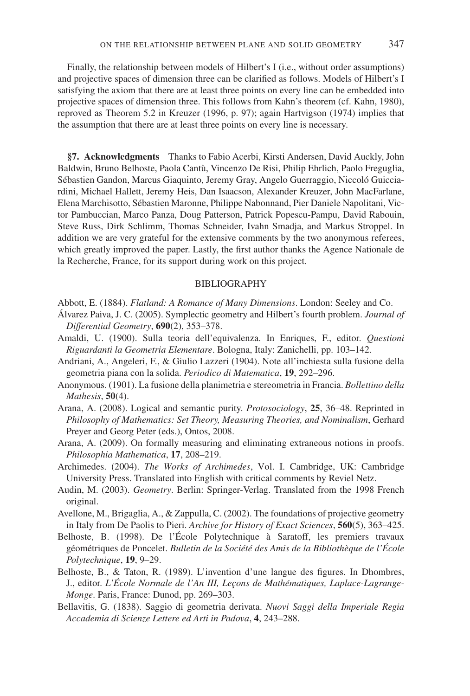Finally, the relationship between models of Hilbert's I (i.e., without order assumptions) and projective spaces of dimension three can be clarified as follows. Models of Hilbert's I satisfying the axiom that there are at least three points on every line can be embedded into projective spaces of dimension three. This follows from Kahn's theorem (cf. Kahn, 1980), reproved as Theorem 5.2 in Kreuzer (1996, p. 97); again Hartvigson (1974) implies that the assumption that there are at least three points on every line is necessary.

**§7. Acknowledgments** Thanks to Fabio Acerbi, Kirsti Andersen, David Auckly, John Baldwin, Bruno Belhoste, Paola Cantu, Vincenzo De Risi, Philip Ehrlich, Paolo Freguglia, ` Sébastien Gandon, Marcus Giaquinto, Jeremy Gray, Angelo Guerraggio, Niccoló Guicciardini, Michael Hallett, Jeremy Heis, Dan Isaacson, Alexander Kreuzer, John MacFarlane, Elena Marchisotto, Sebastien Maronne, Philippe Nabonnand, Pier Daniele Napolitani, Vic- ´ tor Pambuccian, Marco Panza, Doug Patterson, Patrick Popescu-Pampu, David Rabouin, Steve Russ, Dirk Schlimm, Thomas Schneider, Ivahn Smadja, and Markus Stroppel. In addition we are very grateful for the extensive comments by the two anonymous referees, which greatly improved the paper. Lastly, the first author thanks the Agence Nationale de la Recherche, France, for its support during work on this project.

#### BIBLIOGRAPHY

- Abbott, E. (1884). *Flatland: A Romance of Many Dimensions*. London: Seeley and Co.
- Álvarez Paiva, J. C. (2005). Symplectic geometry and Hilbert's fourth problem. *Journal of Differential Geometry*, **690**(2), 353–378.
- Amaldi, U. (1900). Sulla teoria dell'equivalenza. In Enriques, F., editor. *Questioni Riguardanti la Geometria Elementare*. Bologna, Italy: Zanichelli, pp. 103–142.
- Andriani, A., Angeleri, F., & Giulio Lazzeri (1904). Note all'inchiesta sulla fusione della geometria piana con la solida. *Periodico di Matematica*, **19**, 292–296.
- Anonymous. (1901). La fusione della planimetria e stereometria in Francia. *Bollettino della Mathesis*, **50**(4).
- Arana, A. (2008). Logical and semantic purity. *Protosociology*, **25**, 36–48. Reprinted in *Philosophy of Mathematics: Set Theory, Measuring Theories, and Nominalism*, Gerhard Preyer and Georg Peter (eds.), Ontos, 2008.
- Arana, A. (2009). On formally measuring and eliminating extraneous notions in proofs. *Philosophia Mathematica*, **17**, 208–219.
- Archimedes. (2004). *The Works of Archimedes*, Vol. I. Cambridge, UK: Cambridge University Press. Translated into English with critical comments by Reviel Netz.
- Audin, M. (2003). *Geometry*. Berlin: Springer-Verlag. Translated from the 1998 French original.
- Avellone, M., Brigaglia, A., & Zappulla, C. (2002). The foundations of projective geometry in Italy from De Paolis to Pieri. *Archive for History of Exact Sciences*, **560**(5), 363–425.
- Belhoste, B. (1998). De l'École Polytechnique à Saratoff, les premiers travaux geom´ etriques de Poncelet. ´ *Bulletin de la Societ´ e des Amis de la Biblioth ´ eque de l' ` Ecole ´ Polytechnique*, **19**, 9–29.
- Belhoste, B., & Taton, R. (1989). L'invention d'une langue des figures. In Dhombres, J., editor. *L'Ecole Normale de l'An III, Lec ´ ¸ons de Mathematiques, Laplace-Lagrange- ´ Monge*. Paris, France: Dunod, pp. 269–303.
- Bellavitis, G. (1838). Saggio di geometria derivata. *Nuovi Saggi della Imperiale Regia Accademia di Scienze Lettere ed Arti in Padova*, **4**, 243–288.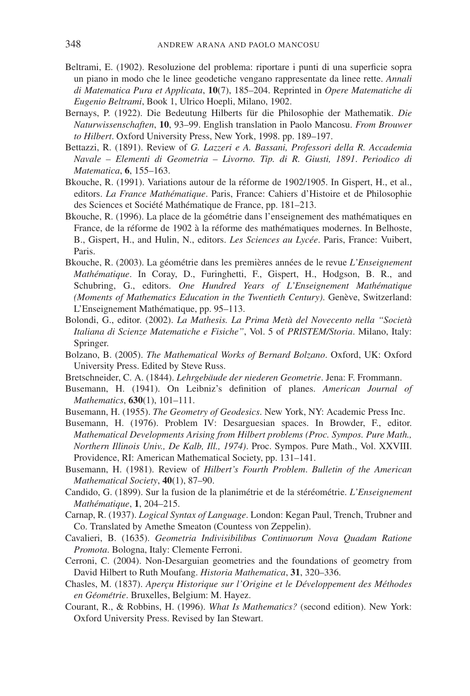- Beltrami, E. (1902). Resoluzione del problema: riportare i punti di una superficie sopra un piano in modo che le linee geodetiche vengano rappresentate da linee rette. *Annali di Matematica Pura et Applicata*, **10**(7), 185–204. Reprinted in *Opere Matematiche di Eugenio Beltrami*, Book 1, Ulrico Hoepli, Milano, 1902.
- Bernays, P. (1922). Die Bedeutung Hilberts für die Philosophie der Mathematik. Die *Naturwissenschaften*, **10**, 93–99. English translation in Paolo Mancosu. *From Brouwer to Hilbert*. Oxford University Press, New York, 1998. pp. 189–197.
- Bettazzi, R. (1891). Review of *G. Lazzeri e A. Bassani, Professori della R. Accademia Navale – Elementi di Geometria – Livorno. Tip. di R. Giusti, 1891*. *Periodico di Matematica*, **6**, 155–163.
- Bkouche, R. (1991). Variations autour de la reforme de 1902/1905. In Gispert, H., et al., ´ editors. *La France Mathematique ´* . Paris, France: Cahiers d'Histoire et de Philosophie des Sciences et Société Mathématique de France, pp. 181–213.
- Bkouche, R. (1996). La place de la géométrie dans l'enseignement des mathématiques en France, de la réforme de 1902 à la réforme des mathématiques modernes. In Belhoste, B., Gispert, H., and Hulin, N., editors. *Les Sciences au Lycée*. Paris, France: Vuibert, Paris.
- Bkouche, R. (2003). La géométrie dans les premières années de le revue *L'Enseignement Mathematique ´* . In Coray, D., Furinghetti, F., Gispert, H., Hodgson, B. R., and Schubring, G., editors. *One Hundred Years of L'Enseignement Mathematique ´ (Moments of Mathematics Education in the Twentieth Century)*. Genève, Switzerland: L'Enseignement Mathématique, pp. 95-113.
- Bolondi, G., editor. (2002). *La Mathesis. La Prima Metà del Novecento nella "Società Italiana di Scienze Matematiche e Fisiche"*, Vol. 5 of *PRISTEM/Storia*. Milano, Italy: Springer.
- Bolzano, B. (2005). *The Mathematical Works of Bernard Bolzano*. Oxford, UK: Oxford University Press. Edited by Steve Russ.
- Bretschneider, C. A. (1844). *Lehrgebaude der niederen Geometrie ¨* . Jena: F. Frommann.
- Busemann, H. (1941). On Leibniz's definition of planes. *American Journal of Mathematics*, **630**(1), 101–111.
- Busemann, H. (1955). *The Geometry of Geodesics*. New York, NY: Academic Press Inc.
- Busemann, H. (1976). Problem IV: Desarguesian spaces. In Browder, F., editor. *Mathematical Developments Arising from Hilbert problems (Proc. Sympos. Pure Math., Northern Illinois Univ., De Kalb, Ill., 1974)*. Proc. Sympos. Pure Math., Vol. XXVIII. Providence, RI: American Mathematical Society, pp. 131–141.
- Busemann, H. (1981). Review of *Hilbert's Fourth Problem*. *Bulletin of the American Mathematical Society*, **40**(1), 87–90.
- Candido, G. (1899). Sur la fusion de la planimétrie et de la stéréométrie. *L'Enseignement Mathematique ´* , **1**, 204–215.
- Carnap, R. (1937). *Logical Syntax of Language*. London: Kegan Paul, Trench, Trubner and Co. Translated by Amethe Smeaton (Countess von Zeppelin).
- Cavalieri, B. (1635). *Geometria Indivisibilibus Continuorum Nova Quadam Ratione Promota*. Bologna, Italy: Clemente Ferroni.
- Cerroni, C. (2004). Non-Desarguian geometries and the foundations of geometry from David Hilbert to Ruth Moufang. *Historia Mathematica*, **31**, 320–336.
- Chasles, M. (1837). *Aperc¸u Historique sur l'Origine et le Developpement des M ´ ethodes ´ en Géométrie*. Bruxelles, Belgium: M. Hayez.
- Courant, R., & Robbins, H. (1996). *What Is Mathematics?* (second edition). New York: Oxford University Press. Revised by Ian Stewart.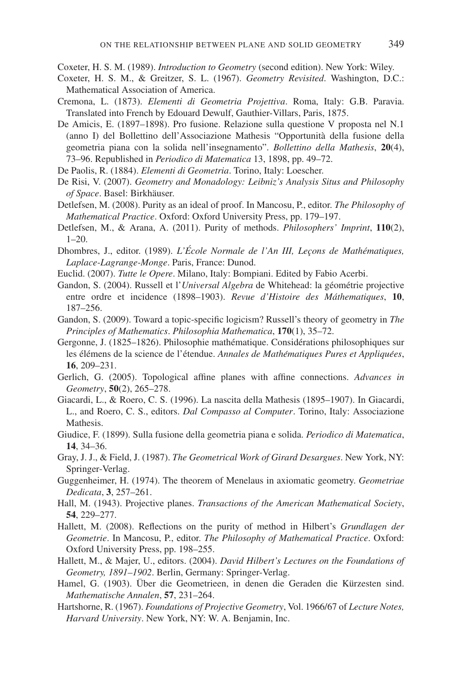Coxeter, H. S. M. (1989). *Introduction to Geometry* (second edition). New York: Wiley.

- Coxeter, H. S. M., & Greitzer, S. L. (1967). *Geometry Revisited*. Washington, D.C.: Mathematical Association of America.
- Cremona, L. (1873). *Elementi di Geometria Projettiva*. Roma, Italy: G.B. Paravia. Translated into French by Edouard Dewulf, Gauthier-Villars, Paris, 1875.
- De Amicis, E. (1897–1898). Pro fusione. Relazione sulla questione V proposta nel N.1 (anno I) del Bollettino dell'Associazione Mathesis "Opportunita della fusione della ` geometria piana con la solida nell'insegnamento". *Bollettino della Mathesis*, **20**(4), 73–96. Republished in *Periodico di Matematica* 13, 1898, pp. 49–72.
- De Paolis, R. (1884). *Elementi di Geometria*. Torino, Italy: Loescher.
- De Risi, V. (2007). *Geometry and Monadology: Leibniz's Analysis Situs and Philosophy*  $of Space$ . Basel: Birkhäuser.
- Detlefsen, M. (2008). Purity as an ideal of proof. In Mancosu, P., editor. *The Philosophy of Mathematical Practice*. Oxford: Oxford University Press, pp. 179–197.
- Detlefsen, M., & Arana, A. (2011). Purity of methods. *Philosophers' Imprint*, **110**(2),  $1-20$ .
- Dhombres, J., editor. (1989). *L'École Normale de l'An III, Leçons de Mathématiques, Laplace-Lagrange-Monge*. Paris, France: Dunod.
- Euclid. (2007). *Tutte le Opere*. Milano, Italy: Bompiani. Edited by Fabio Acerbi.
- Gandon, S. (2004). Russell et l'*Universal Algebra* de Whitehead: la géométrie projective entre ordre et incidence (1898-1903). Revue d'Histoire des Máthematiques, 10, 187–256.
- Gandon, S. (2009). Toward a topic-specific logicism? Russell's theory of geometry in *The Principles of Mathematics*. *Philosophia Mathematica*, **170**(1), 35–72.
- Gergonne, J. (1825–1826). Philosophie mathématique. Considérations philosophiques sur les élémens de la science de l'étendue. Annales de Mathématiques Pures et Appliquées, **16**, 209–231.
- Gerlich, G. (2005). Topological affine planes with affine connections. *Advances in Geometry*, **50**(2), 265–278.
- Giacardi, L., & Roero, C. S. (1996). La nascita della Mathesis (1895–1907). In Giacardi, L., and Roero, C. S., editors. *Dal Compasso al Computer*. Torino, Italy: Associazione Mathesis.
- Giudice, F. (1899). Sulla fusione della geometria piana e solida. *Periodico di Matematica*, **14**, 34–36.
- Gray, J. J., & Field, J. (1987). *The Geometrical Work of Girard Desargues*. New York, NY: Springer-Verlag.
- Guggenheimer, H. (1974). The theorem of Menelaus in axiomatic geometry. *Geometriae Dedicata*, **3**, 257–261.
- Hall, M. (1943). Projective planes. *Transactions of the American Mathematical Society*, **54**, 229–277.
- Hallett, M. (2008). Reflections on the purity of method in Hilbert's *Grundlagen der Geometrie*. In Mancosu, P., editor. *The Philosophy of Mathematical Practice*. Oxford: Oxford University Press, pp. 198–255.
- Hallett, M., & Majer, U., editors. (2004). *David Hilbert's Lectures on the Foundations of Geometry, 1891–1902*. Berlin, Germany: Springer-Verlag.
- Hamel, G. (1903). Über die Geometrieen, in denen die Geraden die Kürzesten sind. *Mathematische Annalen*, **57**, 231–264.
- Hartshorne, R. (1967). *Foundations of Projective Geometry*, Vol. 1966/67 of *Lecture Notes, Harvard University*. New York, NY: W. A. Benjamin, Inc.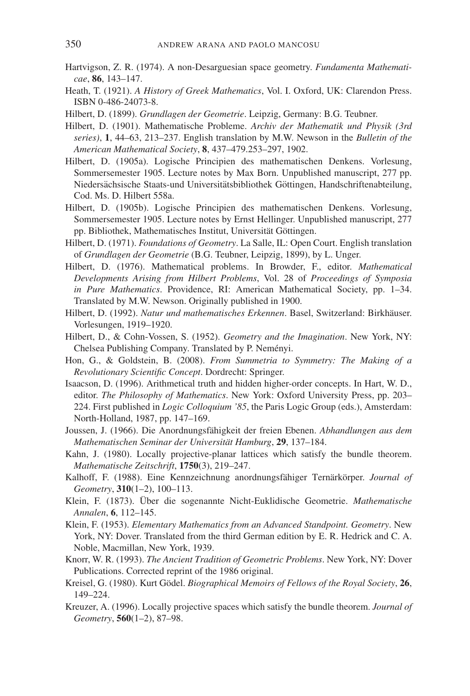- Hartvigson, Z. R. (1974). A non-Desarguesian space geometry. *Fundamenta Mathematicae*, **86**, 143–147.
- Heath, T. (1921). *A History of Greek Mathematics*, Vol. I. Oxford, UK: Clarendon Press. ISBN 0-486-24073-8.
- Hilbert, D. (1899). *Grundlagen der Geometrie*. Leipzig, Germany: B.G. Teubner.
- Hilbert, D. (1901). Mathematische Probleme. *Archiv der Mathematik und Physik (3rd series)*, **1**, 44–63, 213–237. English translation by M.W. Newson in the *Bulletin of the American Mathematical Society*, **8**, 437–479.253–297, 1902.
- Hilbert, D. (1905a). Logische Principien des mathematischen Denkens. Vorlesung, Sommersemester 1905. Lecture notes by Max Born. Unpublished manuscript, 277 pp. Niedersächsische Staats-und Universitätsbibliothek Göttingen, Handschriftenabteilung, Cod. Ms. D. Hilbert 558a.
- Hilbert, D. (1905b). Logische Principien des mathematischen Denkens. Vorlesung, Sommersemester 1905. Lecture notes by Ernst Hellinger. Unpublished manuscript, 277 pp. Bibliothek, Mathematisches Institut, Universität Göttingen.
- Hilbert, D. (1971). *Foundations of Geometry*. La Salle, IL: Open Court. English translation of *Grundlagen der Geometrie* (B.G. Teubner, Leipzig, 1899), by L. Unger.
- Hilbert, D. (1976). Mathematical problems. In Browder, F., editor. *Mathematical Developments Arising from Hilbert Problems*, Vol. 28 of *Proceedings of Symposia in Pure Mathematics*. Providence, RI: American Mathematical Society, pp. 1–34. Translated by M.W. Newson. Originally published in 1900.
- Hilbert, D. (1992). *Natur und mathematisches Erkennen*. Basel, Switzerland: Birkhäuser. Vorlesungen, 1919–1920.
- Hilbert, D., & Cohn-Vossen, S. (1952). *Geometry and the Imagination*. New York, NY: Chelsea Publishing Company. Translated by P. Neményi.
- Hon, G., & Goldstein, B. (2008). *From Summetria to Symmetry: The Making of a Revolutionary Scientific Concept*. Dordrecht: Springer.
- Isaacson, D. (1996). Arithmetical truth and hidden higher-order concepts. In Hart, W. D., editor. *The Philosophy of Mathematics*. New York: Oxford University Press, pp. 203– 224. First published in *Logic Colloquium '85*, the Paris Logic Group (eds.), Amsterdam: North-Holland, 1987, pp. 147–169.
- Joussen, J. (1966). Die Anordnungsfähigkeit der freien Ebenen. Abhandlungen aus dem *Mathematischen Seminar der Universität Hamburg*, 29, 137–184.
- Kahn, J. (1980). Locally projective-planar lattices which satisfy the bundle theorem. *Mathematische Zeitschrift*, **1750**(3), 219–247.
- Kalhoff, F. (1988). Eine Kennzeichnung anordnungsfähiger Ternärkörper. *Journal of Geometry*, **310**(1–2), 100–113.
- Klein, F. (1873). Über die sogenannte Nicht-Euklidische Geometrie. *Mathematische Annalen*, **6**, 112–145.
- Klein, F. (1953). *Elementary Mathematics from an Advanced Standpoint. Geometry*. New York, NY: Dover. Translated from the third German edition by E. R. Hedrick and C. A. Noble, Macmillan, New York, 1939.
- Knorr, W. R. (1993). *The Ancient Tradition of Geometric Problems*. New York, NY: Dover Publications. Corrected reprint of the 1986 original.
- Kreisel, G. (1980). Kurt Gödel. Biographical Memoirs of Fellows of the Royal Society, 26, 149–224.
- Kreuzer, A. (1996). Locally projective spaces which satisfy the bundle theorem. *Journal of Geometry*, **560**(1–2), 87–98.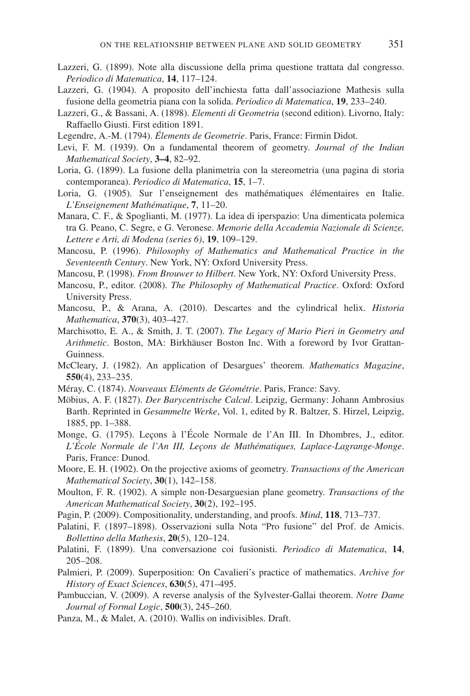- Lazzeri, G. (1899). Note alla discussione della prima questione trattata dal congresso. *Periodico di Matematica*, **14**, 117–124.
- Lazzeri, G. (1904). A proposito dell'inchiesta fatta dall'associazione Mathesis sulla fusione della geometria piana con la solida. *Periodico di Matematica*, **19**, 233–240.
- Lazzeri, G., & Bassani, A. (1898). *Elementi di Geometria* (second edition). Livorno, Italy: Raffaello Giusti. First edition 1891.
- Legendre, A.-M. (1794). *Élements de Geometrie*. Paris, France: Firmin Didot.
- Levi, F. M. (1939). On a fundamental theorem of geometry. *Journal of the Indian Mathematical Society*, **3–4**, 82–92.
- Loria, G. (1899). La fusione della planimetria con la stereometria (una pagina di storia contemporanea). *Periodico di Matematica*, **15**, 1–7.
- Loria, G. (1905). Sur l'enseignement des mathématiques élémentaires en Italie. *L'Enseignement Mathematique ´* , **7**, 11–20.
- Manara, C. F., & Spoglianti, M. (1977). La idea di iperspazio: Una dimenticata polemica tra G. Peano, C. Segre, e G. Veronese. *Memorie della Accademia Nazionale di Scienze, Lettere e Arti, di Modena (series 6)*, **19**, 109–129.
- Mancosu, P. (1996). *Philosophy of Mathematics and Mathematical Practice in the Seventeenth Century*. New York, NY: Oxford University Press.
- Mancosu, P. (1998). *From Brouwer to Hilbert*. New York, NY: Oxford University Press.
- Mancosu, P., editor. (2008). *The Philosophy of Mathematical Practice*. Oxford: Oxford University Press.
- Mancosu, P., & Arana, A. (2010). Descartes and the cylindrical helix. *Historia Mathematica*, **370**(3), 403–427.
- Marchisotto, E. A., & Smith, J. T. (2007). *The Legacy of Mario Pieri in Geometry and Arithmetic*. Boston, MA: Birkhäuser Boston Inc. With a foreword by Ivor Grattan-Guinness.
- McCleary, J. (1982). An application of Desargues' theorem. *Mathematics Magazine*, **550**(4), 233–235.
- Méray, C. (1874). *Nouveaux Eléments de Géométrie*. Paris, France: Savy.
- Möbius, A. F. (1827). *Der Barycentrische Calcul*. Leipzig, Germany: Johann Ambrosius Barth. Reprinted in *Gesammelte Werke*, Vol. 1, edited by R. Baltzer, S. Hirzel, Leipzig, 1885, pp. 1–388.
- Monge, G. (1795). Leçons à l'École Normale de l'An III. In Dhombres, J., editor. L'École Normale de l'An III, Leçons de Mathématiques, Laplace-Lagrange-Monge. Paris, France: Dunod.
- Moore, E. H. (1902). On the projective axioms of geometry. *Transactions of the American Mathematical Society*, **30**(1), 142–158.
- Moulton, F. R. (1902). A simple non-Desarguesian plane geometry. *Transactions of the American Mathematical Society*, **30**(2), 192–195.
- Pagin, P. (2009). Compositionality, understanding, and proofs. *Mind*, **118**, 713–737.
- Palatini, F. (1897–1898). Osservazioni sulla Nota "Pro fusione" del Prof. de Amicis. *Bollettino della Mathesis*, **20**(5), 120–124.
- Palatini, F. (1899). Una conversazione coi fusionisti. *Periodico di Matematica*, **14**, 205–208.
- Palmieri, P. (2009). Superposition: On Cavalieri's practice of mathematics. *Archive for History of Exact Sciences*, **630**(5), 471–495.
- Pambuccian, V. (2009). A reverse analysis of the Sylvester-Gallai theorem. *Notre Dame Journal of Formal Logic*, **500**(3), 245–260.
- Panza, M., & Malet, A. (2010). Wallis on indivisibles. Draft.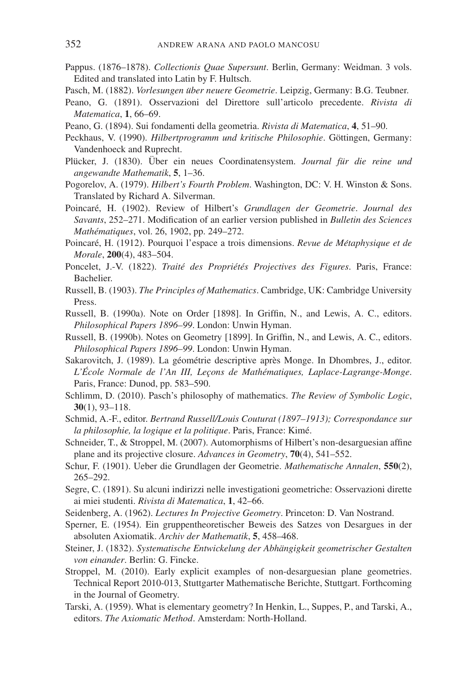- Pappus. (1876–1878). *Collectionis Quae Supersunt*. Berlin, Germany: Weidman. 3 vols. Edited and translated into Latin by F. Hultsch.
- Pasch, M. (1882). *Vorlesungen über neuere Geometrie*. Leipzig, Germany: B.G. Teubner.
- Peano, G. (1891). Osservazioni del Direttore sull'articolo precedente. *Rivista di Matematica*, **1**, 66–69.
- Peano, G. (1894). Sui fondamenti della geometria. *Rivista di Matematica*, **4**, 51–90.
- Peckhaus, V. (1990). *Hilbertprogramm und kritische Philosophie*. Göttingen, Germany: Vandenhoeck and Ruprecht.
- Plücker, J. (1830). Über ein neues Coordinatensystem. *Journal für die reine und angewandte Mathematik*, **5**, 1–36.
- Pogorelov, A. (1979). *Hilbert's Fourth Problem*. Washington, DC: V. H. Winston & Sons. Translated by Richard A. Silverman.
- Poincaré, H. (1902). Review of Hilbert's Grundlagen der Geometrie. Journal des *Savants*, 252–271. Modification of an earlier version published in *Bulletin des Sciences Mathematiques ´* , vol. 26, 1902, pp. 249–272.
- Poincaré, H. (1912). Pourquoi l'espace a trois dimensions. Revue de Métaphysique et de *Morale*, **200**(4), 483–504.
- Poncelet, J.-V. (1822). *Traite des Propri ´ et´ es Projectives des Figures ´* . Paris, France: Bachelier.
- Russell, B. (1903). *The Principles of Mathematics*. Cambridge, UK: Cambridge University Press.
- Russell, B. (1990a). Note on Order [1898]. In Griffin, N., and Lewis, A. C., editors. *Philosophical Papers 1896–99*. London: Unwin Hyman.
- Russell, B. (1990b). Notes on Geometry [1899]. In Griffin, N., and Lewis, A. C., editors. *Philosophical Papers 1896–99*. London: Unwin Hyman.
- Sakarovitch, J. (1989). La géométrie descriptive après Monge. In Dhombres, J., editor. *L'École Normale de l'An III, Leçons de Mathématiques, Laplace-Lagrange-Monge.* Paris, France: Dunod, pp. 583–590.
- Schlimm, D. (2010). Pasch's philosophy of mathematics. *The Review of Symbolic Logic*, **30**(1), 93–118.
- Schmid, A.-F., editor. *Bertrand Russell/Louis Couturat (1897–1913); Correspondance sur la philosophie, la logique et la politique*. Paris, France: Kime.´
- Schneider, T., & Stroppel, M. (2007). Automorphisms of Hilbert's non-desarguesian affine plane and its projective closure. *Advances in Geometry*, **70**(4), 541–552.
- Schur, F. (1901). Ueber die Grundlagen der Geometrie. *Mathematische Annalen*, **550**(2), 265–292.
- Segre, C. (1891). Su alcuni indirizzi nelle investigationi geometriche: Osservazioni dirette ai miei studenti. *Rivista di Matematica*, **1**, 42–66.
- Seidenberg, A. (1962). *Lectures In Projective Geometry*. Princeton: D. Van Nostrand.
- Sperner, E. (1954). Ein gruppentheoretischer Beweis des Satzes von Desargues in der absoluten Axiomatik. *Archiv der Mathematik*, **5**, 458–468.
- Steiner, J. (1832). *Systematische Entwickelung der Abhangigkeit geometrischer Gestalten ¨ von einander*. Berlin: G. Fincke.
- Stroppel, M. (2010). Early explicit examples of non-desarguesian plane geometries. Technical Report 2010-013, Stuttgarter Mathematische Berichte, Stuttgart. Forthcoming in the Journal of Geometry.
- Tarski, A. (1959). What is elementary geometry? In Henkin, L., Suppes, P., and Tarski, A., editors. *The Axiomatic Method*. Amsterdam: North-Holland.